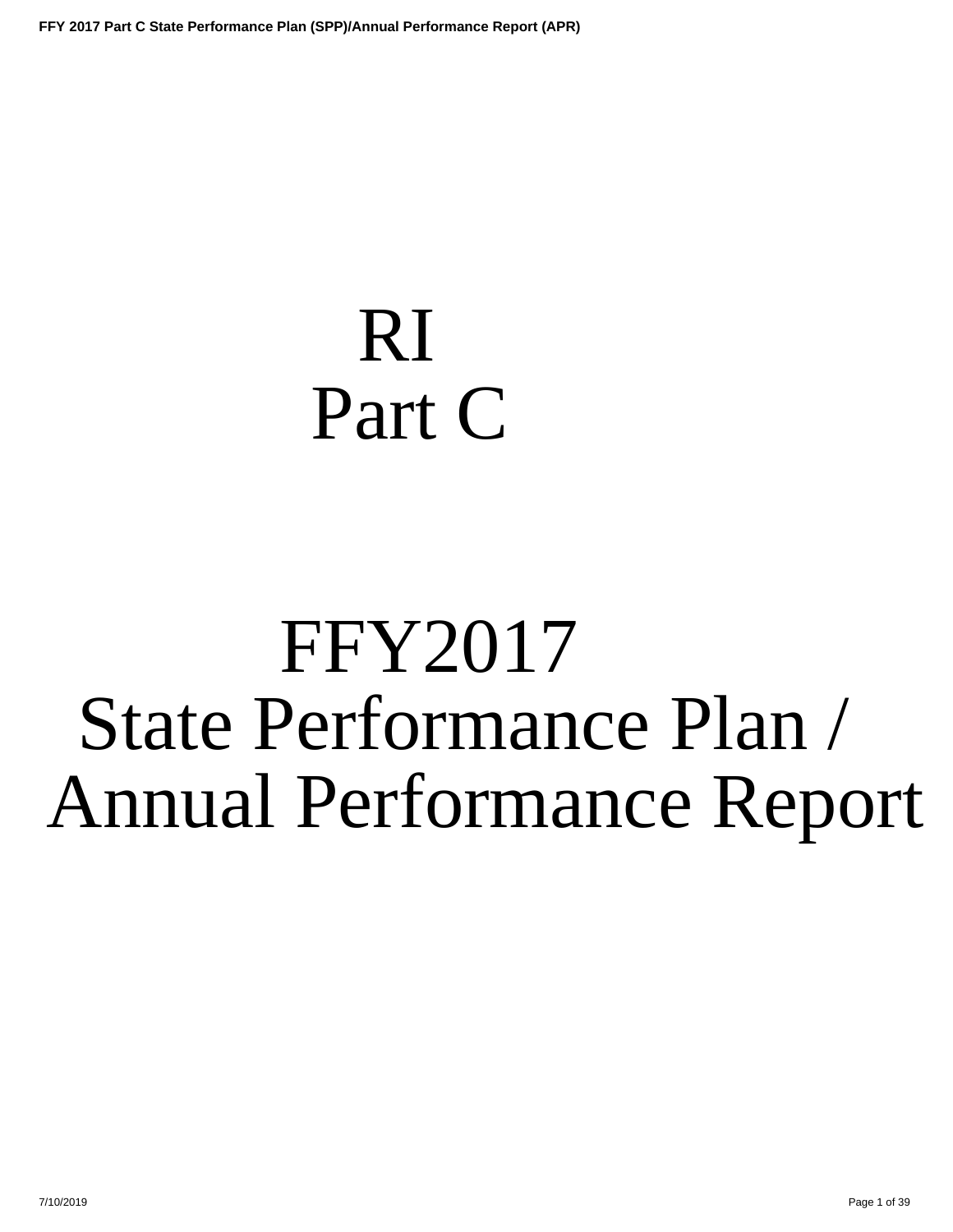## <span id="page-0-0"></span>RI Part C

# FFY2017 State Performance Plan / Annual Performance Report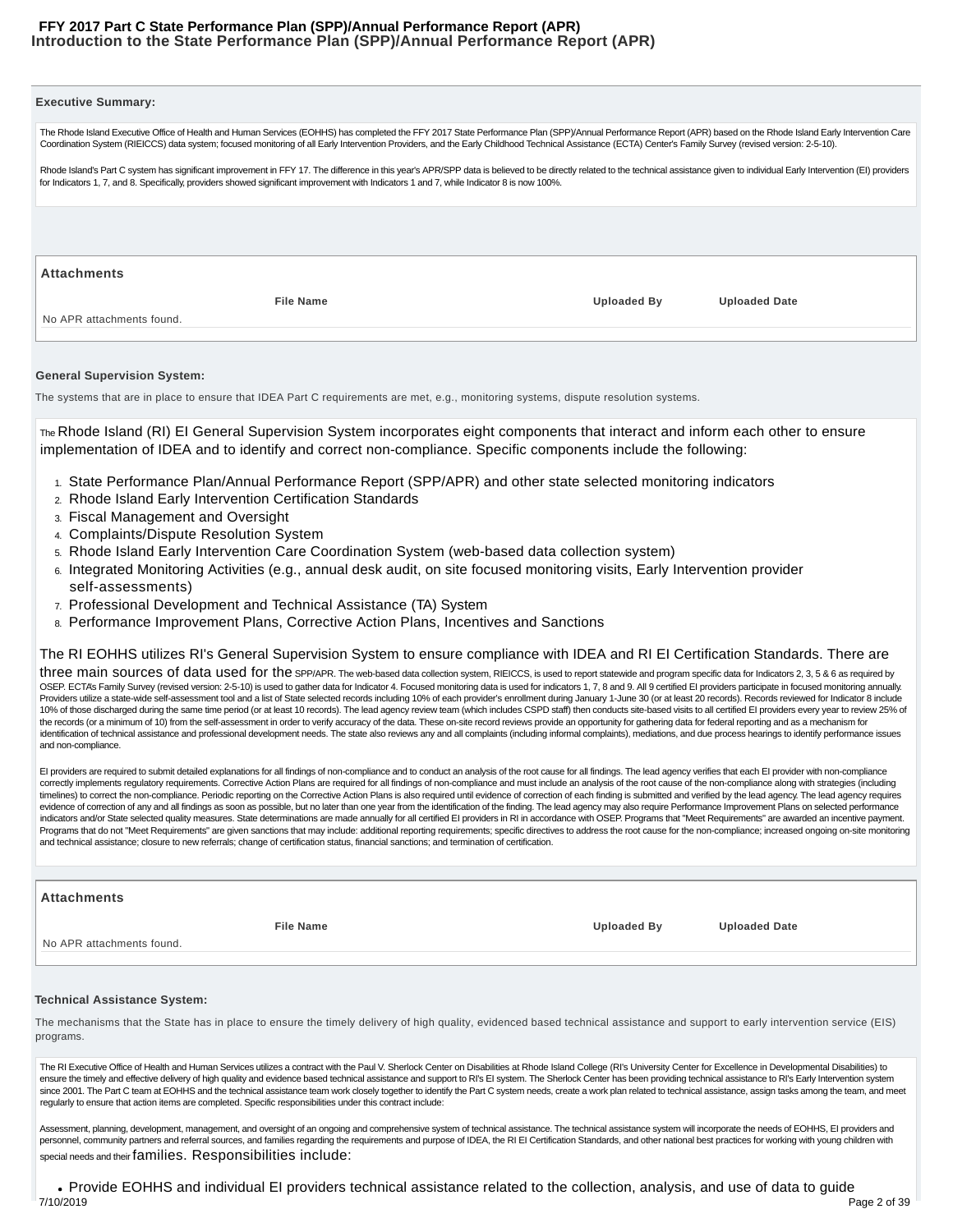#### **Introduction to the State Performance Plan (SPP)/Annual Performance Report (APR) FFY 2017 Part C State Performance Plan (SPP)/Annual Performance Report (APR)**

| <b>Executive Summary:</b>                                                                                                                                                                                                                                                                                                                                                                                                                                                                                                                                                                                                                                                                                                                                                                                                                                                                                                                                                                                                                                                                                                                                                                                                                                                                                                                                                                                                                                                                                                                     |                    |                      |
|-----------------------------------------------------------------------------------------------------------------------------------------------------------------------------------------------------------------------------------------------------------------------------------------------------------------------------------------------------------------------------------------------------------------------------------------------------------------------------------------------------------------------------------------------------------------------------------------------------------------------------------------------------------------------------------------------------------------------------------------------------------------------------------------------------------------------------------------------------------------------------------------------------------------------------------------------------------------------------------------------------------------------------------------------------------------------------------------------------------------------------------------------------------------------------------------------------------------------------------------------------------------------------------------------------------------------------------------------------------------------------------------------------------------------------------------------------------------------------------------------------------------------------------------------|--------------------|----------------------|
| The Rhode Island Executive Office of Health and Human Services (EOHHS) has completed the FFY 2017 State Performance Plan (SPP)/Annual Performance Report (APR) based on the Rhode Island Early Intervention Care<br>Coordination System (RIEICCS) data system; focused monitoring of all Early Intervention Providers, and the Early Childhood Technical Assistance (ECTA) Center's Family Survey (revised version: 2-5-10).                                                                                                                                                                                                                                                                                                                                                                                                                                                                                                                                                                                                                                                                                                                                                                                                                                                                                                                                                                                                                                                                                                                  |                    |                      |
| Rhode Island's Part C system has significant improvement in FFY 17. The difference in this year's APR/SPP data is believed to be directly related to the technical assistance given to individual Early Intervention (EI) prov<br>for Indicators 1, 7, and 8. Specifically, providers showed significant improvement with Indicators 1 and 7, while Indicator 8 is now 100%.                                                                                                                                                                                                                                                                                                                                                                                                                                                                                                                                                                                                                                                                                                                                                                                                                                                                                                                                                                                                                                                                                                                                                                  |                    |                      |
|                                                                                                                                                                                                                                                                                                                                                                                                                                                                                                                                                                                                                                                                                                                                                                                                                                                                                                                                                                                                                                                                                                                                                                                                                                                                                                                                                                                                                                                                                                                                               |                    |                      |
| <b>Attachments</b>                                                                                                                                                                                                                                                                                                                                                                                                                                                                                                                                                                                                                                                                                                                                                                                                                                                                                                                                                                                                                                                                                                                                                                                                                                                                                                                                                                                                                                                                                                                            |                    |                      |
| <b>File Name</b>                                                                                                                                                                                                                                                                                                                                                                                                                                                                                                                                                                                                                                                                                                                                                                                                                                                                                                                                                                                                                                                                                                                                                                                                                                                                                                                                                                                                                                                                                                                              | <b>Uploaded By</b> | <b>Uploaded Date</b> |
| No APR attachments found.                                                                                                                                                                                                                                                                                                                                                                                                                                                                                                                                                                                                                                                                                                                                                                                                                                                                                                                                                                                                                                                                                                                                                                                                                                                                                                                                                                                                                                                                                                                     |                    |                      |
| <b>General Supervision System:</b>                                                                                                                                                                                                                                                                                                                                                                                                                                                                                                                                                                                                                                                                                                                                                                                                                                                                                                                                                                                                                                                                                                                                                                                                                                                                                                                                                                                                                                                                                                            |                    |                      |
| The systems that are in place to ensure that IDEA Part C requirements are met, e.g., monitoring systems, dispute resolution systems.                                                                                                                                                                                                                                                                                                                                                                                                                                                                                                                                                                                                                                                                                                                                                                                                                                                                                                                                                                                                                                                                                                                                                                                                                                                                                                                                                                                                          |                    |                      |
| The Rhode Island (RI) EI General Supervision System incorporates eight components that interact and inform each other to ensure<br>implementation of IDEA and to identify and correct non-compliance. Specific components include the following:                                                                                                                                                                                                                                                                                                                                                                                                                                                                                                                                                                                                                                                                                                                                                                                                                                                                                                                                                                                                                                                                                                                                                                                                                                                                                              |                    |                      |
| 1. State Performance Plan/Annual Performance Report (SPP/APR) and other state selected monitoring indicators<br>2. Rhode Island Early Intervention Certification Standards<br>3. Fiscal Management and Oversight<br>4. Complaints/Dispute Resolution System                                                                                                                                                                                                                                                                                                                                                                                                                                                                                                                                                                                                                                                                                                                                                                                                                                                                                                                                                                                                                                                                                                                                                                                                                                                                                   |                    |                      |
| 5. Rhode Island Early Intervention Care Coordination System (web-based data collection system)<br>6. Integrated Monitoring Activities (e.g., annual desk audit, on site focused monitoring visits, Early Intervention provider<br>self-assessments)<br>7. Professional Development and Technical Assistance (TA) System                                                                                                                                                                                                                                                                                                                                                                                                                                                                                                                                                                                                                                                                                                                                                                                                                                                                                                                                                                                                                                                                                                                                                                                                                       |                    |                      |
| 8. Performance Improvement Plans, Corrective Action Plans, Incentives and Sanctions                                                                                                                                                                                                                                                                                                                                                                                                                                                                                                                                                                                                                                                                                                                                                                                                                                                                                                                                                                                                                                                                                                                                                                                                                                                                                                                                                                                                                                                           |                    |                      |
| The RI EOHHS utilizes RI's General Supervision System to ensure compliance with IDEA and RI EI Certification Standards. There are                                                                                                                                                                                                                                                                                                                                                                                                                                                                                                                                                                                                                                                                                                                                                                                                                                                                                                                                                                                                                                                                                                                                                                                                                                                                                                                                                                                                             |                    |                      |
| three main sources of data used for the spp/APR. The web-based data collection system, RIEICCS, is used to report statewide and program specific data for Indicators 2, 3, 5 & 6 as required by<br>OSEP. ECTA's Family Survey (revised version: 2-5-10) is used to gather data for Indicator 4. Focused monitoring data is used for indicators 1, 7, 8 and 9. All 9 certified El providers participate in focused monitoring annu<br>Providers utilize a state-wide self-assessment tool and a list of State selected records including 10% of each provider's enrollment during January 1-June 30 (or at least 20 records). Records reviewed for Indicator 8 inclu<br>10% of those discharged during the same time period (or at least 10 records). The lead agency review team (which includes CSPD staff) then conducts site-based visits to all certified EI providers every year to review 25% o<br>the records (or a minimum of 10) from the self-assessment in order to verify accuracy of the data. These on-site record reviews provide an opportunity for gathering data for federal reporting and as a mechanism for<br>identification of technical assistance and professional development needs. The state also reviews any and all complaints (including informal complaints), mediations, and due process hearings to identify performance issues<br>and non-compliance.                                                                                                                                                       |                    |                      |
| El providers are required to submit detailed explanations for all findings of non-compliance and to conduct an analysis of the root cause for all findings. The lead agency verifies that each El provider with non-compliance<br>correctly implements regulatory requirements. Corrective Action Plans are required for all findings of non-compliance and must include an analysis of the root cause of the non-compliance along with strategies (including<br>timelines) to correct the non-compliance. Periodic reporting on the Corrective Action Plans is also required until evidence of correction of each finding is submitted and verified by the lead agency. The lead agency requir<br>evidence of correction of any and all findings as soon as possible, but no later than one year from the identification of the finding. The lead agency may also require Performance Improvement Plans on selected performance<br>indicators and/or State selected quality measures. State determinations are made annually for all certified El providers in RI in accordance with OSEP. Programs that "Meet Requirements" are awarded an incentive payment.<br>Programs that do not "Meet Requirements" are given sanctions that may include: additional reporting requirements; specific directives to address the root cause for the non-compliance; increased ongoing on-site monitoring<br>and technical assistance; closure to new referrals; change of certification status, financial sanctions; and termination of certification. |                    |                      |
| <b>Attachments</b>                                                                                                                                                                                                                                                                                                                                                                                                                                                                                                                                                                                                                                                                                                                                                                                                                                                                                                                                                                                                                                                                                                                                                                                                                                                                                                                                                                                                                                                                                                                            |                    |                      |
| <b>File Name</b>                                                                                                                                                                                                                                                                                                                                                                                                                                                                                                                                                                                                                                                                                                                                                                                                                                                                                                                                                                                                                                                                                                                                                                                                                                                                                                                                                                                                                                                                                                                              | <b>Uploaded By</b> | <b>Uploaded Date</b> |
| No APR attachments found.                                                                                                                                                                                                                                                                                                                                                                                                                                                                                                                                                                                                                                                                                                                                                                                                                                                                                                                                                                                                                                                                                                                                                                                                                                                                                                                                                                                                                                                                                                                     |                    |                      |
| <b>Technical Assistance System:</b>                                                                                                                                                                                                                                                                                                                                                                                                                                                                                                                                                                                                                                                                                                                                                                                                                                                                                                                                                                                                                                                                                                                                                                                                                                                                                                                                                                                                                                                                                                           |                    |                      |
| The mechanisms that the State has in place to ensure the timely delivery of high quality, evidenced based technical assistance and support to early intervention service (EIS)<br>programs.                                                                                                                                                                                                                                                                                                                                                                                                                                                                                                                                                                                                                                                                                                                                                                                                                                                                                                                                                                                                                                                                                                                                                                                                                                                                                                                                                   |                    |                      |

The RI Executive Office of Health and Human Services utilizes a contract with the Paul V. Sherlock Center on Disabilities at Rhode Island College (RI's University Center for Excellence in Developmental Disabilities) to ensure the timely and effective delivery of high quality and evidence based technical assistance and support to RI's EI system. The Sherlock Center has been providing technical assistance to RI's Early Intervention system since 2001. The Part C team at EOHHS and the technical assistance team work closely together to identify the Part C system needs, create a work plan related to technical assistance, assign tasks among the team, and meet regularly to ensure that action items are completed. Specific responsibilities under this contract include:

Assessment, planning, development, management, and oversight of an ongoing and comprehensive system of technical assistance. The technical assistance system will incorporate the needs of EOHHS, EI providers and personnel, community partners and referral sources, and families regarding the requirements and purpose of IDEA, the RI EI Certification Standards, and other national best practices for working with young children with special needs and their families. Responsibilities include:

Provide EOHHS and individual EI providers technical assistance related to the collection, analysis, and use of data to guide 7/10/2019 Page 2 of 39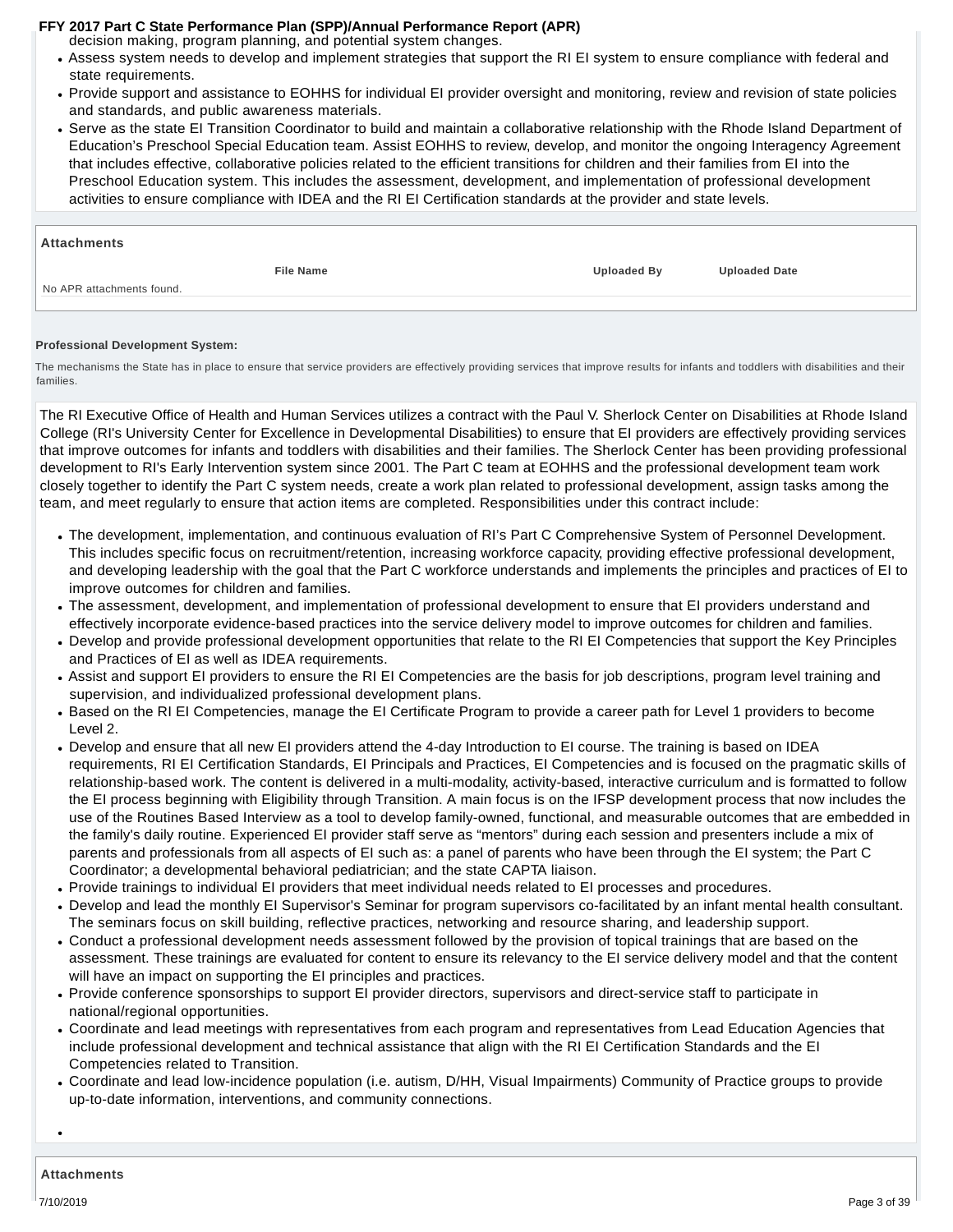decision making, program planning, and potential system changes.

- Assess system needs to develop and implement strategies that support the RI EI system to ensure compliance with federal and state requirements.
- Provide support and assistance to EOHHS for individual EI provider oversight and monitoring, review and revision of state policies and standards, and public awareness materials.
- Serve as the state EI Transition Coordinator to build and maintain a collaborative relationship with the Rhode Island Department of Education's Preschool Special Education team. Assist EOHHS to review, develop, and monitor the ongoing Interagency Agreement that includes effective, collaborative policies related to the efficient transitions for children and their families from EI into the Preschool Education system. This includes the assessment, development, and implementation of professional development activities to ensure compliance with IDEA and the RI EI Certification standards at the provider and state levels.

#### **Attachments**

No APR attachments found.

**File Name Uploaded By Uploaded Date**

#### **Professional Development System:**

The mechanisms the State has in place to ensure that service providers are effectively providing services that improve results for infants and toddlers with disabilities and their families.

The RI Executive Office of Health and Human Services utilizes a contract with the Paul V. Sherlock Center on Disabilities at Rhode Island College (RI's University Center for Excellence in Developmental Disabilities) to ensure that EI providers are effectively providing services that improve outcomes for infants and toddlers with disabilities and their families. The Sherlock Center has been providing professional development to RI's Early Intervention system since 2001. The Part C team at EOHHS and the professional development team work closely together to identify the Part C system needs, create a work plan related to professional development, assign tasks among the team, and meet regularly to ensure that action items are completed. Responsibilities under this contract include:

- The development, implementation, and continuous evaluation of RI's Part C Comprehensive System of Personnel Development. This includes specific focus on recruitment/retention, increasing workforce capacity, providing effective professional development, and developing leadership with the goal that the Part C workforce understands and implements the principles and practices of EI to improve outcomes for children and families.
- The assessment, development, and implementation of professional development to ensure that EI providers understand and effectively incorporate evidence-based practices into the service delivery model to improve outcomes for children and families.
- Develop and provide professional development opportunities that relate to the RI EI Competencies that support the Key Principles and Practices of EI as well as IDEA requirements.
- Assist and support EI providers to ensure the RI EI Competencies are the basis for job descriptions, program level training and supervision, and individualized professional development plans.
- Based on the RI EI Competencies, manage the EI Certificate Program to provide a career path for Level 1 providers to become Level 2.
- Develop and ensure that all new EI providers attend the 4-day Introduction to EI course. The training is based on IDEA requirements, RI EI Certification Standards, EI Principals and Practices, EI Competencies and is focused on the pragmatic skills of relationship-based work. The content is delivered in a multi-modality, activity-based, interactive curriculum and is formatted to follow the EI process beginning with Eligibility through Transition. A main focus is on the IFSP development process that now includes the use of the Routines Based Interview as a tool to develop family-owned, functional, and measurable outcomes that are embedded in the family's daily routine. Experienced EI provider staff serve as "mentors" during each session and presenters include a mix of parents and professionals from all aspects of EI such as: a panel of parents who have been through the EI system; the Part C Coordinator; a developmental behavioral pediatrician; and the state CAPTA liaison.
- Provide trainings to individual EI providers that meet individual needs related to EI processes and procedures.
- Develop and lead the monthly EI Supervisor's Seminar for program supervisors co-facilitated by an infant mental health consultant. The seminars focus on skill building, reflective practices, networking and resource sharing, and leadership support.
- Conduct a professional development needs assessment followed by the provision of topical trainings that are based on the assessment. These trainings are evaluated for content to ensure its relevancy to the EI service delivery model and that the content will have an impact on supporting the EI principles and practices.
- Provide conference sponsorships to support EI provider directors, supervisors and direct-service staff to participate in national/regional opportunities.
- Coordinate and lead meetings with representatives from each program and representatives from Lead Education Agencies that include professional development and technical assistance that align with the RI EI Certification Standards and the EI Competencies related to Transition.
- Coordinate and lead low-incidence population (i.e. autism, D/HH, Visual Impairments) Community of Practice groups to provide up-to-date information, interventions, and community connections.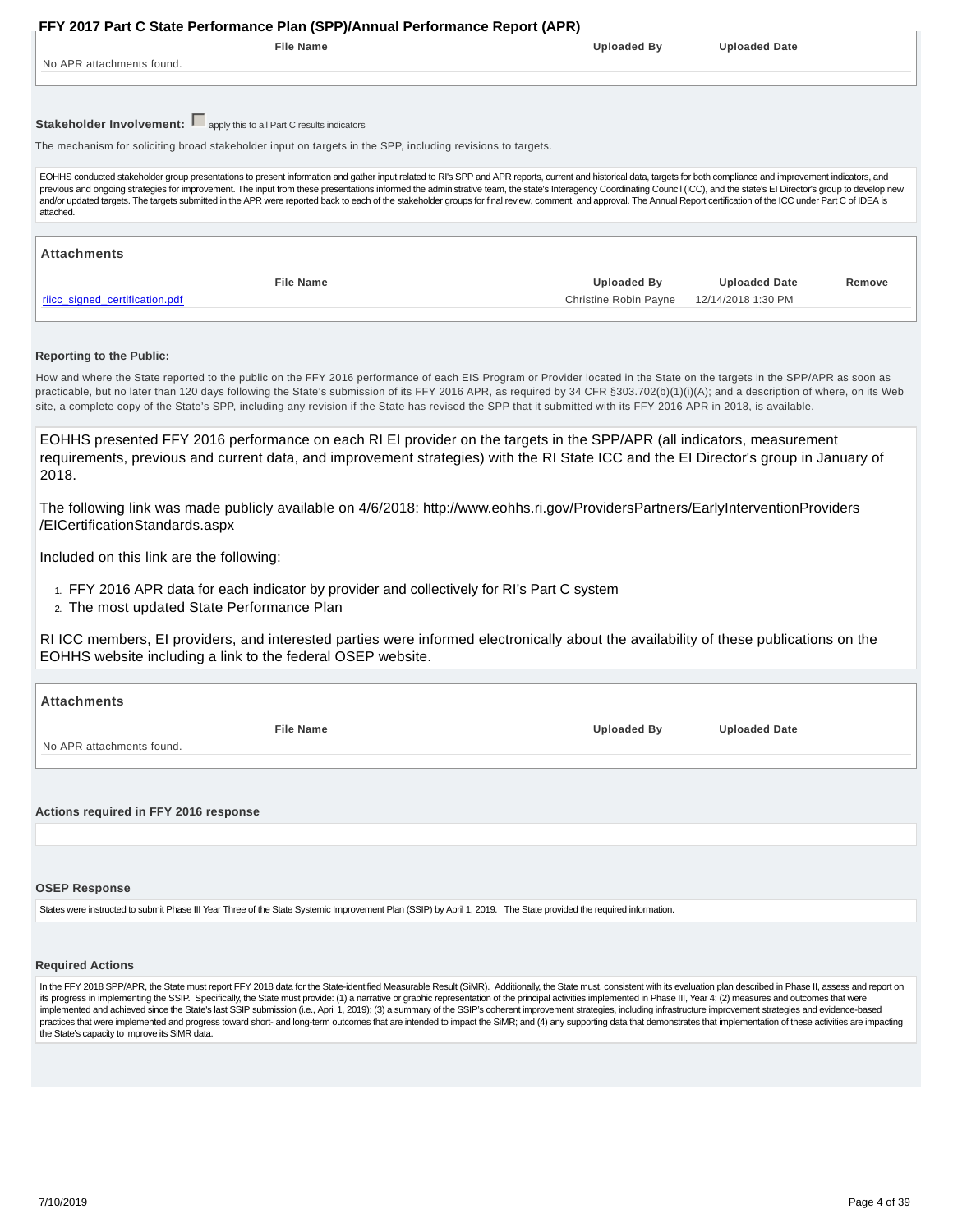<span id="page-3-0"></span>

| <b>Uploaded Date</b><br>EOHHS conducted stakeholder group presentations to present information and gather input related to RI's SPP and APR reports, current and historical data, targets for both compliance and improvement indicators, and<br>previous and ongoing strategies for improvement. The input from these presentations informed the administrative team, the state's Interagency Coordinating Council (ICC), and the state's El Director's group to develop new<br>and/or updated targets. The targets submitted in the APR were reported back to each of the stakeholder groups for final review, comment, and approval. The Annual Report certification of the ICC under Part C of IDEA is |
|------------------------------------------------------------------------------------------------------------------------------------------------------------------------------------------------------------------------------------------------------------------------------------------------------------------------------------------------------------------------------------------------------------------------------------------------------------------------------------------------------------------------------------------------------------------------------------------------------------------------------------------------------------------------------------------------------------|
|                                                                                                                                                                                                                                                                                                                                                                                                                                                                                                                                                                                                                                                                                                            |
|                                                                                                                                                                                                                                                                                                                                                                                                                                                                                                                                                                                                                                                                                                            |
|                                                                                                                                                                                                                                                                                                                                                                                                                                                                                                                                                                                                                                                                                                            |
|                                                                                                                                                                                                                                                                                                                                                                                                                                                                                                                                                                                                                                                                                                            |
|                                                                                                                                                                                                                                                                                                                                                                                                                                                                                                                                                                                                                                                                                                            |
|                                                                                                                                                                                                                                                                                                                                                                                                                                                                                                                                                                                                                                                                                                            |
|                                                                                                                                                                                                                                                                                                                                                                                                                                                                                                                                                                                                                                                                                                            |
| <b>Uploaded Date</b><br>Remove                                                                                                                                                                                                                                                                                                                                                                                                                                                                                                                                                                                                                                                                             |
| Christine Robin Payne<br>12/14/2018 1:30 PM                                                                                                                                                                                                                                                                                                                                                                                                                                                                                                                                                                                                                                                                |
| How and where the State reported to the public on the FFY 2016 performance of each EIS Program or Provider located in the State on the targets in the SPP/APR as soon as                                                                                                                                                                                                                                                                                                                                                                                                                                                                                                                                   |

| EOHHS presented FFY 2016 performance on each RI EI provider on the targets in the SPP/APR (all indicators, measurement               |
|--------------------------------------------------------------------------------------------------------------------------------------|
| requirements, previous and current data, and improvement strategies) with the RI State ICC and the EI Director's group in January of |
| 2018.                                                                                                                                |

The following link was made publicly available on 4/6/2018: http://www.eohhs.ri.gov/ProvidersPartners/EarlyInterventionProviders /EICertificationStandards.aspx

Included on this link are the following:

- 1. FFY 2016 APR data for each indicator by provider and collectively for RI's Part C system
- 2. The most updated State Performance Plan

RI ICC members, EI providers, and interested parties were informed electronically about the availability of these publications on the EOHHS website including a link to the federal OSEP website.

| <b>Attachments</b>                    |                    |                      |  |  |  |  |  |  |
|---------------------------------------|--------------------|----------------------|--|--|--|--|--|--|
| <b>File Name</b>                      | <b>Uploaded By</b> | <b>Uploaded Date</b> |  |  |  |  |  |  |
| No APR attachments found.             |                    |                      |  |  |  |  |  |  |
|                                       |                    |                      |  |  |  |  |  |  |
| Actions required in FFY 2016 response |                    |                      |  |  |  |  |  |  |
|                                       |                    |                      |  |  |  |  |  |  |
|                                       |                    |                      |  |  |  |  |  |  |

#### **OSEP Response**

States were instructed to submit Phase III Year Three of the State Systemic Improvement Plan (SSIP) by April 1, 2019. The State provided the required information.

#### **Required Actions**

In the FFY 2018 SPP/APR, the State must report FFY 2018 data for the State-identified Measurable Result (SiMR). Additionally, the State must, consistent with its evaluation plan described in Phase II, assess and report on its progress in implementing the SSIP. Specifically, the State must provide: (1) a narrative or graphic representation of the principal activities implemented in Phase III, Year 4; (2) measures and outcomes that were implemented and achieved since the State's last SSIP submission (i.e., April 1, 2019); (3) a summary of the SSIP's coherent improvement strategies, including infrastructure improvement strategies and evidence-based practices that were implemented and progress toward short- and long-term outcomes that are intended to impact the SiMR; and (4) any supporting data that demonstrates that implementation of these activities are impacting the State's capacity to improve its SiMR data.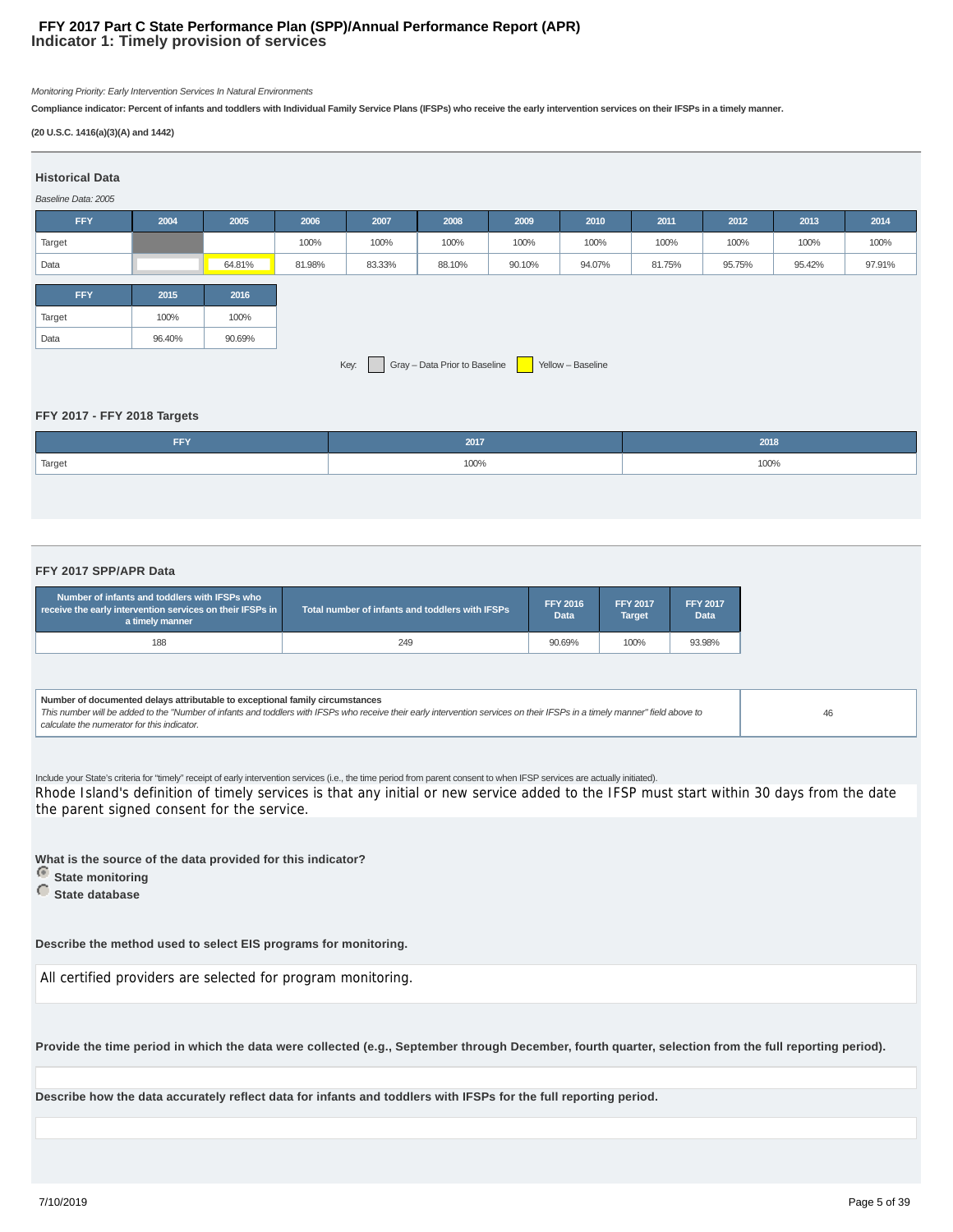#### **Indicator 1: Timely provision of services FFY 2017 Part C State Performance Plan (SPP)/Annual Performance Report (APR)**

Monitoring Priority: Early Intervention Services In Natural Environments

**Compliance indicator: Percent of infants and toddlers with Individual Family Service Plans (IFSPs) who receive the early intervention services on their IFSPs in a timely manner.**

#### **(20 U.S.C. 1416(a)(3)(A) and 1442)**

| <b>Historical Data</b><br>Baseline Data: 2005 |        |        |        |        |                               |        |                   |        |        |        |        |
|-----------------------------------------------|--------|--------|--------|--------|-------------------------------|--------|-------------------|--------|--------|--------|--------|
| <b>FFY</b>                                    | 2004   | 2005   | 2006   | 2007   | 2008                          | 2009   | 2010              | 2011   | 2012   | 2013   | 2014   |
| Target                                        |        |        | 100%   | 100%   | 100%                          | 100%   | 100%              | 100%   | 100%   | 100%   | 100%   |
| Data                                          |        | 64.81% | 81.98% | 83.33% | 88.10%                        | 90.10% | 94.07%            | 81.75% | 95.75% | 95.42% | 97.91% |
| <b>FFY</b>                                    | 2015   | 2016   |        |        |                               |        |                   |        |        |        |        |
| Target                                        | 100%   | 100%   |        |        |                               |        |                   |        |        |        |        |
| Data                                          | 96.40% | 90.69% |        |        |                               |        |                   |        |        |        |        |
|                                               |        |        |        | Key:   | Gray - Data Prior to Baseline |        | Yellow - Baseline |        |        |        |        |

#### **FFY 2017 - FFY 2018 Targets**

| <b>FFY</b> | 2017 | 2018 |
|------------|------|------|
| Target     | 100% | 100% |
|            |      |      |

#### **FFY 2017 SPP/APR Data**

| Number of infants and toddlers with IFSPs who<br>receive the early intervention services on their IFSPs in<br>a timely manner | Total number of infants and toddlers with IFSPs | <b>FFY 2016</b><br><b>Data</b> | <b>FFY 2017</b><br>Target | <b>FFY 2017</b><br><b>Data</b> |
|-------------------------------------------------------------------------------------------------------------------------------|-------------------------------------------------|--------------------------------|---------------------------|--------------------------------|
| 188                                                                                                                           | 249                                             | 90.69%                         | 100%                      | 93.98%                         |

**Number of documented delays attributable to exceptional family circumstances** This number will be added to the "Number of infants and toddlers with IFSPs who receive their early intervention services on their IFSPs in a timely manner" field above to calculate the numerator for this indicator. 46

Include your State's criteria for "timely" receipt of early intervention services (i.e., the time period from parent consent to when IFSP services are actually initiated). Rhode Island's definition of timely services is that any initial or new service added to the IFSP must start within 30 days from the date the parent signed consent for the service.

**What is the source of the data provided for this indicator?**

- **State monitoring**
- **C** State database

**Describe the method used to select EIS programs for monitoring.**

All certified providers are selected for program monitoring.

**Provide the time period in which the data were collected (e.g., September through December, fourth quarter, selection from the full reporting period).**

**Describe how the data accurately reflect data for infants and toddlers with IFSPs for the full reporting period.**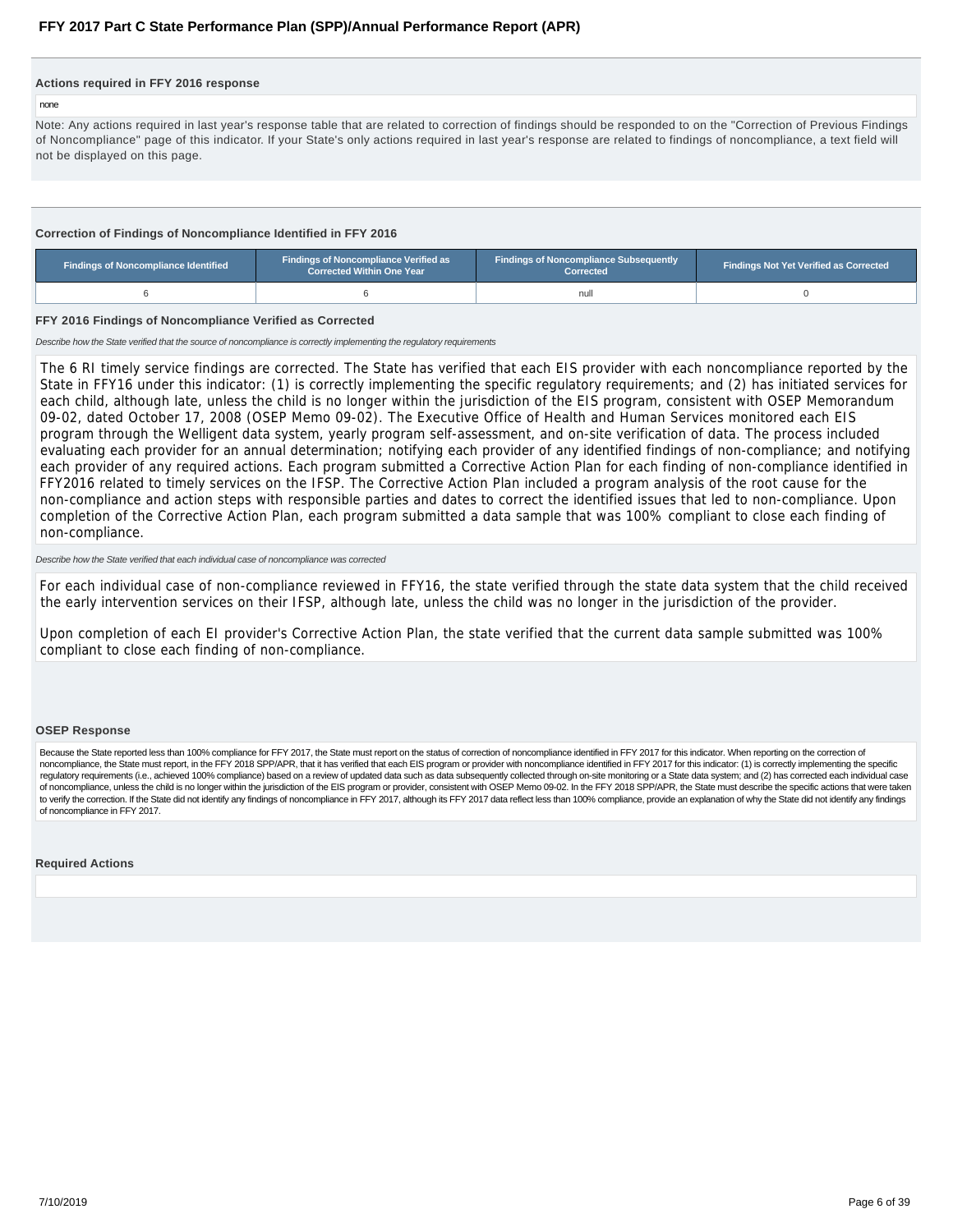#### <span id="page-5-0"></span>**Actions required in FFY 2016 response**

#### none

Note: Any actions required in last year's response table that are related to correction of findings should be responded to on the "Correction of Previous Findings of Noncompliance" page of this indicator. If your State's only actions required in last year's response are related to findings of noncompliance, a text field will not be displayed on this page.

#### **Correction of Findings of Noncompliance Identified in FFY 2016**

| Findings of Noncompliance Identified | <b>Findings of Noncompliance Verified as</b><br><b>Corrected Within One Year</b> | <b>Findings of Noncompliance Subsequently</b><br>Corrected | <b>Findings Not Yet Verified as Corrected</b> |  |  |
|--------------------------------------|----------------------------------------------------------------------------------|------------------------------------------------------------|-----------------------------------------------|--|--|
|                                      |                                                                                  | nul                                                        |                                               |  |  |

#### **FFY 2016 Findings of Noncompliance Verified as Corrected**

Describe how the State verified that the source of noncompliance is correctly implementing the regulatory requirements

The 6 RI timely service findings are corrected. The State has verified that each EIS provider with each noncompliance reported by the State in FFY16 under this indicator: (1) is correctly implementing the specific regulatory requirements; and (2) has initiated services for each child, although late, unless the child is no longer within the jurisdiction of the EIS program, consistent with OSEP Memorandum 09-02, dated October 17, 2008 (OSEP Memo 09-02). The Executive Office of Health and Human Services monitored each EIS program through the Welligent data system, yearly program self-assessment, and on-site verification of data. The process included evaluating each provider for an annual determination; notifying each provider of any identified findings of non-compliance; and notifying each provider of any required actions. Each program submitted a Corrective Action Plan for each finding of non-compliance identified in FFY2016 related to timely services on the IFSP. The Corrective Action Plan included a program analysis of the root cause for the non-compliance and action steps with responsible parties and dates to correct the identified issues that led to non-compliance. Upon completion of the Corrective Action Plan, each program submitted a data sample that was 100% compliant to close each finding of non-compliance.

#### Describe how the State verified that each individual case of noncompliance was corrected

For each individual case of non-compliance reviewed in FFY16, the state verified through the state data system that the child received the early intervention services on their IFSP, although late, unless the child was no longer in the jurisdiction of the provider.

Upon completion of each EI provider's Corrective Action Plan, the state verified that the current data sample submitted was 100% compliant to close each finding of non-compliance.

#### **OSEP Response**

Because the State reported less than 100% compliance for FFY 2017, the State must report on the status of correction of noncompliance identified in FFY 2017 for this indicator. When reporting on the correction of noncompliance, the State must report, in the FFY 2018 SPP/APR, that it has verified that each EIS program or provider with noncompliance identified in FFY 2017 for this indicator: (1) is correctly implementing the specific regulatory requirements (i.e., achieved 100% compliance) based on a review of updated data such as data subsequently collected through on-site monitoring or a State data system; and (2) has corrected each individual case of noncompliance, unless the child is no longer within the jurisdiction of the EIS program or provider, consistent with OSEP Memo 09-02. In the FFY 2018 SPP/APR, the State must describe the specific actions that were taken to verify the correction. If the State did not identify any findings of noncompliance in FFY 2017, although its FFY 2017 data reflect less than 100% compliance, provide an explanation of why the State did not identify any of noncompliance in FFY 2017.

#### **Required Actions**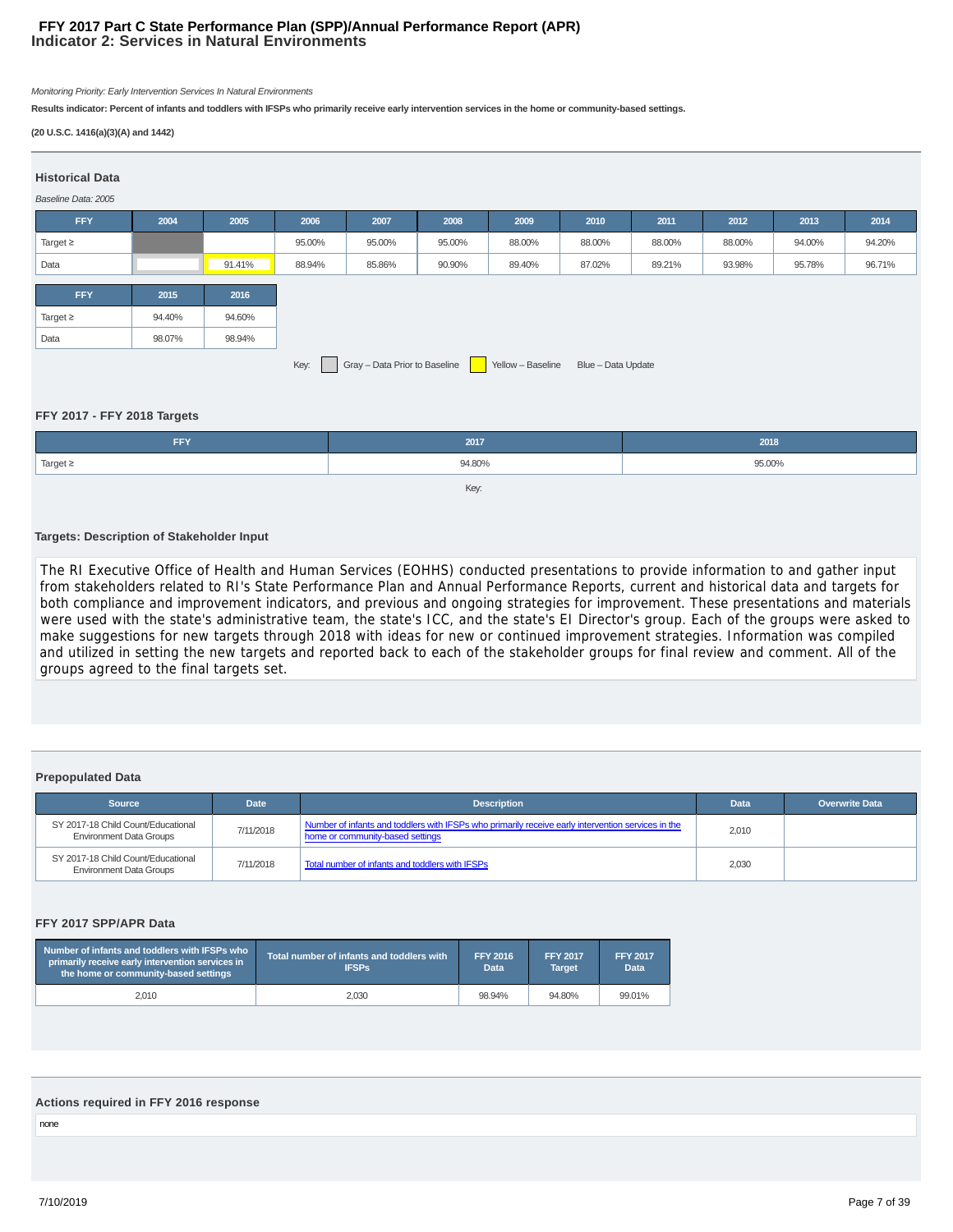#### **Indicator 2: Services in Natural Environments FFY 2017 Part C State Performance Plan (SPP)/Annual Performance Report (APR)**

Monitoring Priority: Early Intervention Services In Natural Environments

**Results indicator: Percent of infants and toddlers with IFSPs who primarily receive early intervention services in the home or community-based settings.**

#### **(20 U.S.C. 1416(a)(3)(A) and 1442)**

| <b>Historical Data</b><br>Baseline Data: 2005 |        |        |        |                               |              |                   |                    |        |        |        |        |
|-----------------------------------------------|--------|--------|--------|-------------------------------|--------------|-------------------|--------------------|--------|--------|--------|--------|
| <b>FFY</b>                                    | 2004   | 2005   | 2006   | 2007                          | 2008         | 2009              | 2010               | 2011   | 2012   | 2013   | 2014   |
| Target $\geq$                                 |        |        | 95.00% | 95.00%                        | 95.00%       | 88.00%            | 88.00%             | 88.00% | 88.00% | 94.00% | 94.20% |
| Data                                          |        | 91.41% | 88.94% | 85.86%                        | 90.90%       | 89.40%            | 87.02%             | 89.21% | 93.98% | 95.78% | 96.71% |
| <b>FFY</b>                                    | 2015   | 2016   |        |                               |              |                   |                    |        |        |        |        |
| Target $\geq$                                 | 94.40% | 94.60% |        |                               |              |                   |                    |        |        |        |        |
| Data                                          | 98.07% | 98.94% |        |                               |              |                   |                    |        |        |        |        |
|                                               |        |        | Key:   | Gray - Data Prior to Baseline | $\mathbf{L}$ | Yellow - Baseline | Blue - Data Update |        |        |        |        |

#### **FFY 2017 - FFY 2018 Targets**

| FFY.          | 2017   | 2018   |
|---------------|--------|--------|
| Target $\geq$ | 94.80% | 95.00% |
|               | Key:   |        |

#### **Targets: Description of Stakeholder Input**

The RI Executive Office of Health and Human Services (EOHHS) conducted presentations to provide information to and gather input from stakeholders related to RI's State Performance Plan and Annual Performance Reports, current and historical data and targets for both compliance and improvement indicators, and previous and ongoing strategies for improvement. These presentations and materials were used with the state's administrative team, the state's ICC, and the state's EI Director's group. Each of the groups were asked to make suggestions for new targets through 2018 with ideas for new or continued improvement strategies. Information was compiled and utilized in setting the new targets and reported back to each of the stakeholder groups for final review and comment. All of the groups agreed to the final targets set.

#### **Prepopulated Data**

| <b>Source</b>                                                        | <b>Date</b> | <b>Description</b>                                                                                                                     | Data  | <b>Overwrite Data</b> |
|----------------------------------------------------------------------|-------------|----------------------------------------------------------------------------------------------------------------------------------------|-------|-----------------------|
| SY 2017-18 Child Count/Educational<br><b>Environment Data Groups</b> | 7/11/2018   | Number of infants and toddlers with IFSPs who primarily receive early intervention services in the<br>home or community-based settings | 2,010 |                       |
| SY 2017-18 Child Count/Educational<br><b>Environment Data Groups</b> | 7/11/2018   | Total number of infants and toddlers with IFSPs                                                                                        | 2,030 |                       |

#### **FFY 2017 SPP/APR Data**

| Number of infants and toddlers with IFSPs who<br>primarily receive early intervention services in<br>the home or community-based settings | Total number of infants and toddlers with<br><b>IFSPs</b> | <b>FFY 2016</b><br>Data | <b>FFY 2017</b><br><b>Target</b> | <b>FFY 2017</b><br><b>Data</b> |
|-------------------------------------------------------------------------------------------------------------------------------------------|-----------------------------------------------------------|-------------------------|----------------------------------|--------------------------------|
| 2.010                                                                                                                                     | 2.030                                                     | 98.94%                  | 94.80%                           | 99.01%                         |

#### **Actions required in FFY 2016 response**

none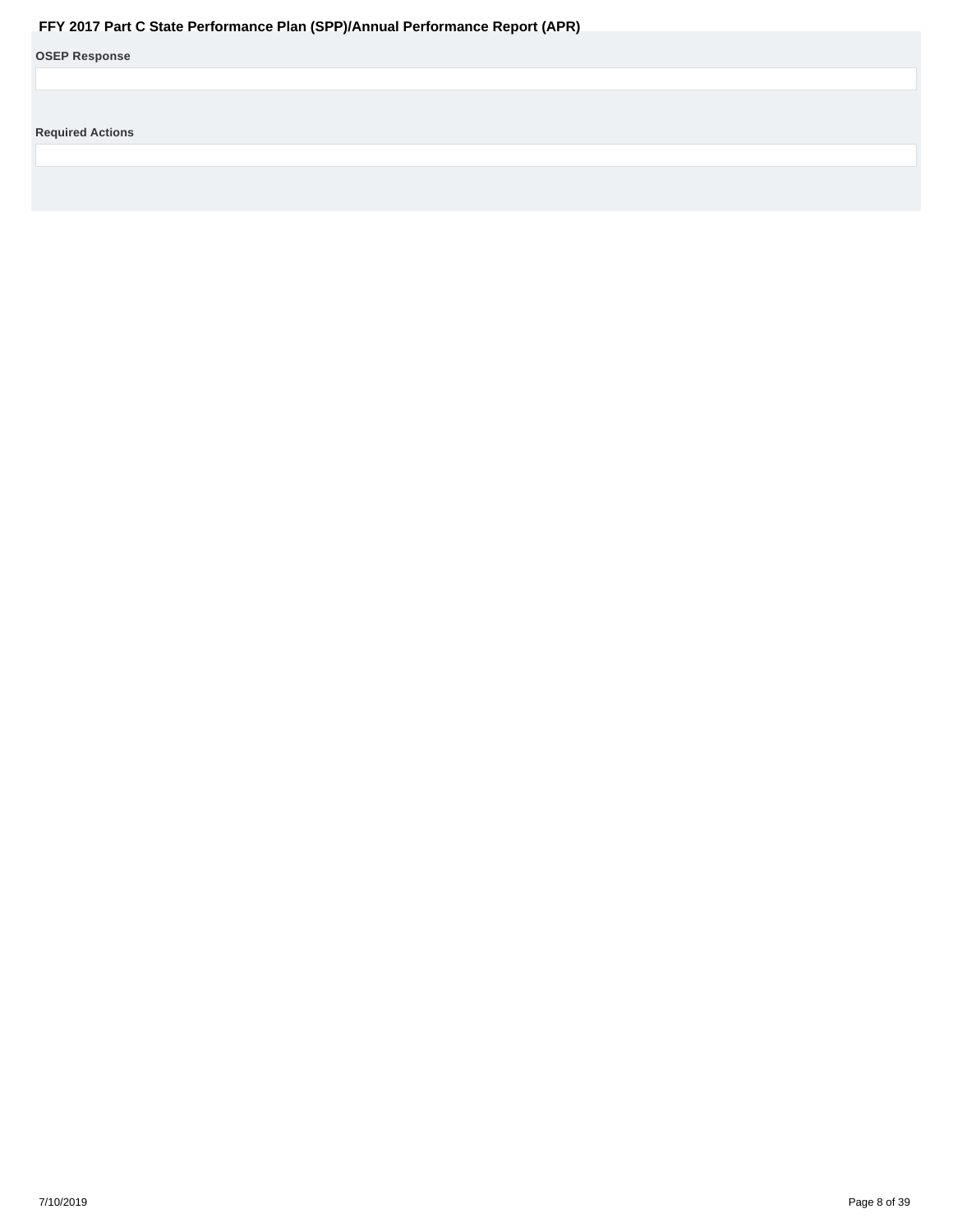<span id="page-7-0"></span>

|                         | Fr EQUIT Part C State Performance Plan (SPP)/Annual Performance Report (APR) |
|-------------------------|------------------------------------------------------------------------------|
| <b>OSEP Response</b>    |                                                                              |
|                         |                                                                              |
|                         |                                                                              |
| <b>Required Actions</b> |                                                                              |
|                         |                                                                              |
|                         |                                                                              |
|                         |                                                                              |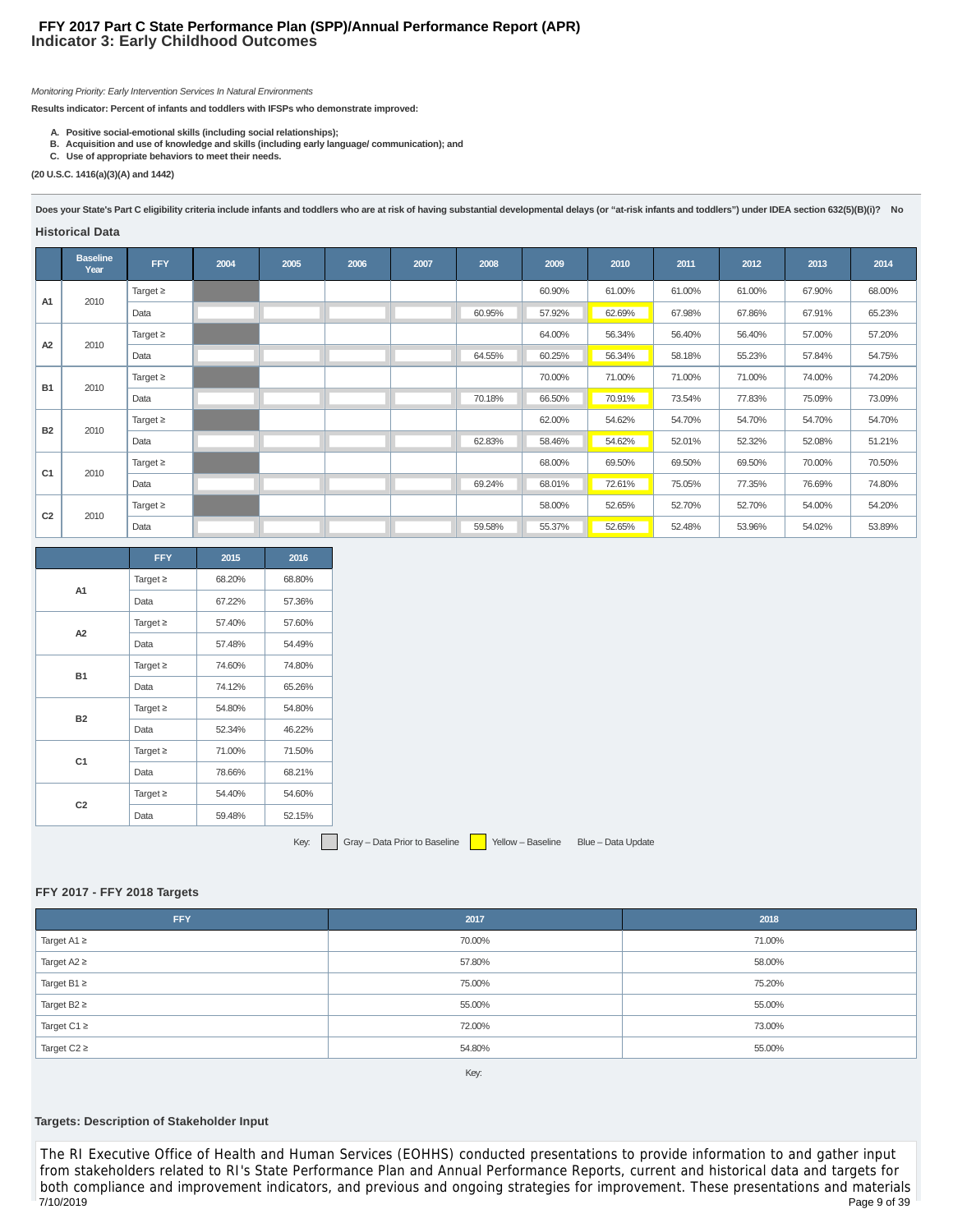#### **Indicator 3: Early Childhood Outcomes FFY 2017 Part C State Performance Plan (SPP)/Annual Performance Report (APR)**

Monitoring Priority: Early Intervention Services In Natural Environments

**Results indicator: Percent of infants and toddlers with IFSPs who demonstrate improved:**

- 
- **A. Positive social-emotional skills (including social relationships); B. Acquisition and use of knowledge and skills (including early language/ communication); and**
- **C. Use of appropriate behaviors to meet their needs.**

**(20 U.S.C. 1416(a)(3)(A) and 1442)**

Does your State's Part C eligibility criteria include infants and toddlers who are at risk of having substantial developmental delays (or "at-risk infants and toddlers") under IDEA section 632(5)(B)(i)? No

#### **Historical Data**

|                | <b>Baseline</b><br>Year | <b>FFY</b>    | 2004 | 2005 | 2006 | 2007 | 2008   | 2009   | 2010   | 2011   | 2012   | 2013   | 2014   |
|----------------|-------------------------|---------------|------|------|------|------|--------|--------|--------|--------|--------|--------|--------|
| A <sub>1</sub> | 2010                    | Target $\geq$ |      |      |      |      |        | 60.90% | 61.00% | 61.00% | 61.00% | 67.90% | 68.00% |
|                |                         | Data          |      |      |      |      | 60.95% | 57.92% | 62.69% | 67.98% | 67.86% | 67.91% | 65.23% |
| A2             | 2010                    | Target $\geq$ |      |      |      |      |        | 64.00% | 56.34% | 56.40% | 56.40% | 57.00% | 57.20% |
|                |                         | Data          |      |      |      |      | 64.55% | 60.25% | 56.34% | 58.18% | 55.23% | 57.84% | 54.75% |
| <b>B1</b>      | 2010                    | Target $\geq$ |      |      |      |      |        | 70.00% | 71.00% | 71.00% | 71.00% | 74.00% | 74.20% |
|                |                         | Data          |      |      |      |      | 70.18% | 66.50% | 70.91% | 73.54% | 77.83% | 75.09% | 73.09% |
| <b>B2</b>      | 2010                    | Target $\geq$ |      |      |      |      |        | 62.00% | 54.62% | 54.70% | 54.70% | 54.70% | 54.70% |
|                |                         | Data          |      |      |      |      | 62.83% | 58.46% | 54.62% | 52.01% | 52.32% | 52.08% | 51.21% |
| C <sub>1</sub> | 2010                    | Target $\geq$ |      |      |      |      |        | 68.00% | 69.50% | 69.50% | 69.50% | 70.00% | 70.50% |
|                |                         | Data          |      |      |      |      | 69.24% | 68.01% | 72.61% | 75.05% | 77.35% | 76.69% | 74.80% |
|                | 2010                    | Target $\geq$ |      |      |      |      |        | 58.00% | 52.65% | 52.70% | 52.70% | 54.00% | 54.20% |
| C <sub>2</sub> |                         | Data          |      |      |      |      | 59.58% | 55.37% | 52.65% | 52.48% | 53.96% | 54.02% | 53.89% |

|                | <b>FFY</b>                                                                                                                        | 2015   | 2016   |
|----------------|-----------------------------------------------------------------------------------------------------------------------------------|--------|--------|
| A1             | Target $\geq$                                                                                                                     | 68.20% | 68.80% |
|                | Data<br>Target $\geq$<br>Data<br>Target $\geq$<br>Data<br>Target $\geq$<br>Data<br>Target $\geq$<br>Data<br>Target $\geq$<br>Data | 67.22% | 57.36% |
| A2             |                                                                                                                                   | 57.40% | 57.60% |
|                |                                                                                                                                   | 57.48% | 54.49% |
| <b>B1</b>      |                                                                                                                                   | 74.60% | 74.80% |
|                |                                                                                                                                   | 74.12% | 65.26% |
| <b>B2</b>      |                                                                                                                                   | 54.80% | 54.80% |
|                |                                                                                                                                   | 52.34% | 46.22% |
| C <sub>1</sub> |                                                                                                                                   | 71.00% | 71.50% |
|                |                                                                                                                                   | 78.66% | 68.21% |
| C <sub>2</sub> |                                                                                                                                   | 54.40% | 54.60% |
|                |                                                                                                                                   | 59.48% | 52.15% |

Key: Gray – Data Prior to Baseline Yellow – Baseline Blue – Data Update

#### **FFY 2017 - FFY 2018 Targets**

| FFY                         | 2017   | 2018   |
|-----------------------------|--------|--------|
| Target $A1 \geq$            | 70.00% | 71.00% |
| Target $A2 \geq$            | 57.80% | 58.00% |
| $\sqrt{1}$ Target B1 $\geq$ | 75.00% | 75.20% |
| Target $B2 \geq$            | 55.00% | 55.00% |
| Target C1 $\geq$            | 72.00% | 73.00% |
| Target $C2 \geq$            | 54.80% | 55.00% |
|                             |        |        |

Key:

#### **Targets: Description of Stakeholder Input**

The RI Executive Office of Health and Human Services (EOHHS) conducted presentations to provide information to and gather input from stakeholders related to RI's State Performance Plan and Annual Performance Reports, current and historical data and targets for both compliance and improvement indicators, and previous and ongoing strategies for improvement. These presentations and materials 7/10/2019 Page 9 of 39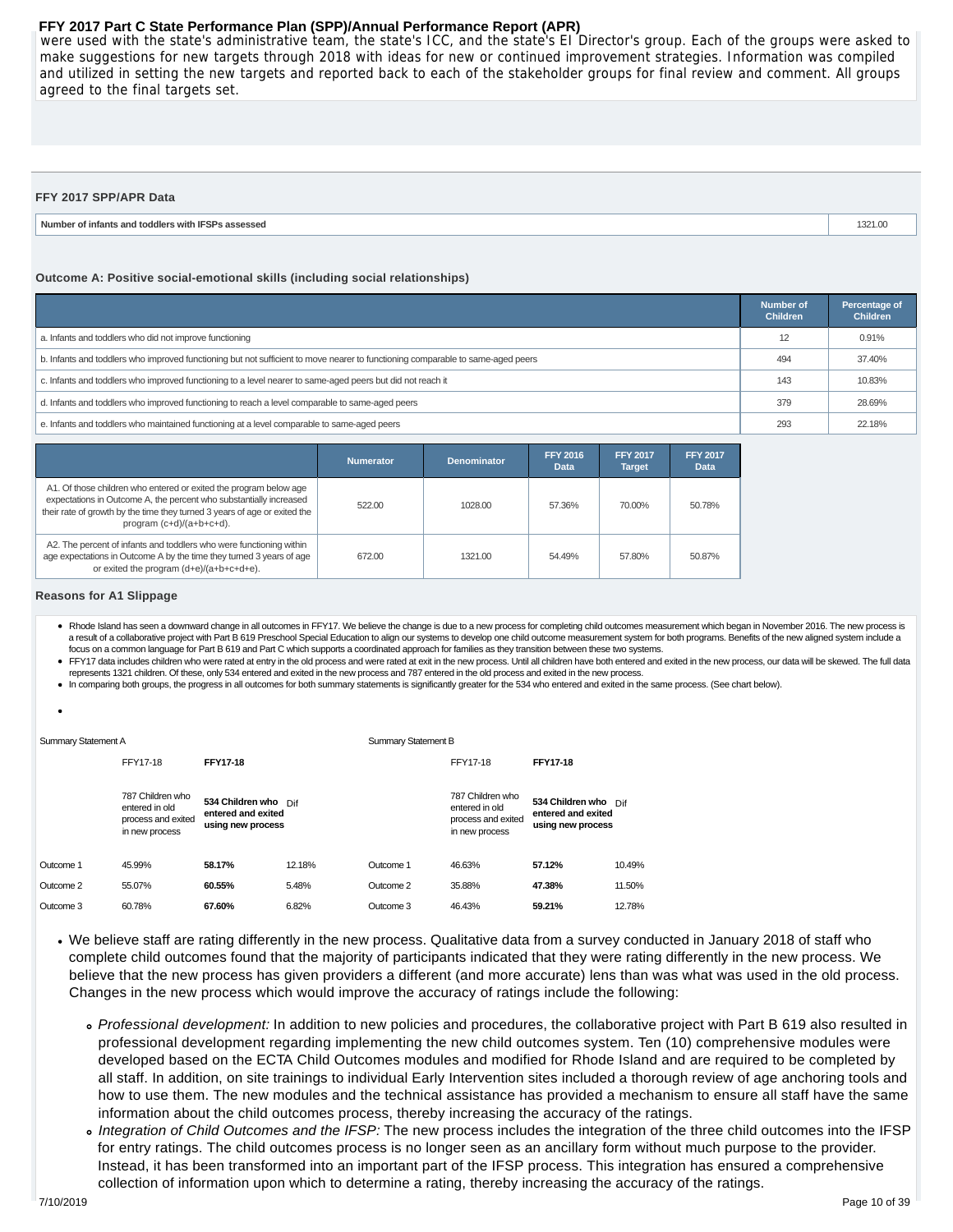were used with the state's administrative team, the state's ICC, and the state's EI Director's group. Each of the groups were asked to make suggestions for new targets through 2018 with ideas for new or continued improvement strategies. Information was compiled and utilized in setting the new targets and reported back to each of the stakeholder groups for final review and comment. All groups agreed to the final targets set.

| FFY 2017 SPP/APR Data                              |         |
|----------------------------------------------------|---------|
| Number of infants and toddlers with IFSPs assessed | 1321.00 |

#### **Outcome A: Positive social-emotional skills (including social relationships)**

|                                                                                                                                 | <b>Number of</b><br><b>Children</b> | Percentage of<br><b>Children</b> |
|---------------------------------------------------------------------------------------------------------------------------------|-------------------------------------|----------------------------------|
| a. Infants and toddlers who did not improve functioning                                                                         | 12                                  | 0.91%                            |
| b. Infants and toddlers who improved functioning but not sufficient to move nearer to functioning comparable to same-aged peers | 494                                 | 37.40%                           |
| c. Infants and toddlers who improved functioning to a level nearer to same-aged peers but did not reach it                      | 143                                 | 10.83%                           |
| d. Infants and toddlers who improved functioning to reach a level comparable to same-aged peers                                 | 379                                 | 28.69%                           |
| e. Infants and toddlers who maintained functioning at a level comparable to same-aged peers                                     | 293                                 | 22.18%                           |

|                                                                                                                                                                                                                                                  | <b>Numerator</b> | <b>Denominator</b> | <b>FFY 2016</b><br>Data | <b>FFY 2017</b><br><b>Target</b> | <b>FFY 2017</b><br>Data |
|--------------------------------------------------------------------------------------------------------------------------------------------------------------------------------------------------------------------------------------------------|------------------|--------------------|-------------------------|----------------------------------|-------------------------|
| A1. Of those children who entered or exited the program below age<br>expectations in Outcome A, the percent who substantially increased<br>their rate of growth by the time they turned 3 years of age or exited the<br>program (c+d)/(a+b+c+d). | 522.00           | 1028.00            | 57.36%                  | 70.00%                           | 50.78%                  |
| A2. The percent of infants and toddlers who were functioning within<br>age expectations in Outcome A by the time they turned 3 years of age<br>or exited the program (d+e)/(a+b+c+d+e).                                                          | 672.00           | 1321.00            | 54.49%                  | 57.80%                           | 50.87%                  |

#### **Reasons for A1 Slippage**

- . Rhode Island has seen a downward change in all outcomes in FFY17. We believe the change is due to a new process for completing child outcomes measurement which began in November 2016. The new process is a result of a collaborative project with Part B 619 Preschool Special Education to align our systems to develop one child outcome measurement system for both programs. Benefits of the new aligned system include a focus on a common language for Part B 619 and Part C which supports a coordinated approach for families as they transition between these two systems.
- FFY17 data includes children who were rated at entry in the old process and were rated at exit in the new process. Until all children have both entered and exited in the new process, our data will be skewed. The full data represents 1321 children. Of these, only 534 entered and exited in the new process and 787 entered in the old process and exited in the new process.
- In comparing both groups, the progress in all outcomes for both summary statements is significantly greater for the 534 who entered and exited in the same process. (See chart below).

| Summary Statement A |                                                                            |                                                                 | <b>Summary Statement B</b> |           |                                                                            |                                                                 |        |
|---------------------|----------------------------------------------------------------------------|-----------------------------------------------------------------|----------------------------|-----------|----------------------------------------------------------------------------|-----------------------------------------------------------------|--------|
|                     | FFY17-18                                                                   | <b>FFY17-18</b>                                                 |                            |           | FFY17-18                                                                   | <b>FFY17-18</b>                                                 |        |
|                     | 787 Children who<br>entered in old<br>process and exited<br>in new process | 534 Children who Dif<br>entered and exited<br>using new process |                            |           | 787 Children who<br>entered in old<br>process and exited<br>in new process | 534 Children who Dif<br>entered and exited<br>using new process |        |
| Outcome 1           | 45.99%                                                                     | 58.17%                                                          | 12.18%                     | Outcome 1 | 46.63%                                                                     | 57.12%                                                          | 10.49% |
| Outcome 2           | 55.07%                                                                     | 60.55%                                                          | 5.48%                      | Outcome 2 | 35.88%                                                                     | 47.38%                                                          | 11.50% |
| Outcome 3           | 60.78%                                                                     | 67.60%                                                          | 6.82%                      | Outcome 3 | 46.43%                                                                     | 59.21%                                                          | 12.78% |

- We believe staff are rating differently in the new process. Qualitative data from a survey conducted in January 2018 of staff who complete child outcomes found that the majority of participants indicated that they were rating differently in the new process. We believe that the new process has given providers a different (and more accurate) lens than was what was used in the old process. Changes in the new process which would improve the accuracy of ratings include the following:
	- Professional development: In addition to new policies and procedures, the collaborative project with Part B 619 also resulted in professional development regarding implementing the new child outcomes system. Ten (10) comprehensive modules were developed based on the ECTA Child Outcomes modules and modified for Rhode Island and are required to be completed by all staff. In addition, on site trainings to individual Early Intervention sites included a thorough review of age anchoring tools and how to use them. The new modules and the technical assistance has provided a mechanism to ensure all staff have the same information about the child outcomes process, thereby increasing the accuracy of the ratings.
	- o Integration of Child Outcomes and the IFSP: The new process includes the integration of the three child outcomes into the IFSP for entry ratings. The child outcomes process is no longer seen as an ancillary form without much purpose to the provider. Instead, it has been transformed into an important part of the IFSP process. This integration has ensured a comprehensive collection of information upon which to determine a rating, thereby increasing the accuracy of the ratings.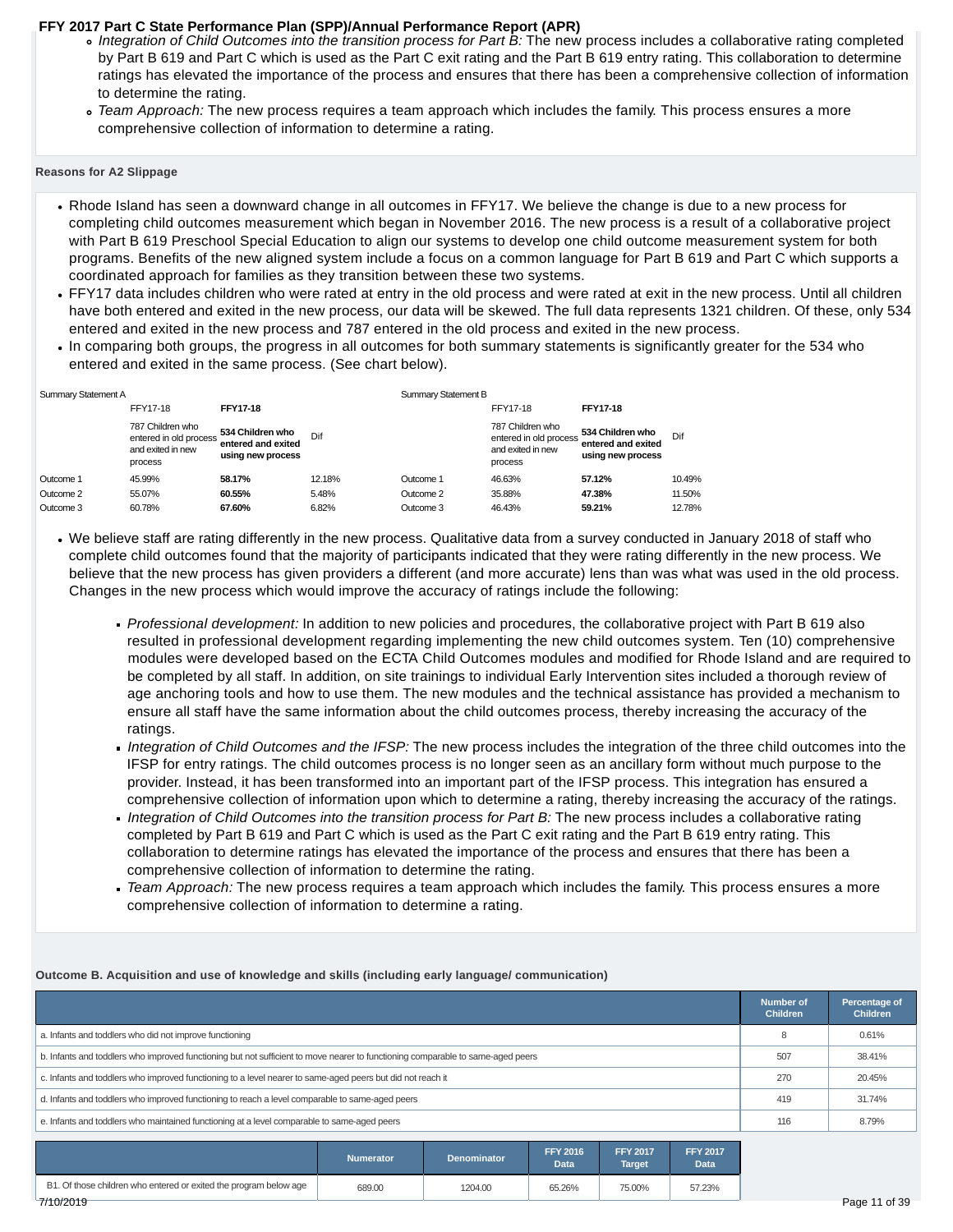- o Integration of Child Outcomes into the transition process for Part B: The new process includes a collaborative rating completed by Part B 619 and Part C which is used as the Part C exit rating and the Part B 619 entry rating. This collaboration to determine ratings has elevated the importance of the process and ensures that there has been a comprehensive collection of information to determine the rating.
- Team Approach: The new process requires a team approach which includes the family. This process ensures a more comprehensive collection of information to determine a rating.

#### **Reasons for A2 Slippage**

- Rhode Island has seen a downward change in all outcomes in FFY17. We believe the change is due to a new process for completing child outcomes measurement which began in November 2016. The new process is a result of a collaborative project with Part B 619 Preschool Special Education to align our systems to develop one child outcome measurement system for both programs. Benefits of the new aligned system include a focus on a common language for Part B 619 and Part C which supports a coordinated approach for families as they transition between these two systems.
- FFY17 data includes children who were rated at entry in the old process and were rated at exit in the new process. Until all children have both entered and exited in the new process, our data will be skewed. The full data represents 1321 children. Of these, only 534 entered and exited in the new process and 787 entered in the old process and exited in the new process.
- In comparing both groups, the progress in all outcomes for both summary statements is significantly greater for the 534 who entered and exited in the same process. (See chart below).

| Summary Statement A |                                                                            |                                                             |        | <b>Summary Statement B</b> |                                                                            |                                                             |        |
|---------------------|----------------------------------------------------------------------------|-------------------------------------------------------------|--------|----------------------------|----------------------------------------------------------------------------|-------------------------------------------------------------|--------|
|                     | FFY17-18                                                                   | FFY17-18                                                    |        |                            | FFY17-18                                                                   | <b>FFY17-18</b>                                             |        |
|                     | 787 Children who<br>entered in old process<br>and exited in new<br>process | 534 Children who<br>entered and exited<br>using new process | Dif    |                            | 787 Children who<br>entered in old process<br>and exited in new<br>process | 534 Children who<br>entered and exited<br>using new process | Dif    |
| Outcome 1           | 45.99%                                                                     | 58.17%                                                      | 12.18% | Outcome 1                  | 46.63%                                                                     | 57.12%                                                      | 10.49% |
| Outcome 2           | 55.07%                                                                     | 60.55%                                                      | 5.48%  | Outcome 2                  | 35.88%                                                                     | 47.38%                                                      | 11.50% |
| Outcome 3           | 60.78%                                                                     | 67.60%                                                      | 6.82%  | Outcome 3                  | 46.43%                                                                     | 59.21%                                                      | 12.78% |

- We believe staff are rating differently in the new process. Qualitative data from a survey conducted in January 2018 of staff who complete child outcomes found that the majority of participants indicated that they were rating differently in the new process. We believe that the new process has given providers a different (and more accurate) lens than was what was used in the old process. Changes in the new process which would improve the accuracy of ratings include the following:
	- Professional development: In addition to new policies and procedures, the collaborative project with Part B 619 also resulted in professional development regarding implementing the new child outcomes system. Ten (10) comprehensive modules were developed based on the ECTA Child Outcomes modules and modified for Rhode Island and are required to be completed by all staff. In addition, on site trainings to individual Early Intervention sites included a thorough review of age anchoring tools and how to use them. The new modules and the technical assistance has provided a mechanism to ensure all staff have the same information about the child outcomes process, thereby increasing the accuracy of the ratings.
	- Integration of Child Outcomes and the IFSP: The new process includes the integration of the three child outcomes into the IFSP for entry ratings. The child outcomes process is no longer seen as an ancillary form without much purpose to the provider. Instead, it has been transformed into an important part of the IFSP process. This integration has ensured a comprehensive collection of information upon which to determine a rating, thereby increasing the accuracy of the ratings.
	- Integration of Child Outcomes into the transition process for Part B: The new process includes a collaborative rating completed by Part B 619 and Part C which is used as the Part C exit rating and the Part B 619 entry rating. This collaboration to determine ratings has elevated the importance of the process and ensures that there has been a comprehensive collection of information to determine the rating.
	- Team Approach: The new process requires a team approach which includes the family. This process ensures a more comprehensive collection of information to determine a rating.

#### **Outcome B. Acquisition and use of knowledge and skills (including early language/ communication)**

|                                                                                                                                 | <b>Number of</b><br><b>Children</b> | Percentage of<br><b>Children</b> |
|---------------------------------------------------------------------------------------------------------------------------------|-------------------------------------|----------------------------------|
| a. Infants and toddlers who did not improve functioning                                                                         |                                     | 0.61%                            |
| b. Infants and toddlers who improved functioning but not sufficient to move nearer to functioning comparable to same-aged peers | 507                                 | 38.41%                           |
| c. Infants and toddlers who improved functioning to a level nearer to same-aged peers but did not reach it                      | 270                                 | 20.45%                           |
| d. Infants and toddlers who improved functioning to reach a level comparable to same-aged peers                                 | 419                                 | 31.74%                           |
| e. Infants and toddlers who maintained functioning at a level comparable to same-aged peers                                     | 116                                 | 8.79%                            |

|                                                                   | Numerator | <b>Denominator</b> | <b>FFY 2016</b><br>Data | <b>FFY 2017</b><br><b>Target</b> | <b>FFY 2017</b><br>Data |
|-------------------------------------------------------------------|-----------|--------------------|-------------------------|----------------------------------|-------------------------|
| B1. Of those children who entered or exited the program below age | 689.00    | 1204.00            | 65.26%                  | 75.00%                           | 57.23%                  |
| 7/10/2019                                                         |           |                    |                         |                                  |                         |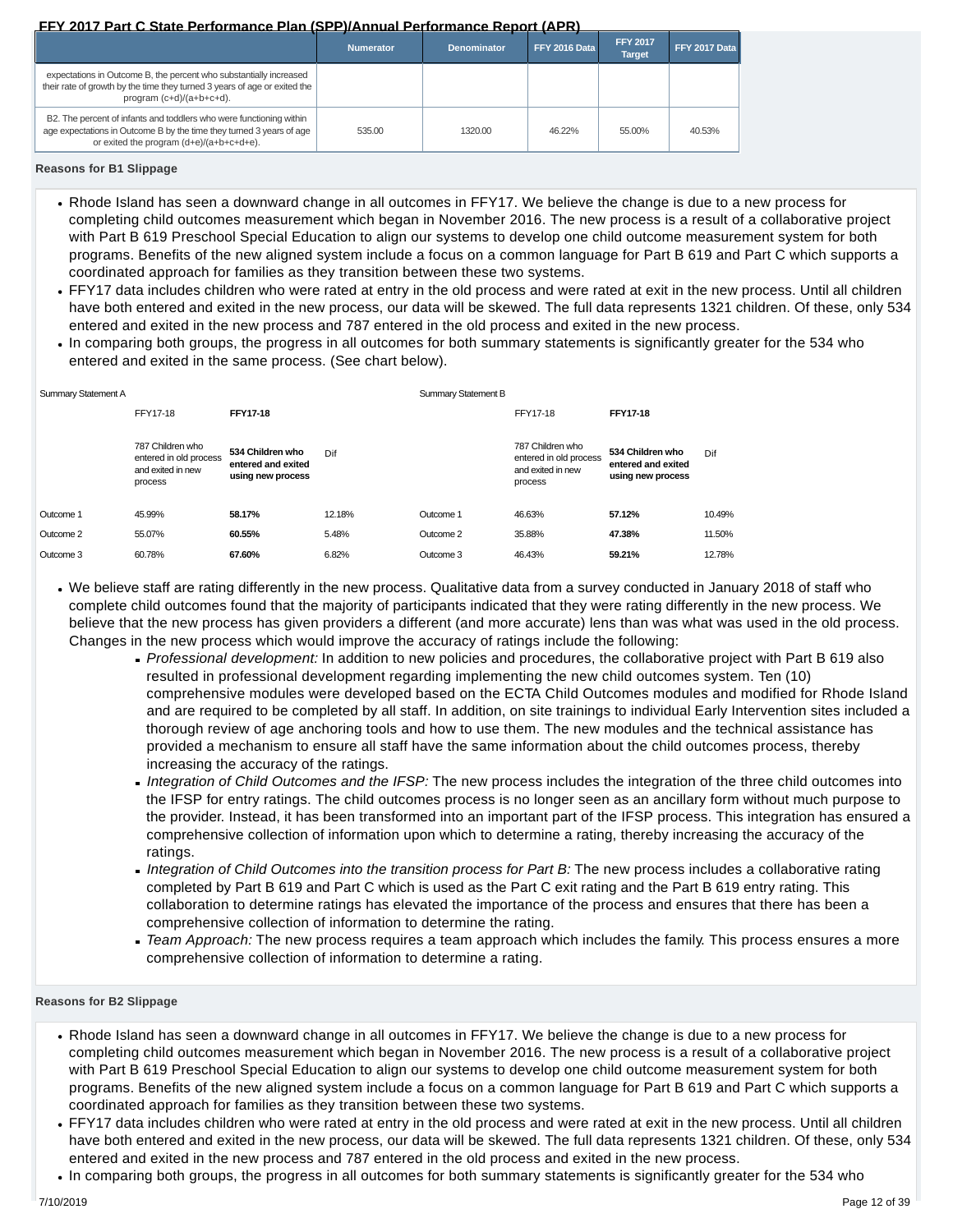|                                                                                                                                                                                         | <b>Numerator</b> | <b>Denominator</b> | FFY 2016 Data | <b>FFY 2017</b><br><b>Target</b> | FFY 2017 Data |
|-----------------------------------------------------------------------------------------------------------------------------------------------------------------------------------------|------------------|--------------------|---------------|----------------------------------|---------------|
| expectations in Outcome B, the percent who substantially increased<br>their rate of growth by the time they turned 3 years of age or exited the<br>program (c+d)/(a+b+c+d).             |                  |                    |               |                                  |               |
| B2. The percent of infants and toddlers who were functioning within<br>age expectations in Outcome B by the time they turned 3 years of age<br>or exited the program (d+e)/(a+b+c+d+e). | 535.00           | 1320.00            | 46.22%        | 55.00%                           | 40.53%        |

**Reasons for B1 Slippage**

- Rhode Island has seen a downward change in all outcomes in FFY17. We believe the change is due to a new process for completing child outcomes measurement which began in November 2016. The new process is a result of a collaborative project with Part B 619 Preschool Special Education to align our systems to develop one child outcome measurement system for both programs. Benefits of the new aligned system include a focus on a common language for Part B 619 and Part C which supports a coordinated approach for families as they transition between these two systems.
- FFY17 data includes children who were rated at entry in the old process and were rated at exit in the new process. Until all children have both entered and exited in the new process, our data will be skewed. The full data represents 1321 children. Of these, only 534 entered and exited in the new process and 787 entered in the old process and exited in the new process.
- In comparing both groups, the progress in all outcomes for both summary statements is significantly greater for the 534 who entered and exited in the same process. (See chart below).

| Summary Statement A                                                        |                                                             |        | <b>Summary Statement B</b> |                                                                            |                                                             |        |
|----------------------------------------------------------------------------|-------------------------------------------------------------|--------|----------------------------|----------------------------------------------------------------------------|-------------------------------------------------------------|--------|
| FFY17-18                                                                   | FFY17-18                                                    |        |                            | FFY17-18                                                                   | <b>FFY17-18</b>                                             |        |
| 787 Children who<br>entered in old process<br>and exited in new<br>process | 534 Children who<br>entered and exited<br>using new process | Dif    |                            | 787 Children who<br>entered in old process<br>and exited in new<br>process | 534 Children who<br>entered and exited<br>using new process | Dif    |
| 45.99%<br>Outcome 1                                                        | 58.17%                                                      | 12.18% | Outcome 1                  | 46.63%                                                                     | 57.12%                                                      | 10.49% |
| Outcome 2<br>55.07%                                                        | 60.55%                                                      | 5.48%  | Outcome 2                  | 35.88%                                                                     | 47.38%                                                      | 11.50% |
| 60.78%<br>Outcome 3                                                        | 67.60%                                                      | 6.82%  | Outcome 3                  | 46.43%                                                                     | 59.21%                                                      | 12.78% |

- We believe staff are rating differently in the new process. Qualitative data from a survey conducted in January 2018 of staff who complete child outcomes found that the majority of participants indicated that they were rating differently in the new process. We believe that the new process has given providers a different (and more accurate) lens than was what was used in the old process. Changes in the new process which would improve the accuracy of ratings include the following:
	- Professional development: In addition to new policies and procedures, the collaborative project with Part B 619 also resulted in professional development regarding implementing the new child outcomes system. Ten (10) comprehensive modules were developed based on the ECTA Child Outcomes modules and modified for Rhode Island and are required to be completed by all staff. In addition, on site trainings to individual Early Intervention sites included a thorough review of age anchoring tools and how to use them. The new modules and the technical assistance has provided a mechanism to ensure all staff have the same information about the child outcomes process, thereby increasing the accuracy of the ratings.
	- Integration of Child Outcomes and the IFSP: The new process includes the integration of the three child outcomes into the IFSP for entry ratings. The child outcomes process is no longer seen as an ancillary form without much purpose to the provider. Instead, it has been transformed into an important part of the IFSP process. This integration has ensured a comprehensive collection of information upon which to determine a rating, thereby increasing the accuracy of the ratings.
	- Integration of Child Outcomes into the transition process for Part B: The new process includes a collaborative rating completed by Part B 619 and Part C which is used as the Part C exit rating and the Part B 619 entry rating. This collaboration to determine ratings has elevated the importance of the process and ensures that there has been a comprehensive collection of information to determine the rating.
	- Team Approach: The new process requires a team approach which includes the family. This process ensures a more comprehensive collection of information to determine a rating.

**Reasons for B2 Slippage**

- Rhode Island has seen a downward change in all outcomes in FFY17. We believe the change is due to a new process for completing child outcomes measurement which began in November 2016. The new process is a result of a collaborative project with Part B 619 Preschool Special Education to align our systems to develop one child outcome measurement system for both programs. Benefits of the new aligned system include a focus on a common language for Part B 619 and Part C which supports a coordinated approach for families as they transition between these two systems.
- FFY17 data includes children who were rated at entry in the old process and were rated at exit in the new process. Until all children have both entered and exited in the new process, our data will be skewed. The full data represents 1321 children. Of these, only 534 entered and exited in the new process and 787 entered in the old process and exited in the new process.
- In comparing both groups, the progress in all outcomes for both summary statements is significantly greater for the 534 who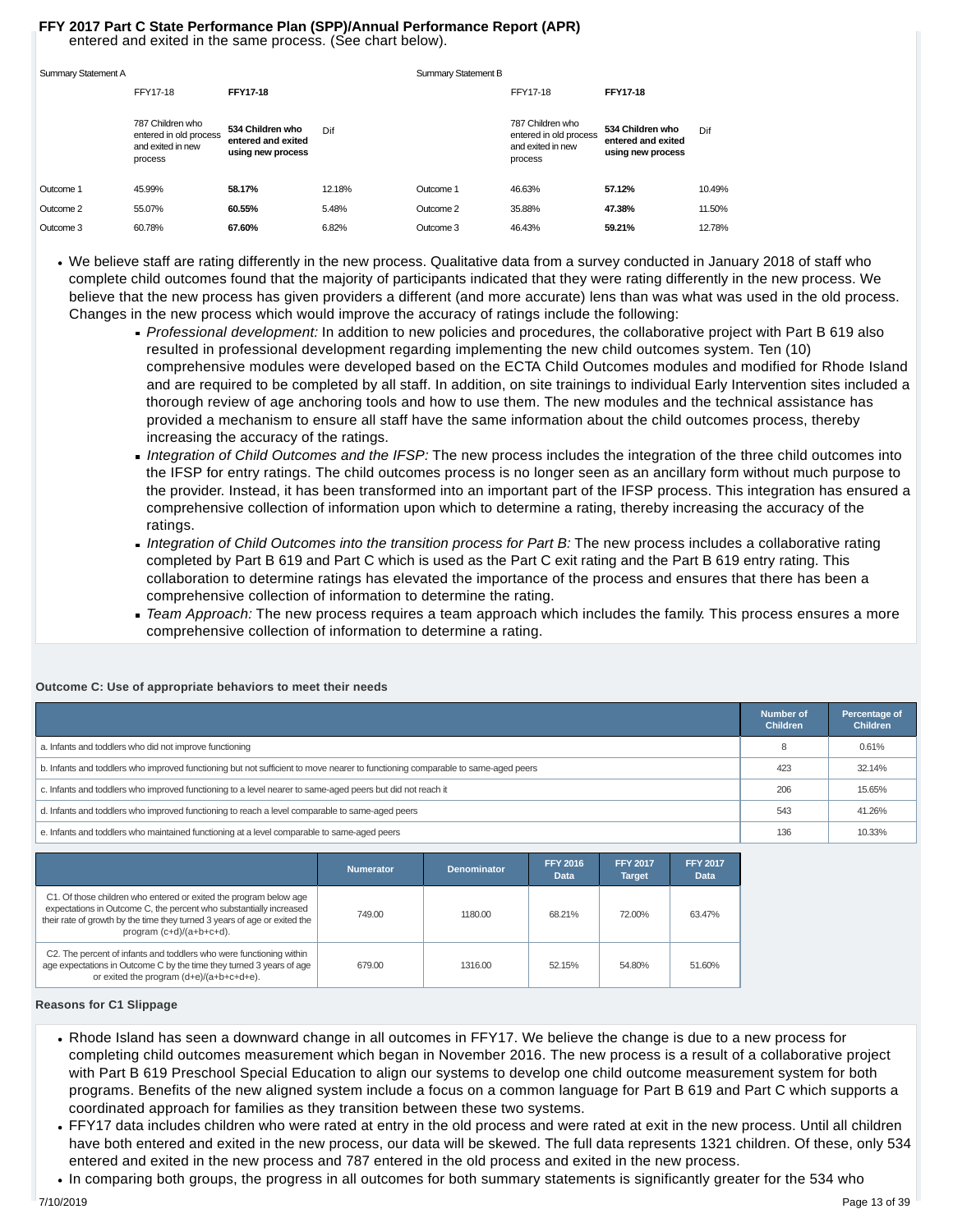#### entered and exited in the same process. (See chart below). **FFY 2017 Part C State Performance Plan (SPP)/Annual Performance Report (APR)**

| Summary Statement A |                                                                            |                                                             |        | Summary Statement B |                                                                            |                                                             |        |
|---------------------|----------------------------------------------------------------------------|-------------------------------------------------------------|--------|---------------------|----------------------------------------------------------------------------|-------------------------------------------------------------|--------|
|                     | FFY17-18                                                                   | <b>FFY17-18</b>                                             |        |                     | FFY17-18                                                                   | <b>FFY17-18</b>                                             |        |
|                     | 787 Children who<br>entered in old process<br>and exited in new<br>process | 534 Children who<br>entered and exited<br>using new process | Dif    |                     | 787 Children who<br>entered in old process<br>and exited in new<br>process | 534 Children who<br>entered and exited<br>using new process | Dif    |
| Outcome 1           | 45.99%                                                                     | 58.17%                                                      | 12.18% | Outcome 1           | 46.63%                                                                     | 57.12%                                                      | 10.49% |
| Outcome 2           | 55.07%                                                                     | 60.55%                                                      | 5.48%  | Outcome 2           | 35.88%                                                                     | 47.38%                                                      | 11.50% |
| Outcome 3           | 60.78%                                                                     | 67.60%                                                      | 6.82%  | Outcome 3           | 46.43%                                                                     | 59.21%                                                      | 12.78% |

- We believe staff are rating differently in the new process. Qualitative data from a survey conducted in January 2018 of staff who complete child outcomes found that the majority of participants indicated that they were rating differently in the new process. We believe that the new process has given providers a different (and more accurate) lens than was what was used in the old process. Changes in the new process which would improve the accuracy of ratings include the following:
	- Professional development: In addition to new policies and procedures, the collaborative project with Part B 619 also resulted in professional development regarding implementing the new child outcomes system. Ten (10) comprehensive modules were developed based on the ECTA Child Outcomes modules and modified for Rhode Island and are required to be completed by all staff. In addition, on site trainings to individual Early Intervention sites included a thorough review of age anchoring tools and how to use them. The new modules and the technical assistance has provided a mechanism to ensure all staff have the same information about the child outcomes process, thereby increasing the accuracy of the ratings.
	- Integration of Child Outcomes and the IFSP: The new process includes the integration of the three child outcomes into the IFSP for entry ratings. The child outcomes process is no longer seen as an ancillary form without much purpose to the provider. Instead, it has been transformed into an important part of the IFSP process. This integration has ensured a comprehensive collection of information upon which to determine a rating, thereby increasing the accuracy of the ratings.
	- Integration of Child Outcomes into the transition process for Part B: The new process includes a collaborative rating completed by Part B 619 and Part C which is used as the Part C exit rating and the Part B 619 entry rating. This collaboration to determine ratings has elevated the importance of the process and ensures that there has been a comprehensive collection of information to determine the rating.
	- Team Approach: The new process requires a team approach which includes the family. This process ensures a more comprehensive collection of information to determine a rating.

|                                                                                                                                 | Number of<br><b>Children</b> | Percentage of<br><b>Children</b> |
|---------------------------------------------------------------------------------------------------------------------------------|------------------------------|----------------------------------|
| a. Infants and toddlers who did not improve functioning                                                                         |                              | 0.61%                            |
| b. Infants and toddlers who improved functioning but not sufficient to move nearer to functioning comparable to same-aged peers | 423                          | 32.14%                           |
| c. Infants and toddlers who improved functioning to a level nearer to same-aged peers but did not reach it                      | 206                          | 15.65%                           |
| d. Infants and toddlers who improved functioning to reach a level comparable to same-aged peers                                 | 543                          | 41.26%                           |
| e. Infants and toddlers who maintained functioning at a level comparable to same-aged peers                                     | 136                          | 10.33%                           |

#### **Outcome C: Use of appropriate behaviors to meet their needs**

|                                                                                                                                                                                                                                                  | <b>Numerator</b> | <b>Denominator</b> | <b>FFY 2016</b><br><b>Data</b> | <b>FFY 2017</b><br><b>Target</b> | <b>FFY 2017</b><br>Data |
|--------------------------------------------------------------------------------------------------------------------------------------------------------------------------------------------------------------------------------------------------|------------------|--------------------|--------------------------------|----------------------------------|-------------------------|
| C1. Of those children who entered or exited the program below age<br>expectations in Outcome C, the percent who substantially increased<br>their rate of growth by the time they turned 3 years of age or exited the<br>program (c+d)/(a+b+c+d). | 749.00           | 1180.00            | 68.21%                         | 72.00%                           | 63.47%                  |
| C2. The percent of infants and toddlers who were functioning within<br>age expectations in Outcome C by the time they turned 3 years of age<br>or exited the program (d+e)/(a+b+c+d+e).                                                          | 679.00           | 1316.00            | 52.15%                         | 54.80%                           | 51.60%                  |

#### **Reasons for C1 Slippage**

- Rhode Island has seen a downward change in all outcomes in FFY17. We believe the change is due to a new process for completing child outcomes measurement which began in November 2016. The new process is a result of a collaborative project with Part B 619 Preschool Special Education to align our systems to develop one child outcome measurement system for both programs. Benefits of the new aligned system include a focus on a common language for Part B 619 and Part C which supports a coordinated approach for families as they transition between these two systems.
- FFY17 data includes children who were rated at entry in the old process and were rated at exit in the new process. Until all children have both entered and exited in the new process, our data will be skewed. The full data represents 1321 children. Of these, only 534 entered and exited in the new process and 787 entered in the old process and exited in the new process.
- In comparing both groups, the progress in all outcomes for both summary statements is significantly greater for the 534 who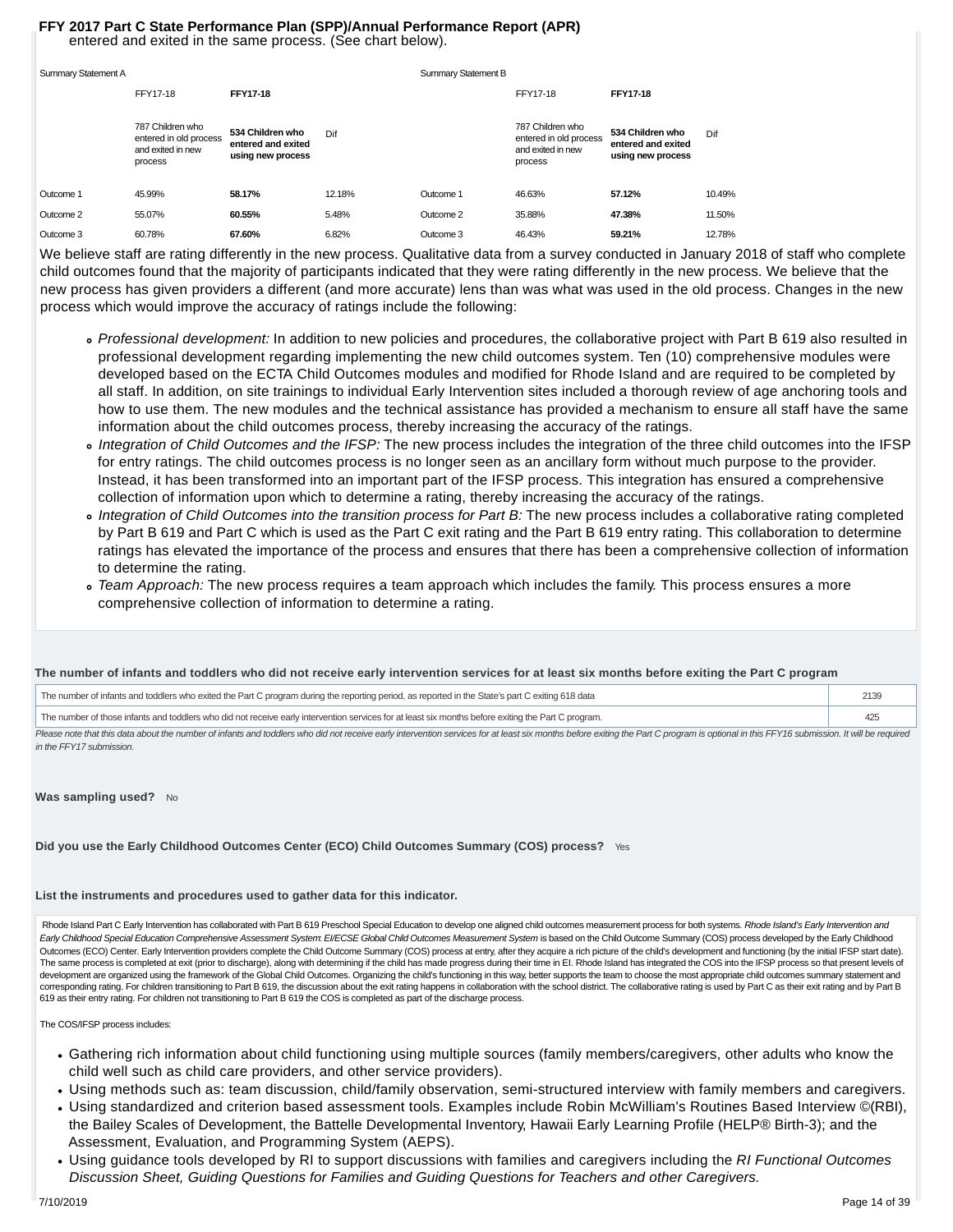#### entered and exited in the same process. (See chart below). **FFY 2017 Part C State Performance Plan (SPP)/Annual Performance Report (APR)**

| Summary Statement A |                                                                            |                                                             |        | Summary Statement B |                                                                            |                                                             |        |
|---------------------|----------------------------------------------------------------------------|-------------------------------------------------------------|--------|---------------------|----------------------------------------------------------------------------|-------------------------------------------------------------|--------|
|                     | FFY17-18                                                                   | <b>FFY17-18</b>                                             |        |                     | FFY17-18                                                                   | <b>FFY17-18</b>                                             |        |
|                     | 787 Children who<br>entered in old process<br>and exited in new<br>process | 534 Children who<br>entered and exited<br>using new process | Dif    |                     | 787 Children who<br>entered in old process<br>and exited in new<br>process | 534 Children who<br>entered and exited<br>using new process | Dif    |
| Outcome 1           | 45.99%                                                                     | 58.17%                                                      | 12.18% | Outcome 1           | 46.63%                                                                     | 57.12%                                                      | 10.49% |
| Outcome 2           | 55.07%                                                                     | 60.55%                                                      | 5.48%  | Outcome 2           | 35.88%                                                                     | 47.38%                                                      | 11.50% |
| Outcome 3           | 60.78%                                                                     | 67.60%                                                      | 6.82%  | Outcome 3           | 46.43%                                                                     | 59.21%                                                      | 12.78% |

We believe staff are rating differently in the new process. Qualitative data from a survey conducted in January 2018 of staff who complete child outcomes found that the majority of participants indicated that they were rating differently in the new process. We believe that the new process has given providers a different (and more accurate) lens than was what was used in the old process. Changes in the new process which would improve the accuracy of ratings include the following:

- Professional development: In addition to new policies and procedures, the collaborative project with Part B 619 also resulted in professional development regarding implementing the new child outcomes system. Ten (10) comprehensive modules were developed based on the ECTA Child Outcomes modules and modified for Rhode Island and are required to be completed by all staff. In addition, on site trainings to individual Early Intervention sites included a thorough review of age anchoring tools and how to use them. The new modules and the technical assistance has provided a mechanism to ensure all staff have the same information about the child outcomes process, thereby increasing the accuracy of the ratings.
- o Integration of Child Outcomes and the IFSP: The new process includes the integration of the three child outcomes into the IFSP for entry ratings. The child outcomes process is no longer seen as an ancillary form without much purpose to the provider. Instead, it has been transformed into an important part of the IFSP process. This integration has ensured a comprehensive collection of information upon which to determine a rating, thereby increasing the accuracy of the ratings.
- o Integration of Child Outcomes into the transition process for Part B: The new process includes a collaborative rating completed by Part B 619 and Part C which is used as the Part C exit rating and the Part B 619 entry rating. This collaboration to determine ratings has elevated the importance of the process and ensures that there has been a comprehensive collection of information to determine the rating.
- Team Approach: The new process requires a team approach which includes the family. This process ensures a more comprehensive collection of information to determine a rating.

#### **The number of infants and toddlers who did not receive early intervention services for at least six months before exiting the Part C program**

| The number of infants and toddlers who exited the Part C program during the reporting period, as reported in the State's part C exiting 618 data    |  |
|-----------------------------------------------------------------------------------------------------------------------------------------------------|--|
| The number of those infants and toddlers who did not receive early intervention services for at least six months before exiting the Part C program. |  |

Please note that this data about the number of infants and toddlers who did not receive early intervention services for at least six months before exiting the Part C program is optional in this FFY16 submission. It will be in the FFY17 submission.

#### Was sampling used? No

**Did you use the Early Childhood Outcomes Center (ECO) Child Outcomes Summary (COS) process?** Yes

#### **List the instruments and procedures used to gather data for this indicator.**

Rhode Island Part C Early Intervention has collaborated with Part B 619 Preschool Special Education to develop one aligned child outcomes measurement process for both systems. Rhode Island's Early Intervention and Early Childhood Special Education Comprehensive Assessment System: EI/ECSE Global Child Outcomes Measurement System is based on the Child Outcome Summary (COS) process developed by the Early Childhood Outcomes (ECO) Center. Early Intervention providers complete the Child Outcome Summary (COS) process at entry, after they acquire a rich picture of the child's development and functioning (by the initial IFSP start date). The same process is completed at exit (prior to discharge), along with determining if the child has made progress during their time in EI. Rhode Island has integrated the COS into the IFSP process so that present levels of development are organized using the framework of the Global Child Outcomes. Organizing the child's functioning in this way, better supports the team to choose the most appropriate child outcomes summary statement and corresponding rating. For children transitioning to Part B 619, the discussion about the exit rating happens in collaboration with the school district. The collaborative rating is used by Part C as their exit rating and by 619 as their entry rating. For children not transitioning to Part B 619 the COS is completed as part of the discharge process.

The COS/IFSP process includes:

- Gathering rich information about child functioning using multiple sources (family members/caregivers, other adults who know the child well such as child care providers, and other service providers).
- Using methods such as: team discussion, child/family observation, semi-structured interview with family members and caregivers.
- Using standardized and criterion based assessment tools. Examples include Robin McWilliam's Routines Based Interview ©(RBI), the Bailey Scales of Development, the Battelle Developmental Inventory, Hawaii Early Learning Profile (HELP® Birth-3); and the Assessment, Evaluation, and Programming System (AEPS).
- Using guidance tools developed by RI to support discussions with families and caregivers including the RI Functional Outcomes Discussion Sheet, Guiding Questions for Families and Guiding Questions for Teachers and other Caregivers.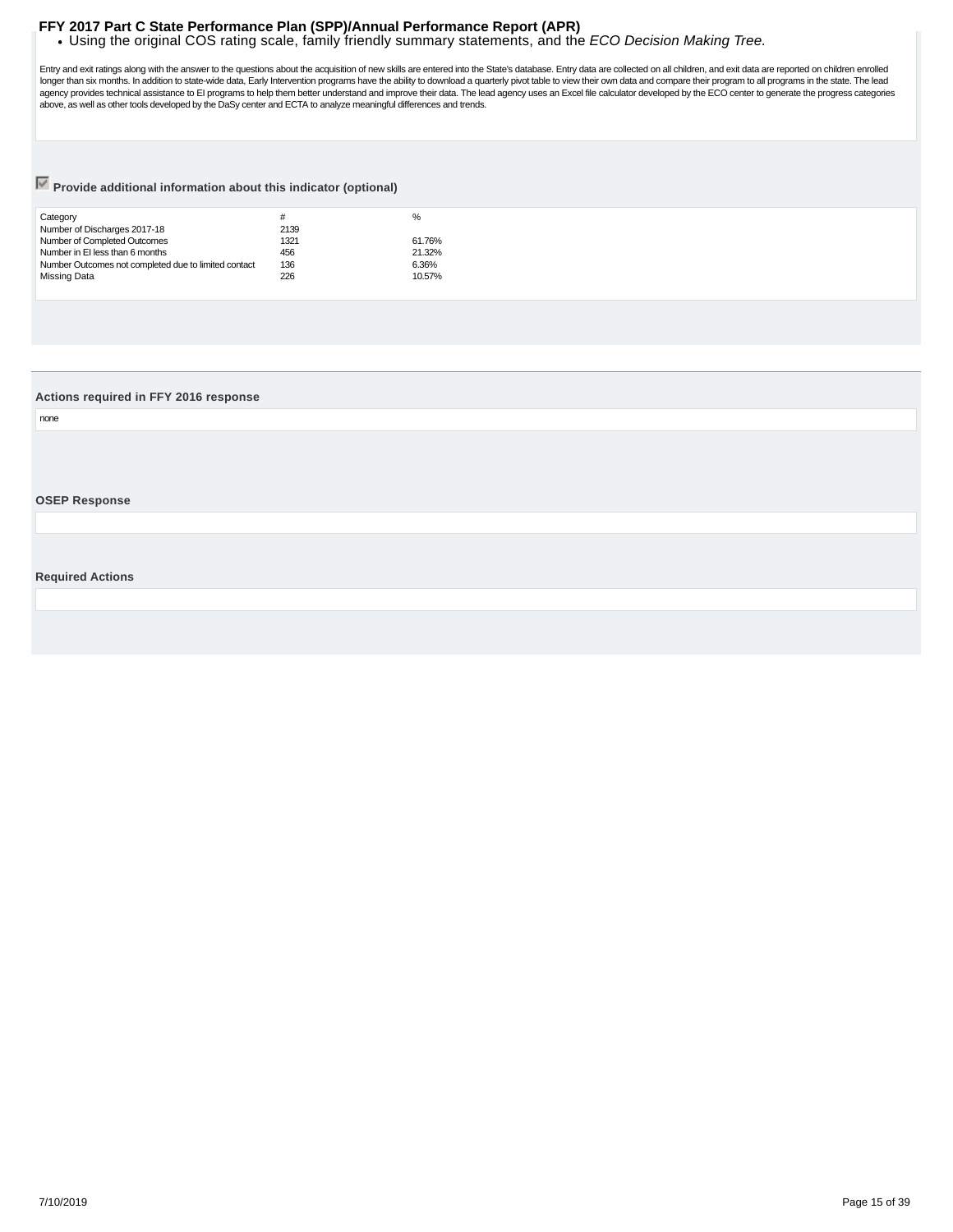<span id="page-14-0"></span>. Using the original COS rating scale, family friendly summary statements, and the ECO Decision Making Tree.

Entry and exit ratings along with the answer to the questions about the acquisition of new skills are entered into the State's database. Entry data are collected on all children, and exit data are reported on children enro longer than six months. In addition to state-wide data, Early Intervention programs have the ability to download a quarterly pivot table to view their own data and compare their program to all programs in the state. The le

## **Provide additional information about this indicator (optional)**

| Category                                             | #    | %      |
|------------------------------------------------------|------|--------|
| Number of Discharges 2017-18                         | 2139 |        |
| Number of Completed Outcomes                         | 1321 | 61.76% |
| Number in EI less than 6 months                      | 456  | 21.32% |
| Number Outcomes not completed due to limited contact | 136  | 6.36%  |
| Missing Data                                         | 226  | 10.57% |
|                                                      |      |        |

#### **Actions required in FFY 2016 response**

none

#### **OSEP Response**

**Required Actions**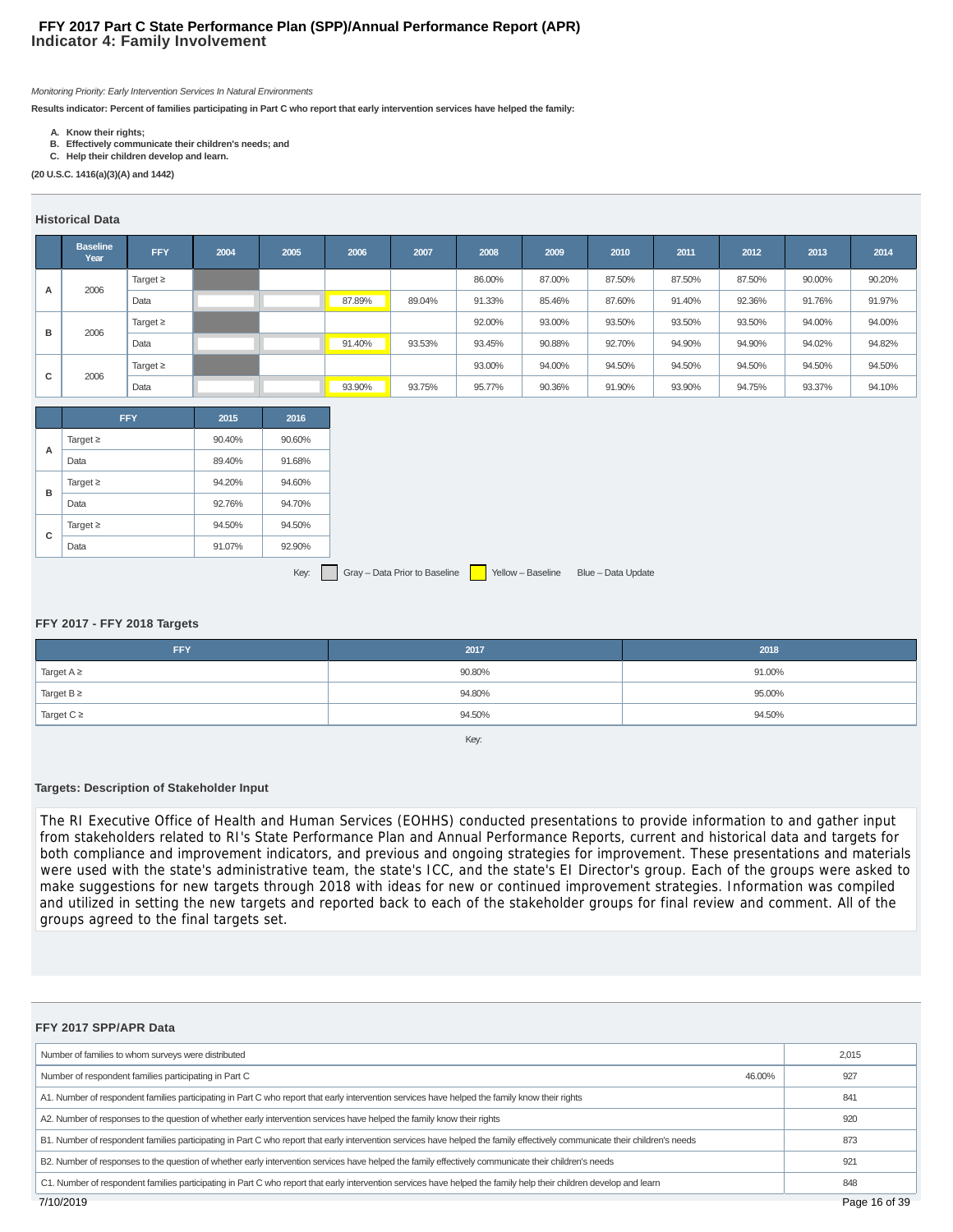### **Indicator 4: Family Involvement FFY 2017 Part C State Performance Plan (SPP)/Annual Performance Report (APR)**

Monitoring Priority: Early Intervention Services In Natural Environments

**Results indicator: Percent of families participating in Part C who report that early intervention services have helped the family:**

- **A. Know their rights;**
- **B. Effectively communicate their children's needs; and C. Help their children develop and learn.**

**(20 U.S.C. 1416(a)(3)(A) and 1442)**

#### **Historical Data**

|   | <b>Baseline</b><br>Year | <b>FFY</b>    | 2004 | 2005 | 2006   | 2007   | 2008   | 2009   | 2010   | 2011   | 2012   | 2013   | 2014   |
|---|-------------------------|---------------|------|------|--------|--------|--------|--------|--------|--------|--------|--------|--------|
| A | 2006                    | Target $\geq$ |      |      |        |        | 86.00% | 87.00% | 87.50% | 87.50% | 87.50% | 90.00% | 90.20% |
|   |                         | Data          |      |      | 87.89% | 89.04% | 91.33% | 85.46% | 87.60% | 91.40% | 92.36% | 91.76% | 91.97% |
| в |                         | Target $\geq$ |      |      |        |        | 92.00% | 93.00% | 93.50% | 93.50% | 93.50% | 94.00% | 94.00% |
|   | 2006                    | Data          |      |      | 91.40% | 93.53% | 93.45% | 90.88% | 92.70% | 94.90% | 94.90% | 94.02% | 94.82% |
|   |                         | Target $\geq$ |      |      |        |        | 93.00% | 94.00% | 94.50% | 94.50% | 94.50% | 94.50% | 94.50% |
| с | 2006                    | Data          |      |      | 93.90% | 93.75% | 95.77% | 90.36% | 91.90% | 93.90% | 94.75% | 93.37% | 94.10% |

|   | <b>FFY</b>    | 2015   | 2016   |
|---|---------------|--------|--------|
| А | Target $\geq$ | 90.40% | 90.60% |
|   | Data          | 89.40% | 91.68% |
|   | Target $\geq$ | 94.20% | 94.60% |
| в | Data          | 92.76% | 94.70% |
|   | Target $\geq$ | 94.50% | 94.50% |
| с | Data          | 91.07% | 92.90% |

Key: Gray – Data Prior to Baseline Yellow – Baseline Blue – Data Update

#### **FFY 2017 - FFY 2018 Targets**

| <b>FFY</b>      | 2017                 | 2018   |
|-----------------|----------------------|--------|
| Target $A \geq$ | 90.80%               | 91.00% |
| Target $B \ge$  | 94.80%               | 95.00% |
| Target $C \geq$ | 94.50%               | 94.50% |
|                 | $\sim$ $\sim$ $\sim$ |        |

Key:

#### **Targets: Description of Stakeholder Input**

The RI Executive Office of Health and Human Services (EOHHS) conducted presentations to provide information to and gather input from stakeholders related to RI's State Performance Plan and Annual Performance Reports, current and historical data and targets for both compliance and improvement indicators, and previous and ongoing strategies for improvement. These presentations and materials were used with the state's administrative team, the state's ICC, and the state's EI Director's group. Each of the groups were asked to make suggestions for new targets through 2018 with ideas for new or continued improvement strategies. Information was compiled and utilized in setting the new targets and reported back to each of the stakeholder groups for final review and comment. All of the groups agreed to the final targets set.

| FFY 2017 SPP/APR Data                                                                                                                                                       |       |
|-----------------------------------------------------------------------------------------------------------------------------------------------------------------------------|-------|
| Number of families to whom surveys were distributed                                                                                                                         | 2,015 |
| Number of respondent families participating in Part C<br>46.00%                                                                                                             | 927   |
| A1. Number of respondent families participating in Part C who report that early intervention services have helped the family know their rights                              | 841   |
| A2. Number of responses to the question of whether early intervention services have helped the family know their rights                                                     | 920   |
| B1. Number of respondent families participating in Part C who report that early intervention services have helped the family effectively communicate their children's needs | 873   |
| B2. Number of responses to the question of whether early intervention services have helped the family effectively communicate their children's needs                        | 921   |
| C1. Number of respondent families participating in Part C who report that early intervention services have helped the family help their children develop and leam           | 848   |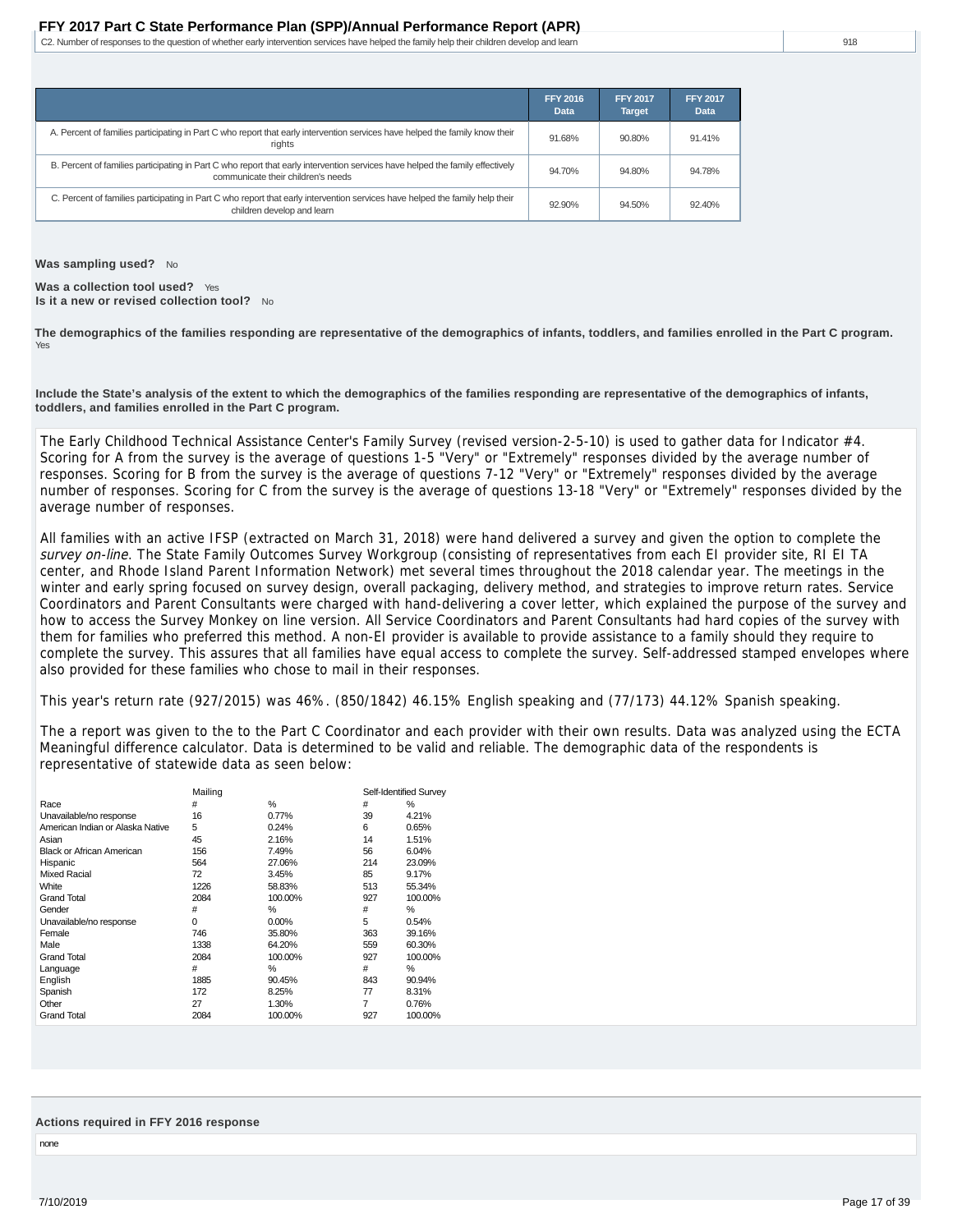C2. Number of responses to the question of whether early intervention services have helped the family help their children develop and learn

|                                                                                                                                                                     | <b>FFY 2016</b><br>Data | <b>FFY 2017</b><br><b>Target</b> | <b>FFY 2017</b><br><b>Data</b> |
|---------------------------------------------------------------------------------------------------------------------------------------------------------------------|-------------------------|----------------------------------|--------------------------------|
| A. Percent of families participating in Part C who report that early intervention services have helped the family know their<br>rights                              | 91.68%                  | 90.80%                           | 91.41%                         |
| B. Percent of families participating in Part C who report that early intervention services have helped the family effectively<br>communicate their children's needs | 94.70%                  | 94.80%                           | 94.78%                         |
| C. Percent of families participating in Part C who report that early intervention services have helped the family help their<br>children develop and learn          | 92.90%                  | 94.50%                           | 92.40%                         |

**Was sampling used?** No

**Was a collection tool used?** Yes **Is it a new or revised collection tool?** No

**The demographics of the families responding are representative of the demographics of infants, toddlers, and families enrolled in the Part C program.** Yes

**Include the State's analysis of the extent to which the demographics of the families responding are representative of the demographics of infants, toddlers, and families enrolled in the Part C program.**

The Early Childhood Technical Assistance Center's Family Survey (revised version-2-5-10) is used to gather data for Indicator #4. Scoring for A from the survey is the average of questions 1-5 "Very" or "Extremely" responses divided by the average number of responses. Scoring for B from the survey is the average of questions 7-12 "Very" or "Extremely" responses divided by the average number of responses. Scoring for C from the survey is the average of questions 13-18 "Very" or "Extremely" responses divided by the average number of responses.

All families with an active IFSP (extracted on March 31, 2018) were hand delivered a survey and given the option to complete the survey on-line. The State Family Outcomes Survey Workgroup (consisting of representatives from each EI provider site, RI EI TA center, and Rhode Island Parent Information Network) met several times throughout the 2018 calendar year. The meetings in the winter and early spring focused on survey design, overall packaging, delivery method, and strategies to improve return rates. Service Coordinators and Parent Consultants were charged with hand-delivering a cover letter, which explained the purpose of the survey and how to access the Survey Monkey on line version. All Service Coordinators and Parent Consultants had hard copies of the survey with them for families who preferred this method. A non-EI provider is available to provide assistance to a family should they require to complete the survey. This assures that all families have equal access to complete the survey. Self-addressed stamped envelopes where also provided for these families who chose to mail in their responses.

This year's return rate (927/2015) was 46%. (850/1842) 46.15% English speaking and (77/173) 44.12% Spanish speaking.

The a report was given to the to the Part C Coordinator and each provider with their own results. Data was analyzed using the ECTA Meaningful difference calculator. Data is determined to be valid and reliable. The demographic data of the respondents is representative of statewide data as seen below:

|                                  | Mailing |         |     | Self-Identified Survey |
|----------------------------------|---------|---------|-----|------------------------|
| Race                             | #       | %       | #   | $\%$                   |
| Unavailable/no response          | 16      | 0.77%   | 39  | 4.21%                  |
| American Indian or Alaska Native | 5       | 0.24%   | 6   | 0.65%                  |
| Asian                            | 45      | 2.16%   | 14  | 1.51%                  |
| <b>Black or African American</b> | 156     | 7.49%   | 56  | 6.04%                  |
| Hispanic                         | 564     | 27.06%  | 214 | 23.09%                 |
| Mixed Racial                     | 72      | 3.45%   | 85  | 9.17%                  |
| White                            | 1226    | 58.83%  | 513 | 55.34%                 |
| <b>Grand Total</b>               | 2084    | 100.00% | 927 | 100.00%                |
| Gender                           | #       | %       | #   | %                      |
| Unavailable/no response          | 0       | 0.00%   | 5   | 0.54%                  |
| Female                           | 746     | 35.80%  | 363 | 39.16%                 |
| Male                             | 1338    | 64.20%  | 559 | 60.30%                 |
| <b>Grand Total</b>               | 2084    | 100.00% | 927 | 100.00%                |
| Language                         | #       | %       | #   | %                      |
| English                          | 1885    | 90.45%  | 843 | 90.94%                 |
| Spanish                          | 172     | 8.25%   | 77  | 8.31%                  |
| Other                            | 27      | 1.30%   | 7   | 0.76%                  |
| <b>Grand Total</b>               | 2084    | 100.00% | 927 | 100.00%                |

#### **Actions required in FFY 2016 response**

none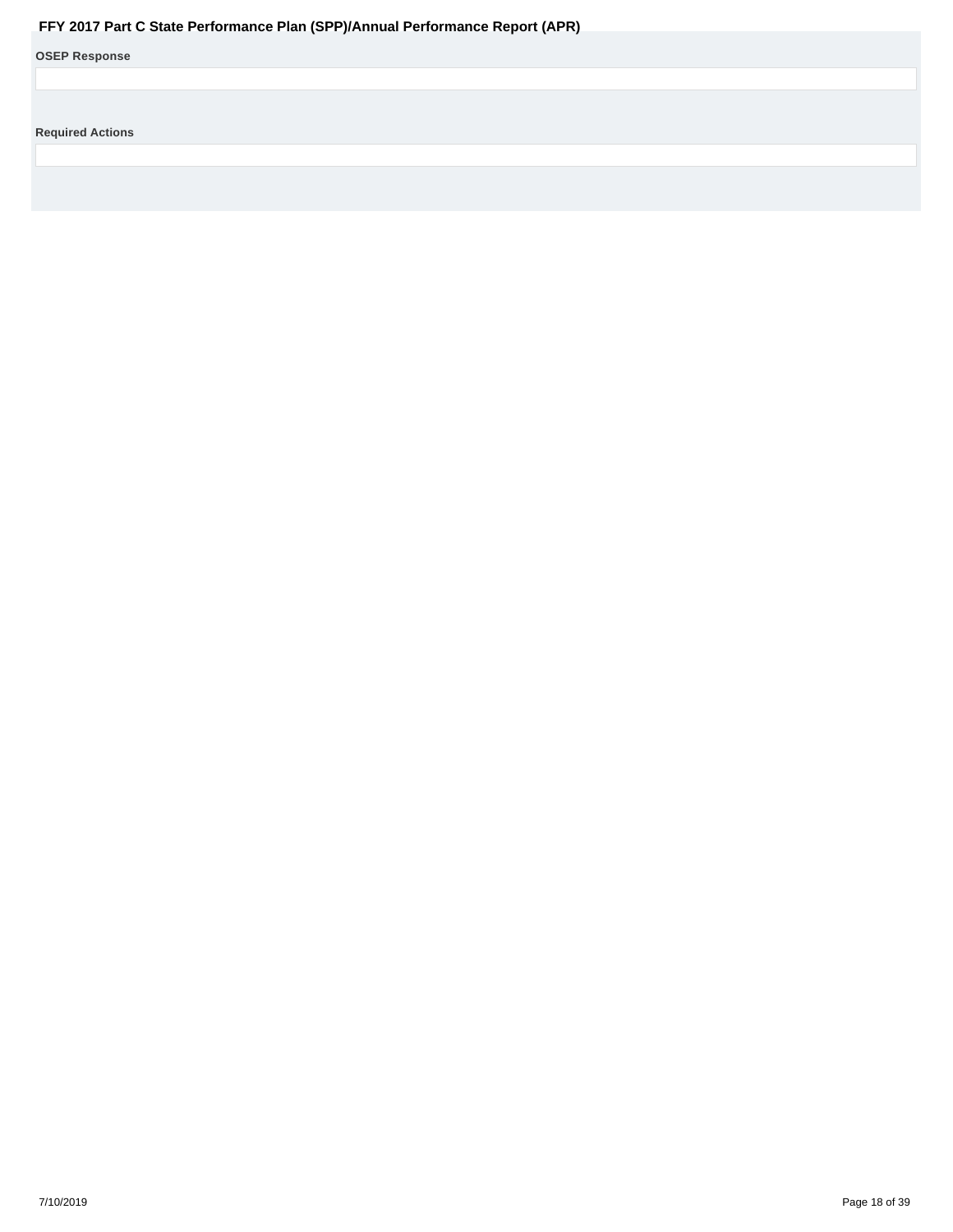<span id="page-17-0"></span>

| <b>OSEP Response</b>    |
|-------------------------|
|                         |
|                         |
| <b>Required Actions</b> |
|                         |
|                         |
|                         |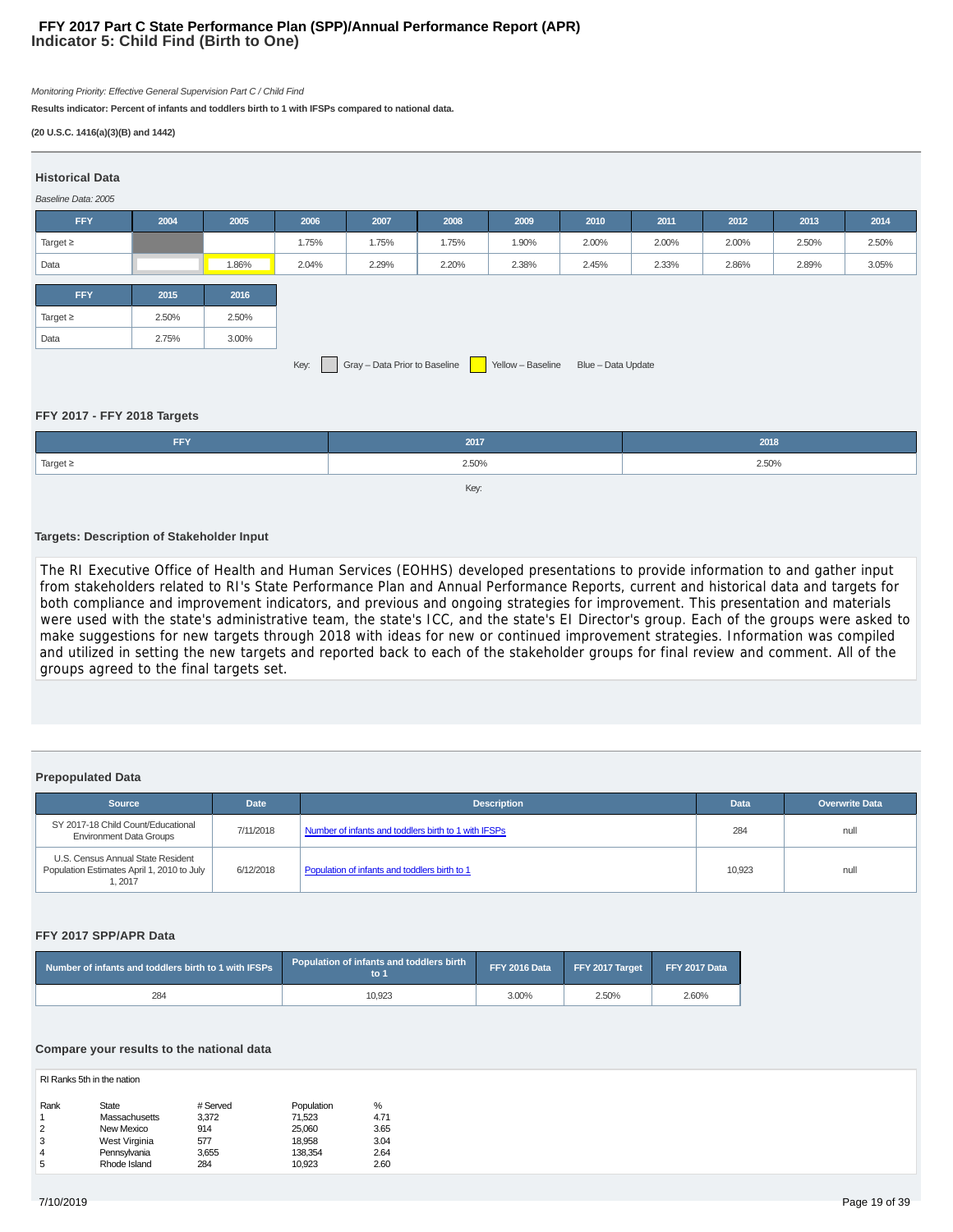### **Indicator 5: Child Find (Birth to One) FFY 2017 Part C State Performance Plan (SPP)/Annual Performance Report (APR)**

Monitoring Priority: Effective General Supervision Part C / Child Find

**Results indicator: Percent of infants and toddlers birth to 1 with IFSPs compared to national data.**

#### **(20 U.S.C. 1416(a)(3)(B) and 1442)**

| <b>Historical Data</b><br>Baseline Data: 2005 |                                                                               |       |       |       |       |       |       |       |       |       |       |
|-----------------------------------------------|-------------------------------------------------------------------------------|-------|-------|-------|-------|-------|-------|-------|-------|-------|-------|
| <b>FFY</b>                                    | 2004                                                                          | 2005  | 2006  | 2007  | 2008  | 2009  | 2010  | 2011  | 2012  | 2013  | 2014  |
| Target $\geq$                                 |                                                                               |       | 1.75% | 1.75% | 1.75% | 1.90% | 2.00% | 2.00% | 2.00% | 2.50% | 2.50% |
| Data                                          |                                                                               | 1.86% | 2.04% | 2.29% | 2.20% | 2.38% | 2.45% | 2.33% | 2.86% | 2.89% | 3.05% |
| <b>FFY</b>                                    | 2016<br>2015                                                                  |       |       |       |       |       |       |       |       |       |       |
| Target $\geq$                                 | 2.50%                                                                         | 2.50% |       |       |       |       |       |       |       |       |       |
| Data                                          | 2.75%                                                                         | 3.00% |       |       |       |       |       |       |       |       |       |
|                                               | Key: Gray - Data Prior to Baseline<br>Yellow - Baseline<br>Blue - Data Update |       |       |       |       |       |       |       |       |       |       |

#### **FFY 2017 - FFY 2018 Targets**

| <b>FFY</b>    | 2017  | 2018  |
|---------------|-------|-------|
| Target $\geq$ | 2.50% | 2.50% |
|               |       |       |

#### **Targets: Description of Stakeholder Input**

The RI Executive Office of Health and Human Services (EOHHS) developed presentations to provide information to and gather input from stakeholders related to RI's State Performance Plan and Annual Performance Reports, current and historical data and targets for both compliance and improvement indicators, and previous and ongoing strategies for improvement. This presentation and materials were used with the state's administrative team, the state's ICC, and the state's EI Director's group. Each of the groups were asked to make suggestions for new targets through 2018 with ideas for new or continued improvement strategies. Information was compiled and utilized in setting the new targets and reported back to each of the stakeholder groups for final review and comment. All of the groups agreed to the final targets set.

#### **Prepopulated Data**

| Source                                                                                    | <b>Date</b> | <b>Description</b>                                   | <b>Data</b> | <b>Overwrite Data</b> |
|-------------------------------------------------------------------------------------------|-------------|------------------------------------------------------|-------------|-----------------------|
| SY 2017-18 Child Count/Educational<br><b>Environment Data Groups</b>                      | 7/11/2018   | Number of infants and toddlers birth to 1 with IFSPs | 284         | null                  |
| U.S. Census Annual State Resident<br>Population Estimates April 1, 2010 to July<br>1.2017 | 6/12/2018   | Population of infants and toddlers birth to 1        | 10,923      | null                  |

#### **FFY 2017 SPP/APR Data**

| Number of infants and toddlers birth to 1 with IFSPs | Population of infants and toddlers birth $^{\prime}$<br>to ' | FFY 2016 Data | FFY 2017 Target | FFY 2017 Data |
|------------------------------------------------------|--------------------------------------------------------------|---------------|-----------------|---------------|
| 284                                                  | 10.923                                                       | 3.00%         | 2.50%           | 2.60%         |

#### **Compare your results to the national data**

| RI Ranks 5th in the nation |               |          |            |      |  |  |  |
|----------------------------|---------------|----------|------------|------|--|--|--|
| Rank                       | State         | # Served | Population | %    |  |  |  |
| 1                          | Massachusetts | 3.372    | 71.523     | 4.71 |  |  |  |
| 2                          | New Mexico    | 914      | 25,060     | 3.65 |  |  |  |
| 3                          | West Virginia | 577      | 18.958     | 3.04 |  |  |  |
| 4                          | Pennsylvania  | 3.655    | 138.354    | 2.64 |  |  |  |
| 5                          | Rhode Island  | 284      | 10.923     | 2.60 |  |  |  |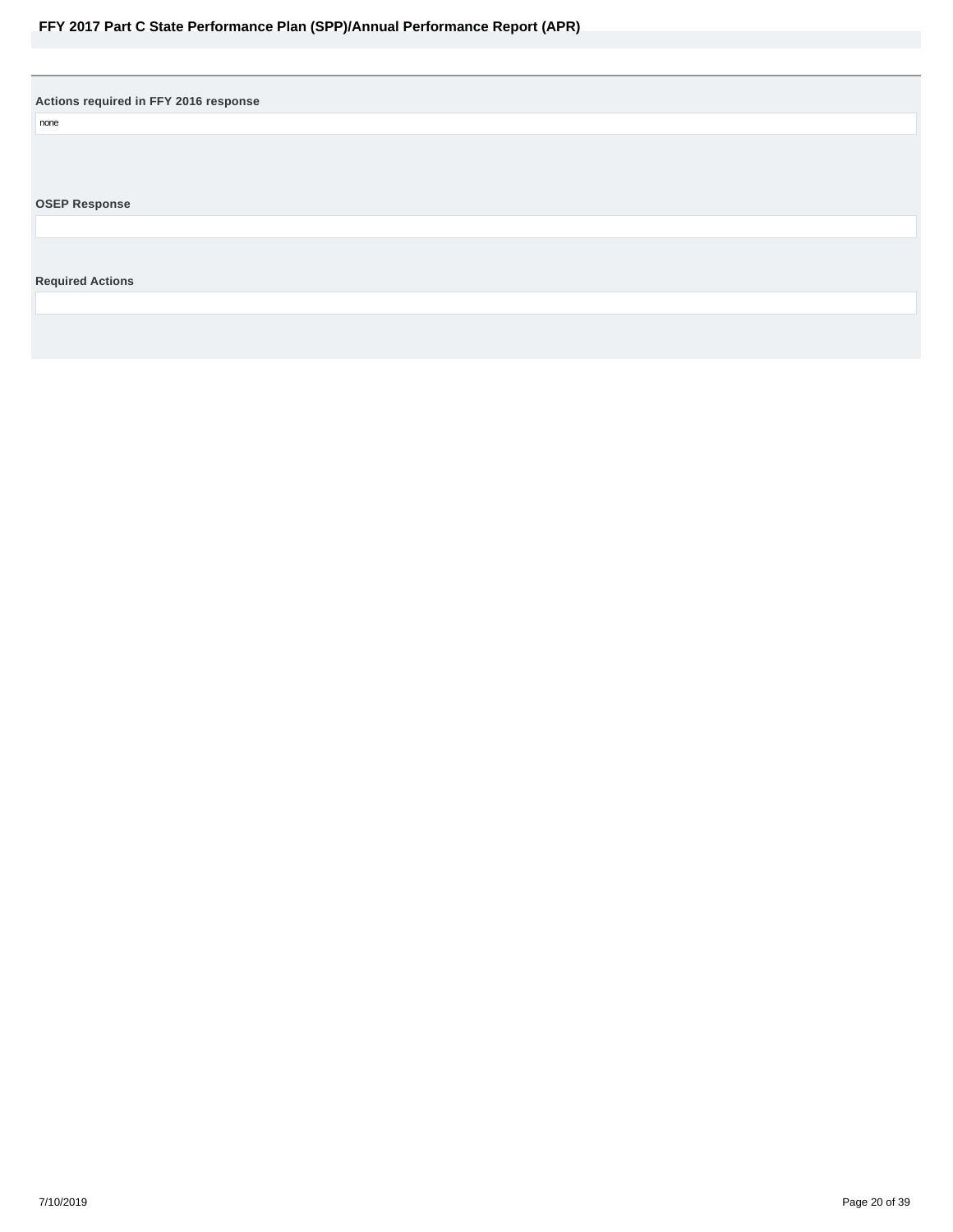<span id="page-19-0"></span>**Actions required in FFY 2016 response**

none

### **OSEP Response**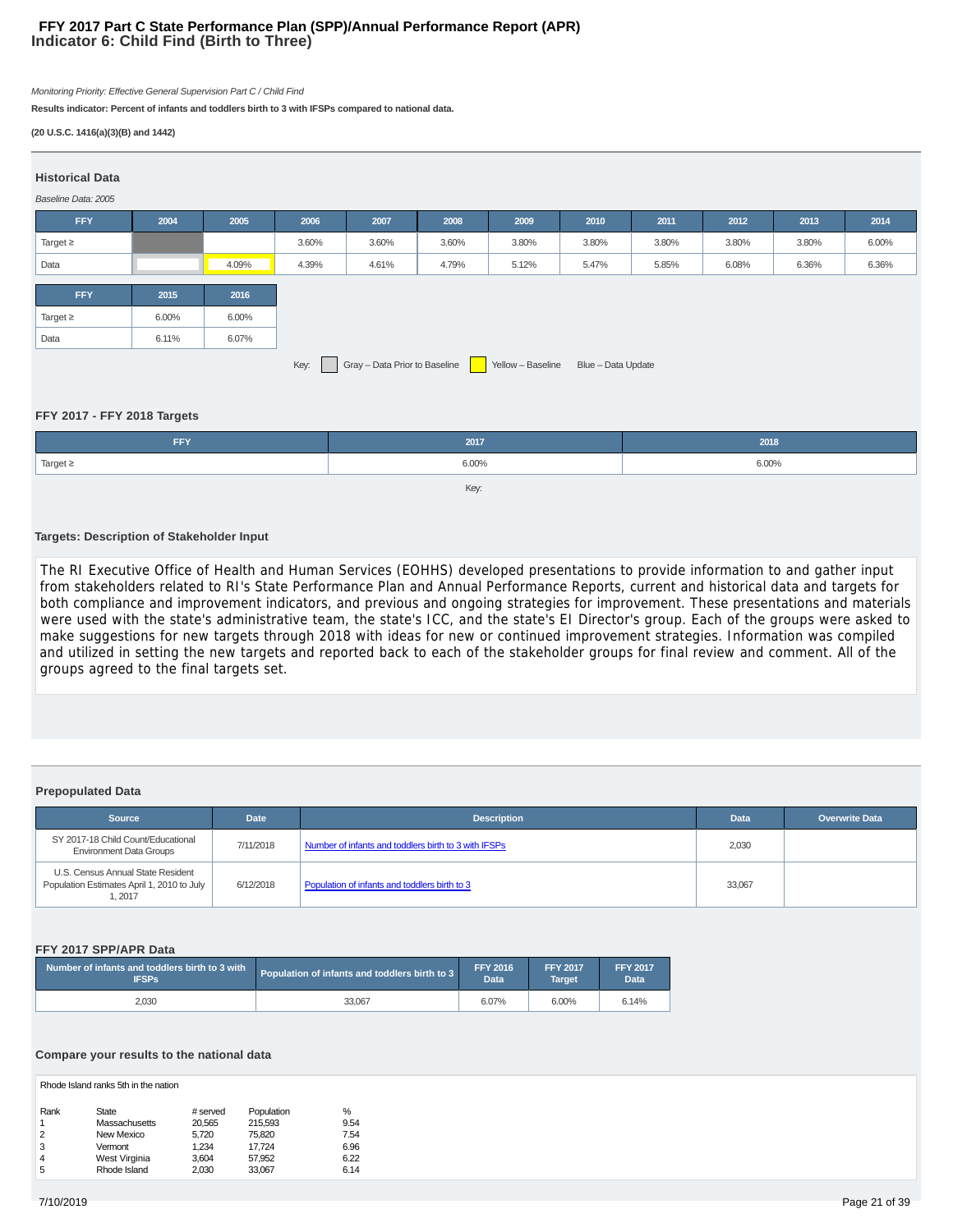#### **Indicator 6: Child Find (Birth to Three) FFY 2017 Part C State Performance Plan (SPP)/Annual Performance Report (APR)**

Monitoring Priority: Effective General Supervision Part C / Child Find

**Results indicator: Percent of infants and toddlers birth to 3 with IFSPs compared to national data.**

#### **(20 U.S.C. 1416(a)(3)(B) and 1442)**

| <b>Historical Data</b><br>Baseline Data: 2005 |                                                                         |       |       |       |       |       |       |       |       |       |       |
|-----------------------------------------------|-------------------------------------------------------------------------|-------|-------|-------|-------|-------|-------|-------|-------|-------|-------|
| <b>FFY</b>                                    | 2004                                                                    | 2005  | 2006  | 2007  | 2008  | 2009  | 2010  | 2011  | 2012  | 2013  | 2014  |
| Target $\geq$                                 |                                                                         |       | 3.60% | 3.60% | 3.60% | 3.80% | 3.80% | 3.80% | 3.80% | 3.80% | 6.00% |
| Data                                          |                                                                         | 4.09% | 4.39% | 4.61% | 4.79% | 5.12% | 5.47% | 5.85% | 6.08% | 6.36% | 6.36% |
| <b>FFY</b>                                    | 2015                                                                    | 2016  |       |       |       |       |       |       |       |       |       |
| Target $\geq$                                 | 6.00%                                                                   | 6.00% |       |       |       |       |       |       |       |       |       |
| Data                                          | 6.11%                                                                   | 6.07% |       |       |       |       |       |       |       |       |       |
|                                               | Key: Gray - Data Prior to Baseline Yellow - Baseline Blue - Data Update |       |       |       |       |       |       |       |       |       |       |

#### **FFY 2017 - FFY 2018 Targets**

| <b>FFY</b>    | 2017  | 2018  |
|---------------|-------|-------|
| Target $\geq$ | 6.00% | 6.00% |
|               | Key:  |       |

#### **Targets: Description of Stakeholder Input**

The RI Executive Office of Health and Human Services (EOHHS) developed presentations to provide information to and gather input from stakeholders related to RI's State Performance Plan and Annual Performance Reports, current and historical data and targets for both compliance and improvement indicators, and previous and ongoing strategies for improvement. These presentations and materials were used with the state's administrative team, the state's ICC, and the state's EI Director's group. Each of the groups were asked to make suggestions for new targets through 2018 with ideas for new or continued improvement strategies. Information was compiled and utilized in setting the new targets and reported back to each of the stakeholder groups for final review and comment. All of the groups agreed to the final targets set.

#### **Prepopulated Data**

| Source                                                                                    | <b>Date</b> | <b>Description</b>                                   | <b>Data</b> | Overwrite Data |
|-------------------------------------------------------------------------------------------|-------------|------------------------------------------------------|-------------|----------------|
| SY 2017-18 Child Count/Educational<br><b>Environment Data Groups</b>                      | 7/11/2018   | Number of infants and toddlers birth to 3 with IFSPs | 2,030       |                |
| U.S. Census Annual State Resident<br>Population Estimates April 1, 2010 to July<br>1,2017 | 6/12/2018   | Population of infants and toddlers birth to 3        | 33,067      |                |

#### **FFY 2017 SPP/APR Data**

| Number of infants and toddlers birth to 3 with<br><b>IFSPs</b> | Population of infants and toddlers birth to 3 | <b>FFY 2016</b><br>Data | <b>FFY 2017</b><br><b>Target</b> | <b>FFY 2017</b><br>Data |
|----------------------------------------------------------------|-----------------------------------------------|-------------------------|----------------------------------|-------------------------|
| 2.030                                                          | 33.067                                        | 6.07%                   | 6.00%                            | 6.14%                   |

#### **Compare your results to the national data**

Rhode Island ranks 5th in the nation

| Rank | State         | # served | Population | %    |
|------|---------------|----------|------------|------|
|      | Massachusetts | 20.565   | 215.593    | 9.54 |
| 2    | New Mexico    | 5.720    | 75.820     | 7.54 |
| 3    | Vermont       | 1.234    | 17.724     | 6.96 |
| 4    | West Virginia | 3.604    | 57,952     | 6.22 |
| 5    | Rhode Island  | 2.030    | 33.067     | 6.14 |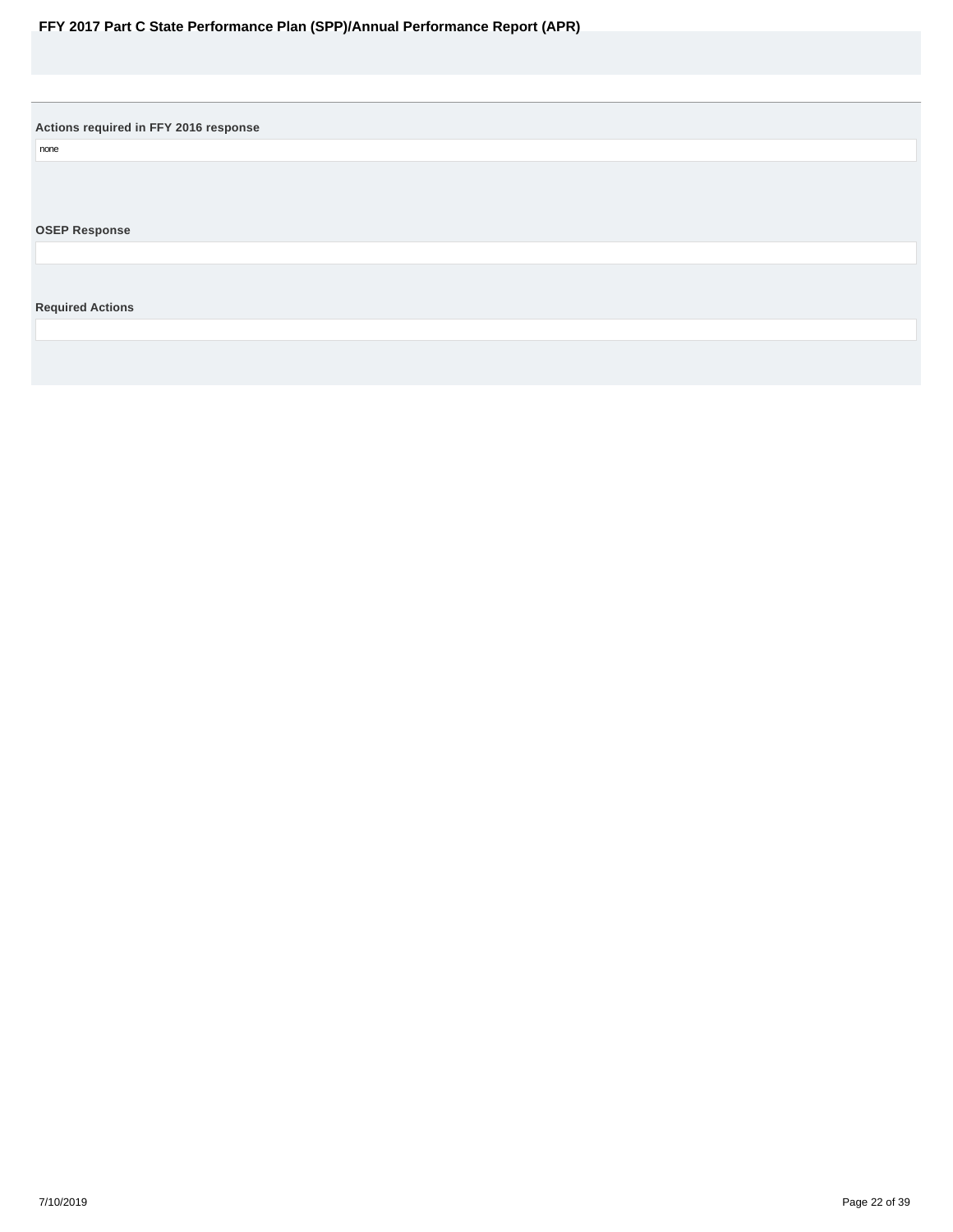<span id="page-21-0"></span>**Actions required in FFY 2016 response**

none

**OSEP Response**

**Required Actions**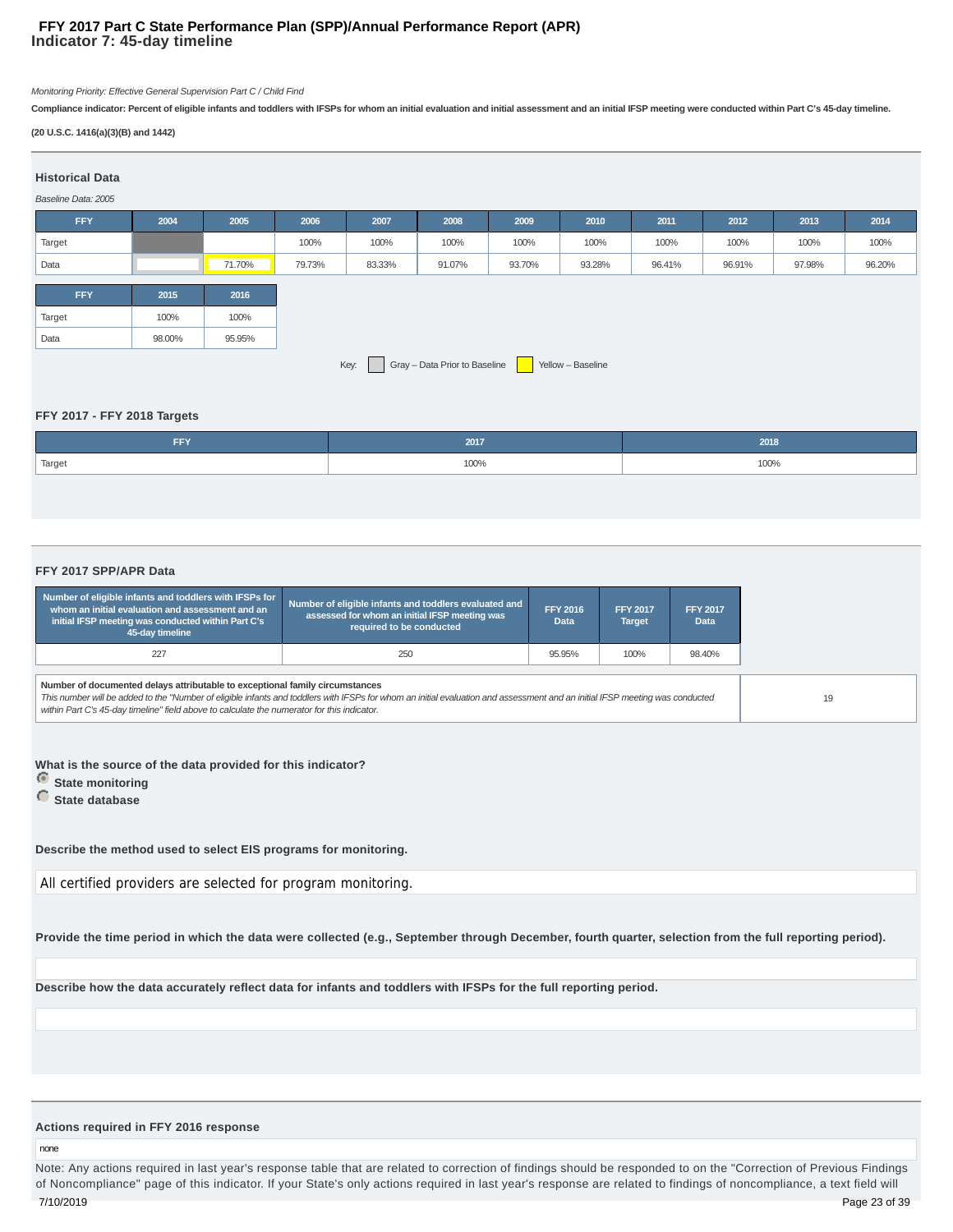#### **Indicator 7: 45-day timeline FFY 2017 Part C State Performance Plan (SPP)/Annual Performance Report (APR)**

Monitoring Priority: Effective General Supervision Part C / Child Find

**Compliance indicator: Percent of eligible infants and toddlers with IFSPs for whom an initial evaluation and initial assessment and an initial IFSP meeting were conducted within Part C's 45-day timeline.**

#### **(20 U.S.C. 1416(a)(3)(B) and 1442)**

| <b>Historical Data</b><br>Baseline Data: 2005 |        |        |        |        |                               |        |                   |        |        |        |        |
|-----------------------------------------------|--------|--------|--------|--------|-------------------------------|--------|-------------------|--------|--------|--------|--------|
| <b>FFY</b>                                    | 2004   | 2005   | 2006   | 2007   | 2008                          | 2009   | 2010              | 2011   | 2012   | 2013   | 2014   |
| Target                                        |        |        | 100%   | 100%   | 100%                          | 100%   | 100%              | 100%   | 100%   | 100%   | 100%   |
| Data                                          |        | 71.70% | 79.73% | 83.33% | 91.07%                        | 93.70% | 93.28%            | 96.41% | 96.91% | 97.98% | 96.20% |
|                                               |        |        |        |        |                               |        |                   |        |        |        |        |
| <b>FFY</b>                                    | 2015   | 2016   |        |        |                               |        |                   |        |        |        |        |
| Target                                        | 100%   | 100%   |        |        |                               |        |                   |        |        |        |        |
| Data                                          | 98.00% | 95.95% |        |        |                               |        |                   |        |        |        |        |
|                                               |        |        |        | Key:   | Gray - Data Prior to Baseline |        | Yellow - Baseline |        |        |        |        |

#### **FFY 2017 - FFY 2018 Targets**

| FFY    | 2017 | 2018 |
|--------|------|------|
| Target | 100% | 100% |

#### **FFY 2017 SPP/APR Data**

| Number of eligible infants and toddlers with IFSPs for<br>whom an initial evaluation and assessment and an<br>initial IFSP meeting was conducted within Part C's<br>45-day timeline | Number of eligible infants and toddlers evaluated and<br>assessed for whom an initial IFSP meeting was<br>required to be conducted                                           | <b>FFY 2016</b><br><b>Data</b> | <b>FFY 2017</b><br><b>Target</b> | <b>FFY 2017</b><br>Data |
|-------------------------------------------------------------------------------------------------------------------------------------------------------------------------------------|------------------------------------------------------------------------------------------------------------------------------------------------------------------------------|--------------------------------|----------------------------------|-------------------------|
| 227                                                                                                                                                                                 | 250                                                                                                                                                                          | 95.95%                         | 100%                             | 98.40%                  |
| Number of documented delays attributable to exceptional family circumstances<br>within Part C's 45-day timeline" field above to calculate the numerator for this indicator.         | This number will be added to the "Number of eligible infants and toddlers with IFSPs for whom an initial evaluation and assessment and an initial IFSP meeting was conducted |                                |                                  |                         |

**What is the source of the data provided for this indicator?**

 **State monitoring**

 **State database**

**Describe the method used to select EIS programs for monitoring.**

All certified providers are selected for program monitoring.

**Provide the time period in which the data were collected (e.g., September through December, fourth quarter, selection from the full reporting period).**

**Describe how the data accurately reflect data for infants and toddlers with IFSPs for the full reporting period.**

#### **Actions required in FFY 2016 response**

none

Note: Any actions required in last year's response table that are related to correction of findings should be responded to on the "Correction of Previous Findings of Noncompliance" page of this indicator. If your State's only actions required in last year's response are related to findings of noncompliance, a text field will 7/10/2019 Page 23 of 39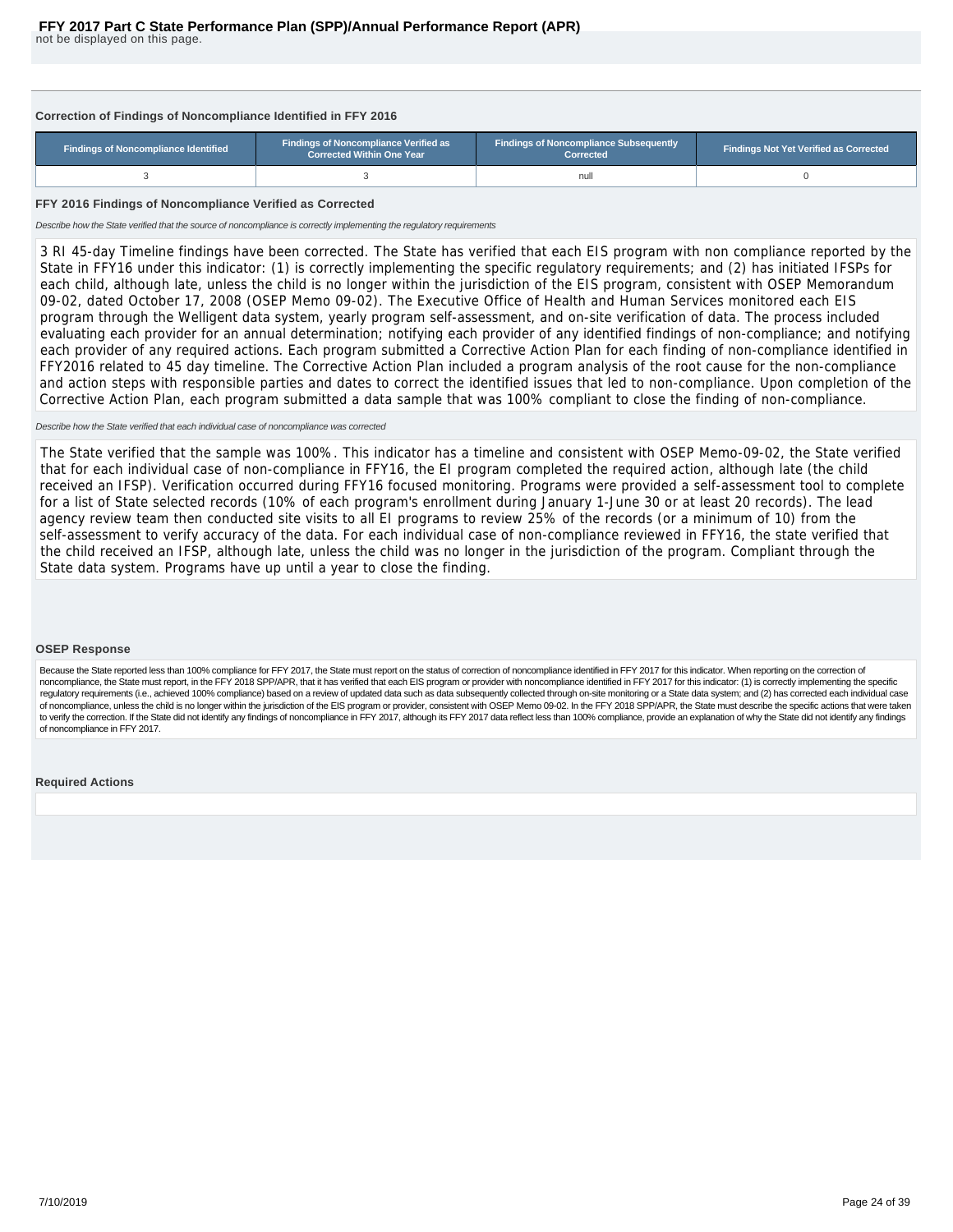#### <span id="page-23-0"></span>**Correction of Findings of Noncompliance Identified in FFY 2016**

| <b>Findings of Noncompliance Identified</b> | <b>Findings of Noncompliance Verified as</b><br><b>Corrected Within One Year</b> | <b>Findings of Noncompliance Subsequently</b><br>Corrected | <b>Findings Not Yet Verified as Corrected</b> |  |  |
|---------------------------------------------|----------------------------------------------------------------------------------|------------------------------------------------------------|-----------------------------------------------|--|--|
|                                             |                                                                                  | null                                                       |                                               |  |  |

#### **FFY 2016 Findings of Noncompliance Verified as Corrected**

Describe how the State verified that the source of noncompliance is correctly implementing the regulatory requirements

3 RI 45-day Timeline findings have been corrected. The State has verified that each EIS program with non compliance reported by the State in FFY16 under this indicator: (1) is correctly implementing the specific regulatory requirements; and (2) has initiated IFSPs for each child, although late, unless the child is no longer within the jurisdiction of the EIS program, consistent with OSEP Memorandum 09-02, dated October 17, 2008 (OSEP Memo 09-02). The Executive Office of Health and Human Services monitored each EIS program through the Welligent data system, yearly program self-assessment, and on-site verification of data. The process included evaluating each provider for an annual determination; notifying each provider of any identified findings of non-compliance; and notifying each provider of any required actions. Each program submitted a Corrective Action Plan for each finding of non-compliance identified in FFY2016 related to 45 day timeline. The Corrective Action Plan included a program analysis of the root cause for the non-compliance and action steps with responsible parties and dates to correct the identified issues that led to non-compliance. Upon completion of the Corrective Action Plan, each program submitted a data sample that was 100% compliant to close the finding of non-compliance.

#### Describe how the State verified that each individual case of noncompliance was corrected

The State verified that the sample was 100%. This indicator has a timeline and consistent with OSEP Memo-09-02, the State verified that for each individual case of non-compliance in FFY16, the EI program completed the required action, although late (the child received an IFSP). Verification occurred during FFY16 focused monitoring. Programs were provided a self-assessment tool to complete for a list of State selected records (10% of each program's enrollment during January 1-June 30 or at least 20 records). The lead agency review team then conducted site visits to all EI programs to review 25% of the records (or a minimum of 10) from the self-assessment to verify accuracy of the data. For each individual case of non-compliance reviewed in FFY16, the state verified that the child received an IFSP, although late, unless the child was no longer in the jurisdiction of the program. Compliant through the State data system. Programs have up until a year to close the finding.

#### **OSEP Response**

Because the State reported less than 100% compliance for FFY 2017, the State must report on the status of correction of noncompliance identified in FFY 2017 for this indicator. When reporting on the correction of noncompliance, the State must report, in the FFY 2018 SPP/APR, that it has verified that each EIS program or provider with noncompliance identified in FFY 2017 for this indicator: (1) is correctly implementing the specific regulatory requirements (i.e., achieved 100% compliance) based on a review of updated data such as data subsequently collected through on-site monitoring or a State data system; and (2) has corrected each individual case of noncompliance, unless the child is no longer within the jurisdiction of the EIS program or provider, consistent with OSEP Memo 09-02. In the FFY 2018 SPP/APR, the State must describe the specific actions that were taken to verify the correction. If the State did not identify any findings of noncompliance in FFY 2017, although its FFY 2017 data reflect less than 100% compliance, provide an explanation of why the State did not identify any of noncompliance in FFY 2017.

#### **Required Actions**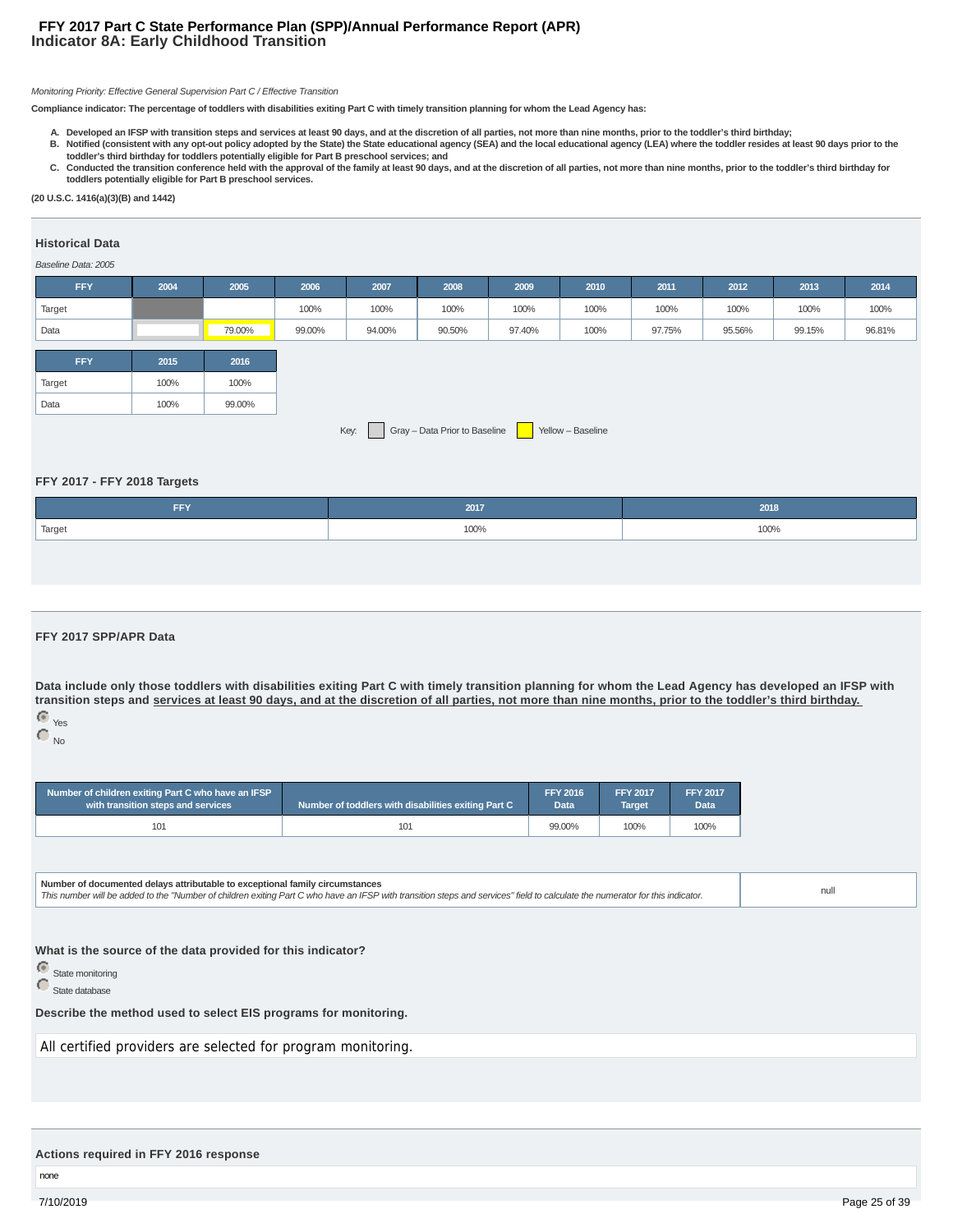#### **Indicator 8A: Early Childhood Transition FFY 2017 Part C State Performance Plan (SPP)/Annual Performance Report (APR)**

#### Monitoring Priority: Effective General Supervision Part C / Effective Transition

**Compliance indicator: The percentage of toddlers with disabilities exiting Part C with timely transition planning for whom the Lead Agency has:**

- **A. Developed an IFSP with transition steps and services at least 90 days, and at the discretion of all parties, not more than nine months, prior to the toddler's third birthday;**
- **Notified (consistent with any opt-out policy adopted by the State) the State educational agency (SEA) and the local educational agency (LEA) where the toddler resides at least 90 days prior to the B. toddler's third birthday for toddlers potentially eligible for Part B preschool services; and**
- C. Conducted the transition conference held with the approval of the family at least 90 days, and at the discretion of all parties, not more than nine months, prior to the toddler's third birthday for **toddlers potentially eligible for Part B preschool services.**

**(20 U.S.C. 1416(a)(3)(B) and 1442)**

#### **Historical Data**

#### Baseline Data: 2005

| <b>FFY</b>                                                 | 2004 | 2005   | 2006   | 2007   | 2008   | 2009   | 2010 | 2011   | 2012   | 2013   | 2014   |
|------------------------------------------------------------|------|--------|--------|--------|--------|--------|------|--------|--------|--------|--------|
| Target                                                     |      |        | 100%   | 100%   | 100%   | 100%   | 100% | 100%   | 100%   | 100%   | 100%   |
| Data                                                       |      | 79.00% | 99.00% | 94.00% | 90.50% | 97.40% | 100% | 97.75% | 95.56% | 99.15% | 96.81% |
|                                                            |      |        |        |        |        |        |      |        |        |        |        |
| <b>FFY</b>                                                 | 2015 | 2016   |        |        |        |        |      |        |        |        |        |
| Target                                                     | 100% | 100%   |        |        |        |        |      |        |        |        |        |
| Data                                                       | 100% | 99.00% |        |        |        |        |      |        |        |        |        |
| Gray - Data Prior to Baseline<br>Key:<br>Yellow - Baseline |      |        |        |        |        |        |      |        |        |        |        |

#### **FFY 2017 - FFY 2018 Targets**

| FFY                 | 2017 | 2018 |
|---------------------|------|------|
| <sup>1</sup> Target | 100% | 100% |
|                     |      |      |

#### **FFY 2017 SPP/APR Data**

**Data include only those toddlers with disabilities exiting Part C with timely transition planning for whom the Lead Agency has developed an IFSP with transition steps and services at least 90 days, and at the discretion of all parties, not more than nine months, prior to the toddler's third birthday.** Yes

 $\bigcirc$   $_{\mathrm{No}}$ 

| Number of children exiting Part C who have an IFSP | Number of toddlers with disabilities exiting Part C | <b>FFY 2016</b> | <b>FFY 2017</b> | <b>FFY 2017</b>   |
|----------------------------------------------------|-----------------------------------------------------|-----------------|-----------------|-------------------|
| with transition steps and services                 |                                                     | Data            | <b>Target</b>   | Data <sup>1</sup> |
| 101                                                | 101                                                 | 99.00%          | 100%            | 100%              |

**Number of documented delays attributable to exceptional family circumstances** Number or documented delays attributable to exceptional family circumstances<br>This number will be added to the "Number of children exiting Part C who have an IFSP with transition steps and services" field to calculate the n

#### **What is the source of the data provided for this indicator?**

**C** State monitoring

State database

#### **Describe the method used to select EIS programs for monitoring.**

All certified providers are selected for program monitoring.

#### **Actions required in FFY 2016 response**

none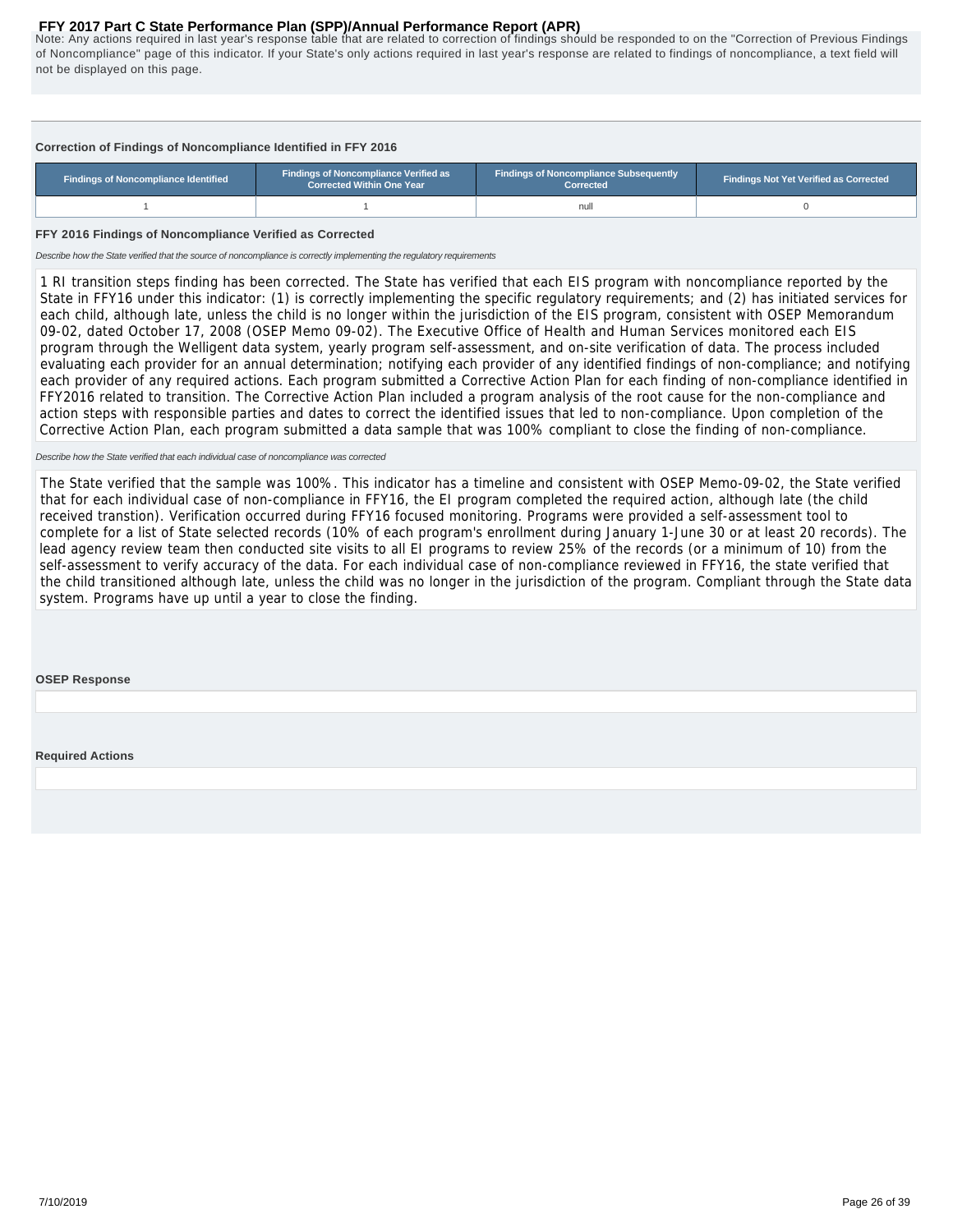<span id="page-25-0"></span>Note: Any actions required in last year's response table that are related to correction of findings should be responded to on the "Correction of Previous Findings of Noncompliance" page of this indicator. If your State's only actions required in last year's response are related to findings of noncompliance, a text field will not be displayed on this page.

#### **Correction of Findings of Noncompliance Identified in FFY 2016**

| Findings of Noncompliance Identified | <b>Findings of Noncompliance Verified as</b><br><b>Corrected Within One Year</b> | <b>Findings of Noncompliance Subsequently</b><br>Corrected | <b>Findings Not Yet Verified as Corrected</b> |  |  |
|--------------------------------------|----------------------------------------------------------------------------------|------------------------------------------------------------|-----------------------------------------------|--|--|
|                                      |                                                                                  | nul                                                        |                                               |  |  |

#### **FFY 2016 Findings of Noncompliance Verified as Corrected**

Describe how the State verified that the source of noncompliance is correctly implementing the regulatory requirements

1 RI transition steps finding has been corrected. The State has verified that each EIS program with noncompliance reported by the State in FFY16 under this indicator: (1) is correctly implementing the specific regulatory requirements; and (2) has initiated services for each child, although late, unless the child is no longer within the jurisdiction of the EIS program, consistent with OSEP Memorandum 09-02, dated October 17, 2008 (OSEP Memo 09-02). The Executive Office of Health and Human Services monitored each EIS program through the Welligent data system, yearly program self-assessment, and on-site verification of data. The process included evaluating each provider for an annual determination; notifying each provider of any identified findings of non-compliance; and notifying each provider of any required actions. Each program submitted a Corrective Action Plan for each finding of non-compliance identified in FFY2016 related to transition. The Corrective Action Plan included a program analysis of the root cause for the non-compliance and action steps with responsible parties and dates to correct the identified issues that led to non-compliance. Upon completion of the Corrective Action Plan, each program submitted a data sample that was 100% compliant to close the finding of non-compliance.

#### Describe how the State verified that each individual case of noncompliance was corrected

The State verified that the sample was 100%. This indicator has a timeline and consistent with OSEP Memo-09-02, the State verified that for each individual case of non-compliance in FFY16, the EI program completed the required action, although late (the child received transtion). Verification occurred during FFY16 focused monitoring. Programs were provided a self-assessment tool to complete for a list of State selected records (10% of each program's enrollment during January 1-June 30 or at least 20 records). The lead agency review team then conducted site visits to all EI programs to review 25% of the records (or a minimum of 10) from the self-assessment to verify accuracy of the data. For each individual case of non-compliance reviewed in FFY16, the state verified that the child transitioned although late, unless the child was no longer in the jurisdiction of the program. Compliant through the State data system. Programs have up until a year to close the finding.

**OSEP Response**

**Required Actions**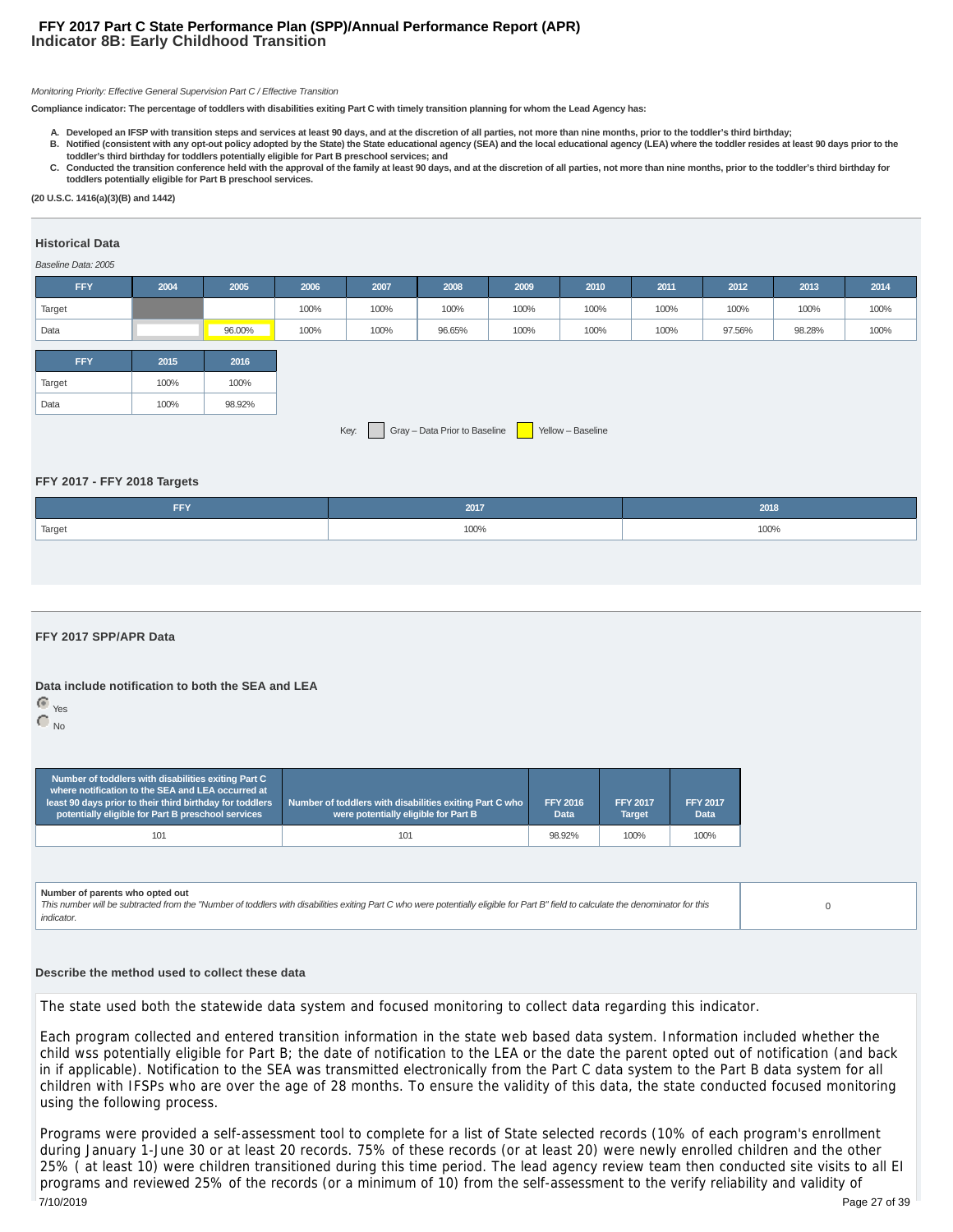#### **Indicator 8B: Early Childhood Transition FFY 2017 Part C State Performance Plan (SPP)/Annual Performance Report (APR)**

#### Monitoring Priority: Effective General Supervision Part C / Effective Transition

**Compliance indicator: The percentage of toddlers with disabilities exiting Part C with timely transition planning for whom the Lead Agency has:**

- **A. Developed an IFSP with transition steps and services at least 90 days, and at the discretion of all parties, not more than nine months, prior to the toddler's third birthday;**
- **Notified (consistent with any opt-out policy adopted by the State) the State educational agency (SEA) and the local educational agency (LEA) where the toddler resides at least 90 days prior to the B. toddler's third birthday for toddlers potentially eligible for Part B preschool services; and**
- C. Conducted the transition conference held with the approval of the family at least 90 days, and at the discretion of all parties, not more than nine months, prior to the toddler's third birthday for **toddlers potentially eligible for Part B preschool services.**

**(20 U.S.C. 1416(a)(3)(B) and 1442)**

#### **Historical Data**

#### Baseline Data: 2005

| <b>FFY</b> | 2004 | 2005   | 2006 | 2007 | 2008                          | 2009 | 2010              | 2011 | 2012   | 2013   | 2014 |
|------------|------|--------|------|------|-------------------------------|------|-------------------|------|--------|--------|------|
| Target     |      |        | 100% | 100% | 100%                          | 100% | 100%              | 100% | 100%   | 100%   | 100% |
| Data       |      | 96.00% | 100% | 100% | 96.65%                        | 100% | 100%              | 100% | 97.56% | 98.28% | 100% |
| <b>FFY</b> |      |        |      |      |                               |      |                   |      |        |        |      |
|            | 2015 | 2016   |      |      |                               |      |                   |      |        |        |      |
| Target     | 100% | 100%   |      |      |                               |      |                   |      |        |        |      |
| Data       | 100% | 98.92% |      |      |                               |      |                   |      |        |        |      |
|            |      |        |      | Key: | Gray - Data Prior to Baseline |      | Yellow - Baseline |      |        |        |      |

**FFY 2017 - FFY 2018 Targets**

| FFY    | 2017 | 2018 |
|--------|------|------|
| Target | 100% | 100% |

#### **FFY 2017 SPP/APR Data**

#### **Data include notification to both the SEA and LEA**

 Yes  $\bigcap_{\text{No}}$ 

| Number of toddlers with disabilities exiting Part C<br>where notification to the SEA and LEA occurred at<br>least 90 days prior to their third birthday for toddlers<br>potentially eligible for Part B preschool services | Number of toddlers with disabilities exiting Part C who<br>were potentially eligible for Part B | <b>FFY 2016</b><br><b>Data</b> | <b>FFY 2017</b><br><b>Target</b> | <b>FFY 2017</b><br><b>Data</b> |  |
|----------------------------------------------------------------------------------------------------------------------------------------------------------------------------------------------------------------------------|-------------------------------------------------------------------------------------------------|--------------------------------|----------------------------------|--------------------------------|--|
| 101                                                                                                                                                                                                                        | 101                                                                                             | 98.92%                         | 100%                             | 100%                           |  |

#### **Number of parents who opted out**

This number will be subtracted from the "Number of toddlers with disabilities exiting Part C who were potentially eligible for Part B" field to calculate the denominator for this indicator.

 $\Omega$ 

#### **Describe the method used to collect these data**

The state used both the statewide data system and focused monitoring to collect data regarding this indicator.

Each program collected and entered transition information in the state web based data system. Information included whether the child wss potentially eligible for Part B; the date of notification to the LEA or the date the parent opted out of notification (and back in if applicable). Notification to the SEA was transmitted electronically from the Part C data system to the Part B data system for all children with IFSPs who are over the age of 28 months. To ensure the validity of this data, the state conducted focused monitoring using the following process.

Programs were provided a self-assessment tool to complete for a list of State selected records (10% of each program's enrollment during January 1-June 30 or at least 20 records. 75% of these records (or at least 20) were newly enrolled children and the other 25% ( at least 10) were children transitioned during this time period. The lead agency review team then conducted site visits to all EI programs and reviewed 25% of the records (or a minimum of 10) from the self-assessment to the verify reliability and validity of 7/10/2019 Page 27 of 39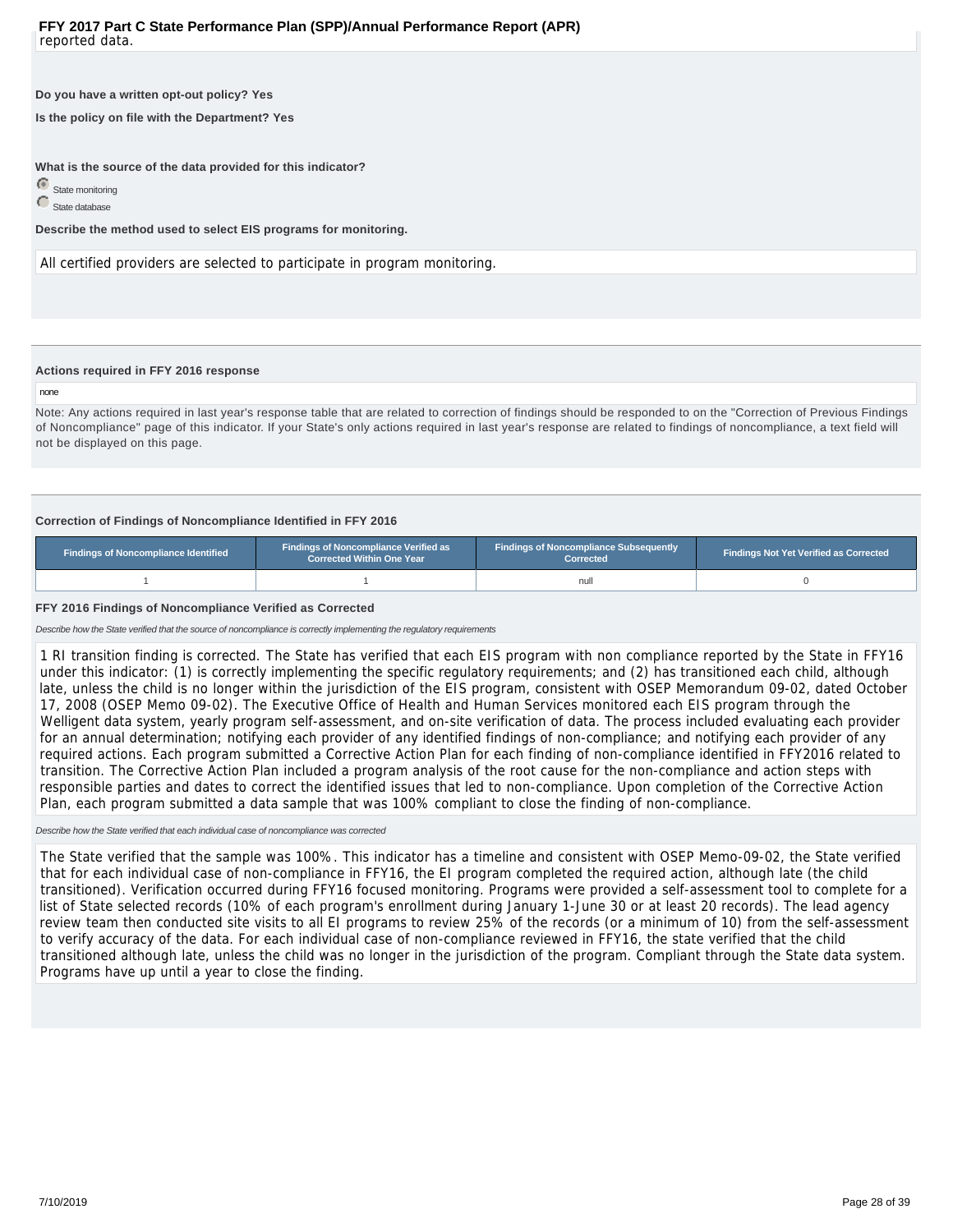#### **Do you have a written opt-out policy? Yes**

**Is the policy on file with the Department? Yes**

**What is the source of the data provided for this indicator?**

State monitoring State database

**Describe the method used to select EIS programs for monitoring.**

All certified providers are selected to participate in program monitoring.

#### **Actions required in FFY 2016 response**

#### none

Note: Any actions required in last year's response table that are related to correction of findings should be responded to on the "Correction of Previous Findings of Noncompliance" page of this indicator. If your State's only actions required in last year's response are related to findings of noncompliance, a text field will not be displayed on this page.

#### **Correction of Findings of Noncompliance Identified in FFY 2016**

| Findings of Noncompliance Identified | <b>Findings of Noncompliance Verified as</b><br><b>Corrected Within One Year</b> |      | <b>Findings Not Yet Verified as Corrected</b> |  |  |
|--------------------------------------|----------------------------------------------------------------------------------|------|-----------------------------------------------|--|--|
|                                      |                                                                                  | null |                                               |  |  |

#### **FFY 2016 Findings of Noncompliance Verified as Corrected**

Describe how the State verified that the source of noncompliance is correctly implementing the regulatory requirements

1 RI transition finding is corrected. The State has verified that each EIS program with non compliance reported by the State in FFY16 under this indicator: (1) is correctly implementing the specific regulatory requirements; and (2) has transitioned each child, although late, unless the child is no longer within the jurisdiction of the EIS program, consistent with OSEP Memorandum 09-02, dated October 17, 2008 (OSEP Memo 09-02). The Executive Office of Health and Human Services monitored each EIS program through the Welligent data system, yearly program self-assessment, and on-site verification of data. The process included evaluating each provider for an annual determination; notifying each provider of any identified findings of non-compliance; and notifying each provider of any required actions. Each program submitted a Corrective Action Plan for each finding of non-compliance identified in FFY2016 related to transition. The Corrective Action Plan included a program analysis of the root cause for the non-compliance and action steps with responsible parties and dates to correct the identified issues that led to non-compliance. Upon completion of the Corrective Action Plan, each program submitted a data sample that was 100% compliant to close the finding of non-compliance.

#### Describe how the State verified that each individual case of noncompliance was corrected

The State verified that the sample was 100%. This indicator has a timeline and consistent with OSEP Memo-09-02, the State verified that for each individual case of non-compliance in FFY16, the EI program completed the required action, although late (the child transitioned). Verification occurred during FFY16 focused monitoring. Programs were provided a self-assessment tool to complete for a list of State selected records (10% of each program's enrollment during January 1-June 30 or at least 20 records). The lead agency review team then conducted site visits to all EI programs to review 25% of the records (or a minimum of 10) from the self-assessment to verify accuracy of the data. For each individual case of non-compliance reviewed in FFY16, the state verified that the child transitioned although late, unless the child was no longer in the jurisdiction of the program. Compliant through the State data system. Programs have up until a year to close the finding.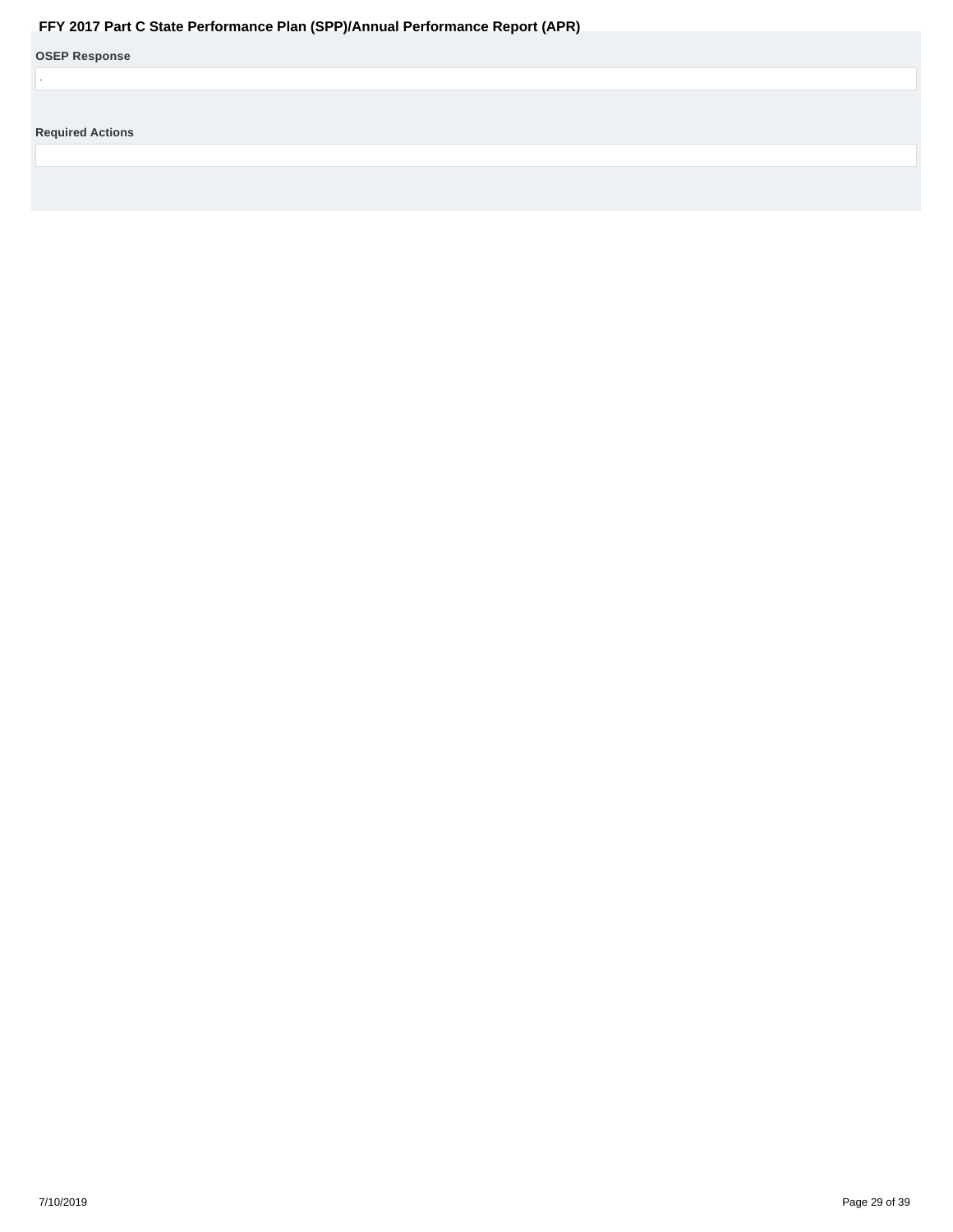<span id="page-28-0"></span>

| Fr (2017 Fail Gotale Ferrormance Fiam (OFF)/Annual Ferrormance Report (AFR) |
|-----------------------------------------------------------------------------|
| <b>OSEP Response</b>                                                        |
|                                                                             |
|                                                                             |
| <b>Required Actions</b>                                                     |
|                                                                             |
|                                                                             |
|                                                                             |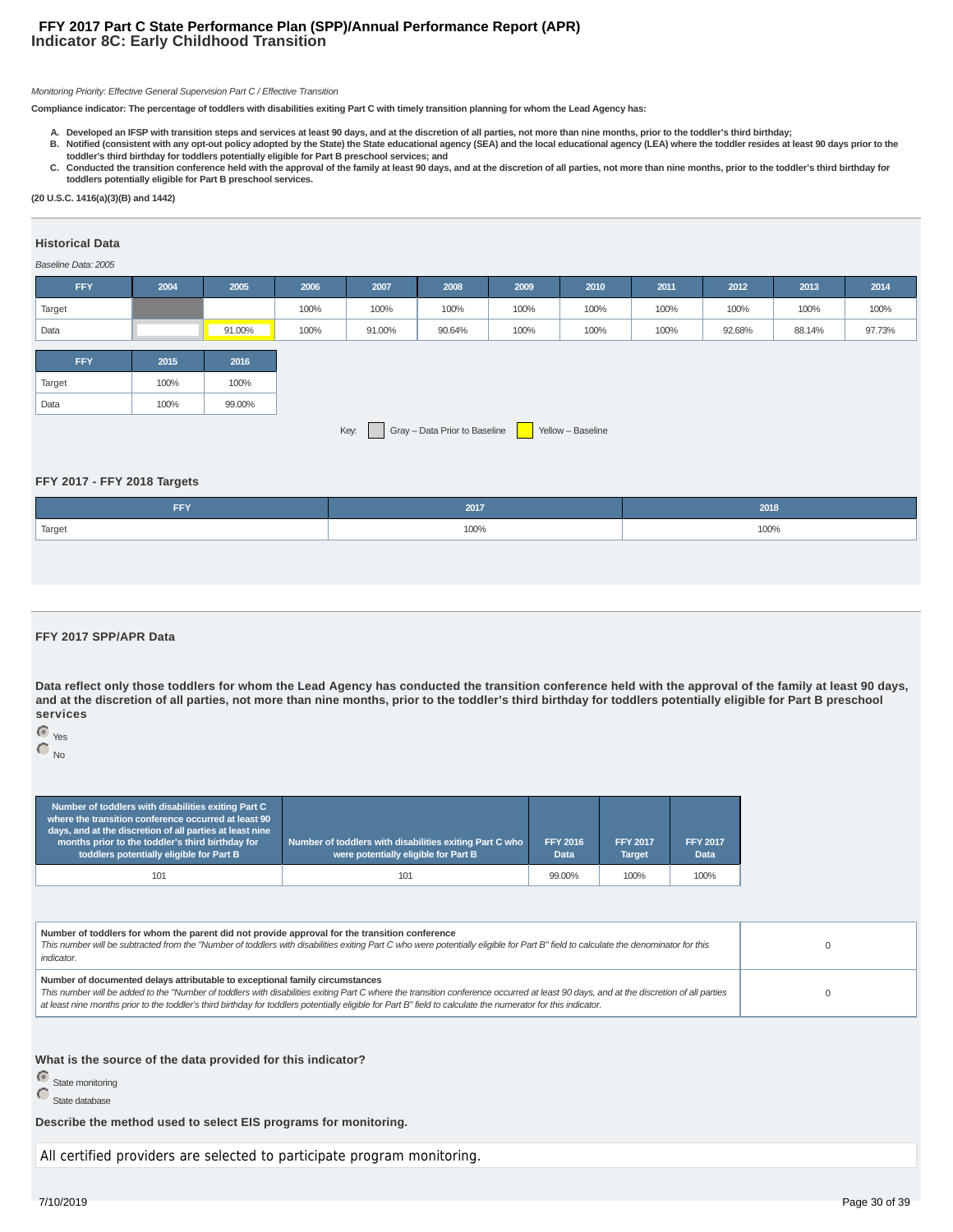#### **Indicator 8C: Early Childhood Transition FFY 2017 Part C State Performance Plan (SPP)/Annual Performance Report (APR)**

#### Monitoring Priority: Effective General Supervision Part C / Effective Transition

**Compliance indicator: The percentage of toddlers with disabilities exiting Part C with timely transition planning for whom the Lead Agency has:**

- **A. Developed an IFSP with transition steps and services at least 90 days, and at the discretion of all parties, not more than nine months, prior to the toddler's third birthday;**
- **Notified (consistent with any opt-out policy adopted by the State) the State educational agency (SEA) and the local educational agency (LEA) where the toddler resides at least 90 days prior to the B. toddler's third birthday for toddlers potentially eligible for Part B preschool services; and**
- C. Conducted the transition conference held with the approval of the family at least 90 days, and at the discretion of all parties, not more than nine months, prior to the toddler's third birthday for **toddlers potentially eligible for Part B preschool services.**

**(20 U.S.C. 1416(a)(3)(B) and 1442)**

#### **Historical Data**

#### Baseline Data: 2005

|      |                                |        |        |      |      |      |        | 2013   |
|------|--------------------------------|--------|--------|------|------|------|--------|--------|
|      | 100%                           | 100%   | 100%   | 100% | 100% | 100% | 100%   | 100%   |
|      | 100%                           | 91.00% | 90.64% | 100% | 100% | 100% | 92.68% | 88.14% |
|      |                                |        |        |      |      |      |        |        |
|      |                                |        |        |      |      |      |        |        |
| 100% |                                |        |        |      |      |      |        |        |
| 100% |                                |        |        |      |      |      |        |        |
|      | 91.00%<br>2015<br>2016<br>100% | 99.00% |        |      |      |      |        |        |

Key: Gray – Data Prior to Baseline Yellow – Baseline

#### **FFY 2017 - FFY 2018 Targets**

| <b>FFY</b> | 2017 | 2018 |
|------------|------|------|
| Target     | 100% | 100% |
|            |      |      |

#### **FFY 2017 SPP/APR Data**

**Data reflect only those toddlers for whom the Lead Agency has conducted the transition conference held with the approval of the family at least 90 days, and at the discretion of all parties, not more than nine months, prior to the toddler's third birthday for toddlers potentially eligible for Part B preschool services**

## Yes  $\bigcap_{\text{No}}$

| Number of toddlers with disabilities exiting Part C<br>where the transition conference occurred at least 90<br>days, and at the discretion of all parties at least nine<br>months prior to the toddler's third birthday for<br>toddlers potentially eligible for Part B | Number of toddlers with disabilities exiting Part C who<br>were potentially eligible for Part B | <b>FFY 2016</b><br>Data | <b>FFY 2017</b><br><b>Target</b> | <b>FFY 2017</b><br><b>Data</b> |
|-------------------------------------------------------------------------------------------------------------------------------------------------------------------------------------------------------------------------------------------------------------------------|-------------------------------------------------------------------------------------------------|-------------------------|----------------------------------|--------------------------------|
| 101                                                                                                                                                                                                                                                                     | 101                                                                                             | 99.00%                  | 100%                             | 100%                           |

| Number of toddlers for whom the parent did not provide approval for the transition conference<br>This number will be subtracted from the "Number of toddlers with disabilities exiting Part C who were potentially eligible for Part B" field to calculate the denominator for this<br>indicator.                                                                                                                                      |  |
|----------------------------------------------------------------------------------------------------------------------------------------------------------------------------------------------------------------------------------------------------------------------------------------------------------------------------------------------------------------------------------------------------------------------------------------|--|
| Number of documented delays attributable to exceptional family circumstances<br>This number will be added to the "Number of toddlers with disabilities exiting Part C where the transition conference occurred at least 90 days, and at the discretion of all parties<br>at least nine months prior to the toddler's third birthday for toddlers potentially eligible for Part B" field to calculate the numerator for this indicator. |  |

#### **What is the source of the data provided for this indicator?**

State monitoring

State database

**Describe the method used to select EIS programs for monitoring.**

All certified providers are selected to participate program monitoring.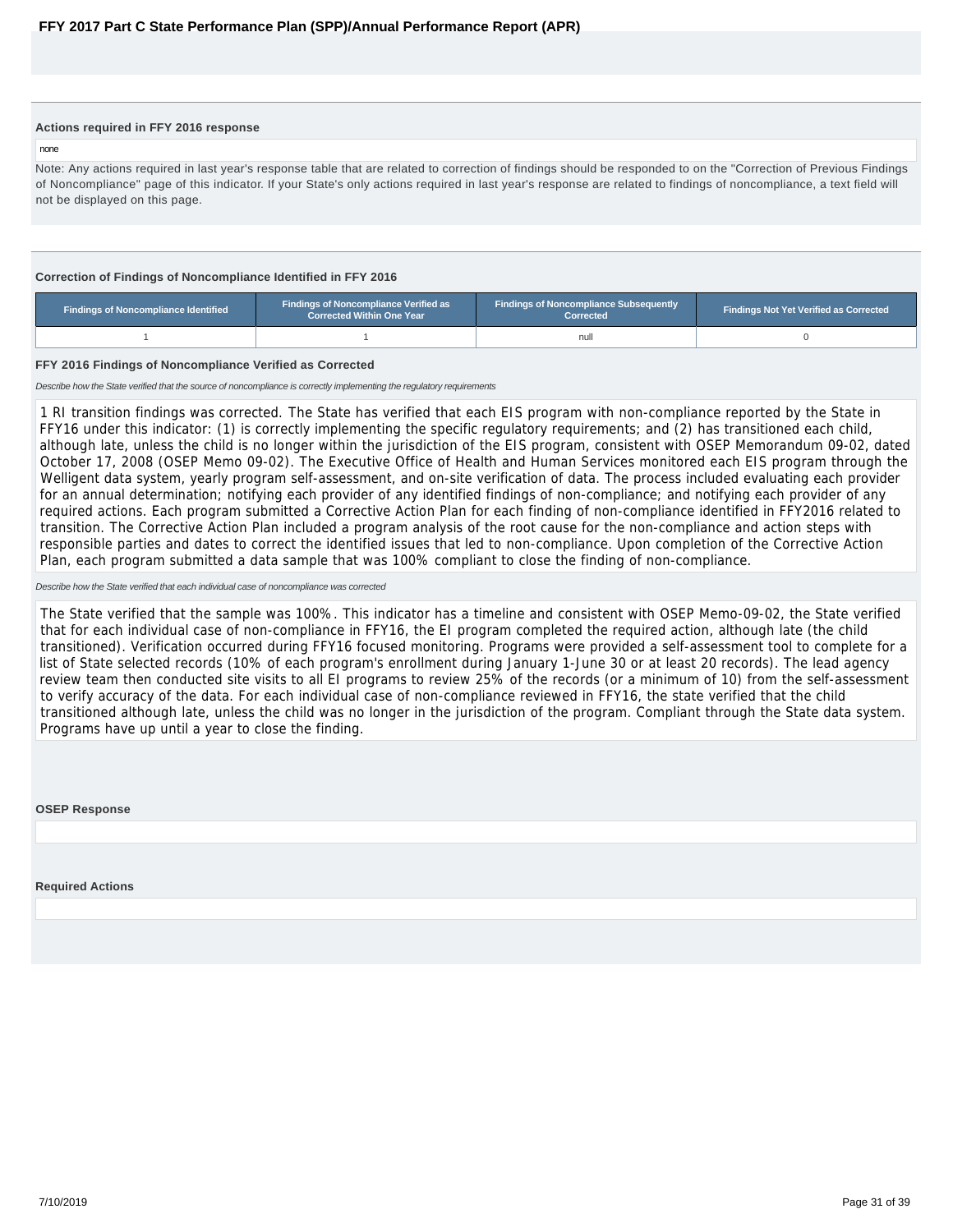#### <span id="page-30-0"></span>**Actions required in FFY 2016 response**

none

Note: Any actions required in last year's response table that are related to correction of findings should be responded to on the "Correction of Previous Findings of Noncompliance" page of this indicator. If your State's only actions required in last year's response are related to findings of noncompliance, a text field will not be displayed on this page.

#### **Correction of Findings of Noncompliance Identified in FFY 2016**

| <b>Findings of Noncompliance Verified as</b><br>Findings of Noncompliance Identified<br><b>Corrected Within One Year</b> |  | <b>Findings of Noncompliance Subsequently</b><br>Corrected | <b>Findings Not Yet Verified as Corrected</b> |  |  |
|--------------------------------------------------------------------------------------------------------------------------|--|------------------------------------------------------------|-----------------------------------------------|--|--|
|                                                                                                                          |  | null                                                       |                                               |  |  |

#### **FFY 2016 Findings of Noncompliance Verified as Corrected**

Describe how the State verified that the source of noncompliance is correctly implementing the regulatory requirements

1 RI transition findings was corrected. The State has verified that each EIS program with non-compliance reported by the State in FFY16 under this indicator: (1) is correctly implementing the specific regulatory requirements; and (2) has transitioned each child, although late, unless the child is no longer within the jurisdiction of the EIS program, consistent with OSEP Memorandum 09-02, dated October 17, 2008 (OSEP Memo 09-02). The Executive Office of Health and Human Services monitored each EIS program through the Welligent data system, yearly program self-assessment, and on-site verification of data. The process included evaluating each provider for an annual determination; notifying each provider of any identified findings of non-compliance; and notifying each provider of any required actions. Each program submitted a Corrective Action Plan for each finding of non-compliance identified in FFY2016 related to transition. The Corrective Action Plan included a program analysis of the root cause for the non-compliance and action steps with responsible parties and dates to correct the identified issues that led to non-compliance. Upon completion of the Corrective Action Plan, each program submitted a data sample that was 100% compliant to close the finding of non-compliance.

#### Describe how the State verified that each individual case of noncompliance was corrected

The State verified that the sample was 100%. This indicator has a timeline and consistent with OSEP Memo-09-02, the State verified that for each individual case of non-compliance in FFY16, the EI program completed the required action, although late (the child transitioned). Verification occurred during FFY16 focused monitoring. Programs were provided a self-assessment tool to complete for a list of State selected records (10% of each program's enrollment during January 1-June 30 or at least 20 records). The lead agency review team then conducted site visits to all EI programs to review 25% of the records (or a minimum of 10) from the self-assessment to verify accuracy of the data. For each individual case of non-compliance reviewed in FFY16, the state verified that the child transitioned although late, unless the child was no longer in the jurisdiction of the program. Compliant through the State data system. Programs have up until a year to close the finding.

#### **OSEP Response**

**Required Actions**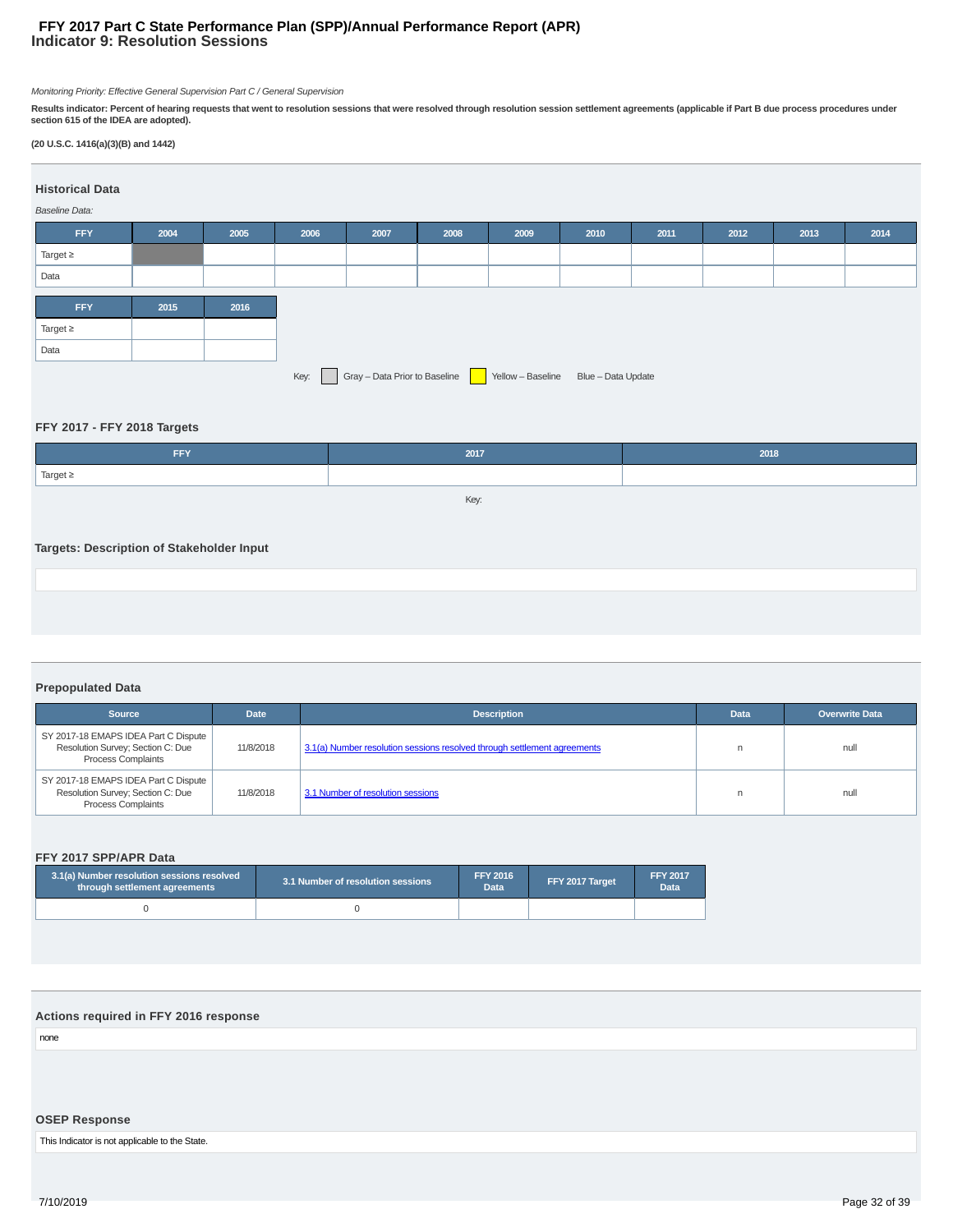#### **Indicator 9: Resolution Sessions FFY 2017 Part C State Performance Plan (SPP)/Annual Performance Report (APR)**

Monitoring Priority: Effective General Supervision Part C / General Supervision

Results indicator: Percent of hearing requests that went to resolution sessions that were resolved through resolution session settlement agreements (applicable if Part B due process procedures under<br>section 615 of the IDEA

#### **(20 U.S.C. 1416(a)(3)(B) and 1442)**

| <b>Historical Data</b><br>Baseline Data:                                   |      |      |      |      |      |      |      |      |      |      |      |
|----------------------------------------------------------------------------|------|------|------|------|------|------|------|------|------|------|------|
| FFY                                                                        | 2004 | 2005 | 2006 | 2007 | 2008 | 2009 | 2010 | 2011 | 2012 | 2013 | 2014 |
| Target $\geq$                                                              |      |      |      |      |      |      |      |      |      |      |      |
| Data                                                                       |      |      |      |      |      |      |      |      |      |      |      |
|                                                                            |      |      |      |      |      |      |      |      |      |      |      |
| <b>FFY</b>                                                                 | 2015 | 2016 |      |      |      |      |      |      |      |      |      |
| Target $\geq$                                                              |      |      |      |      |      |      |      |      |      |      |      |
| Data                                                                       |      |      |      |      |      |      |      |      |      |      |      |
| Gray - Data Prior to Baseline Yellow - Baseline Blue - Data Update<br>Key: |      |      |      |      |      |      |      |      |      |      |      |

#### **FFY 2017 - FFY 2018 Targets**

| FFY                                       | 2017 | 2018 |
|-------------------------------------------|------|------|
| Target $\geq$                             |      |      |
|                                           | Key: |      |
|                                           |      |      |
| Targets: Description of Stakeholder Input |      |      |
|                                           |      |      |
|                                           |      |      |
|                                           |      |      |

#### **Prepopulated Data**

| <b>Source</b>                                                                                          | <b>Date</b> | <b>Description</b>                                                       | <b>Data</b> | <b>Overwrite Data</b> |
|--------------------------------------------------------------------------------------------------------|-------------|--------------------------------------------------------------------------|-------------|-----------------------|
| SY 2017-18 EMAPS IDEA Part C Dispute<br>Resolution Survey; Section C: Due<br><b>Process Complaints</b> | 11/8/2018   | 3.1(a) Number resolution sessions resolved through settlement agreements |             | null                  |
| SY 2017-18 EMAPS IDEA Part C Dispute<br>Resolution Survey; Section C: Due<br><b>Process Complaints</b> | 11/8/2018   | 3.1 Number of resolution sessions                                        |             | null                  |

#### **FFY 2017 SPP/APR Data**

| 3.1(a) Number resolution sessions resolved<br>through settlement agreements | 3.1 Number of resolution sessions | <b>FFY 2016</b><br><b>Data</b> | FFY 2017 Target | <b>FFY 2017</b><br><b>Data</b> |
|-----------------------------------------------------------------------------|-----------------------------------|--------------------------------|-----------------|--------------------------------|
|                                                                             |                                   |                                |                 |                                |

#### **Actions required in FFY 2016 response**

none

#### **OSEP Response**

This Indicator is not applicable to the State.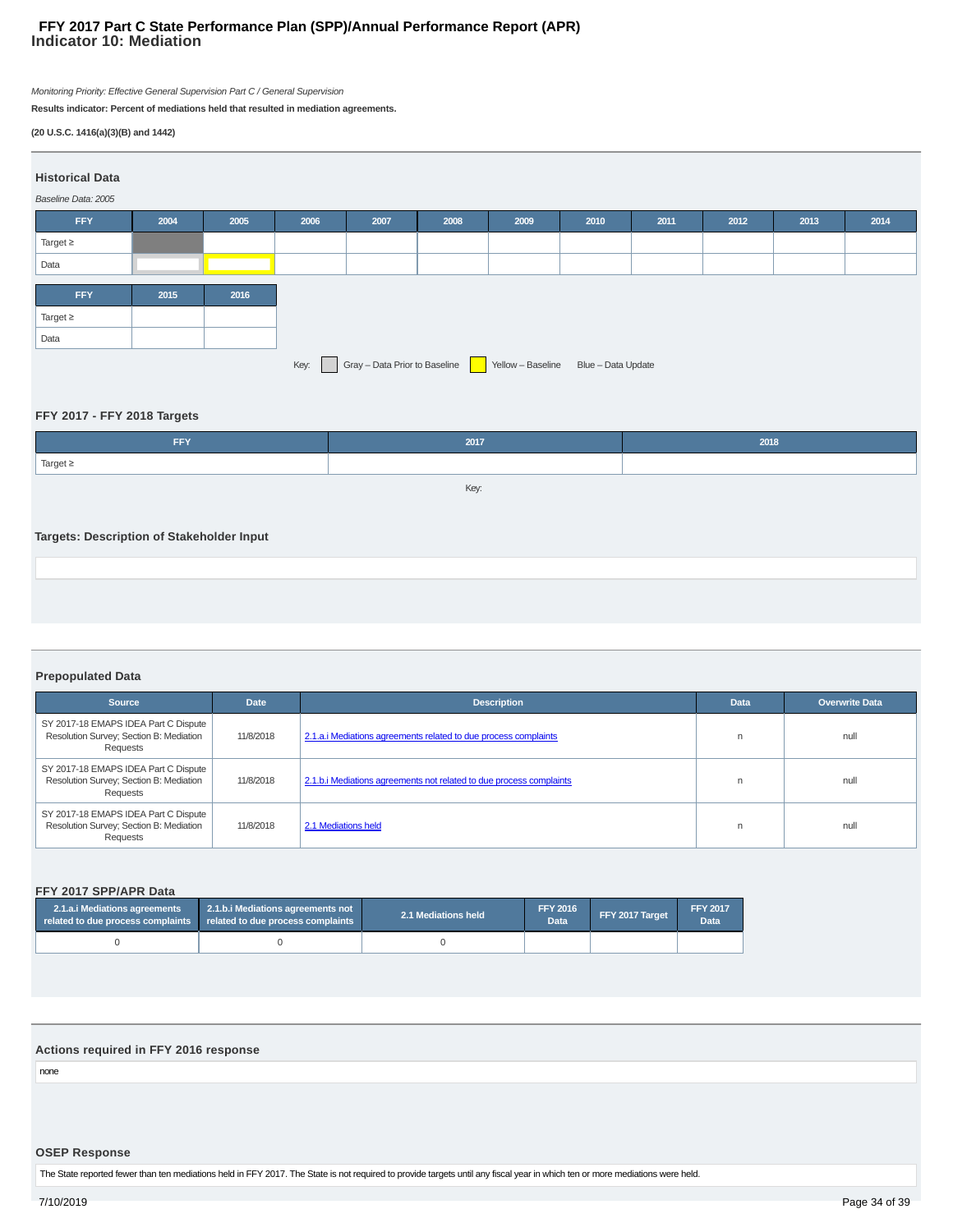#### **Indicator 10: Mediation FFY 2017 Part C State Performance Plan (SPP)/Annual Performance Report (APR)**

Monitoring Priority: Effective General Supervision Part C / General Supervision

**Results indicator: Percent of mediations held that resulted in mediation agreements.**

#### **(20 U.S.C. 1416(a)(3)(B) and 1442)**

| <b>Historical Data</b><br>2004<br>2010<br>2005<br>2006<br>2008<br>2009<br>2011<br>2012<br><b>FFY</b><br>2007<br>2013<br>Target $\geq$<br>Data<br><b>FFY</b><br>2015<br>2016<br>Target $\geq$<br>Data<br>Gray - Data Prior to Baseline Yellow - Baseline Blue - Data Update<br>Key: |                     |  |  |  |  |  |  |  |  |  |  |
|------------------------------------------------------------------------------------------------------------------------------------------------------------------------------------------------------------------------------------------------------------------------------------|---------------------|--|--|--|--|--|--|--|--|--|--|
|                                                                                                                                                                                                                                                                                    |                     |  |  |  |  |  |  |  |  |  |  |
|                                                                                                                                                                                                                                                                                    |                     |  |  |  |  |  |  |  |  |  |  |
|                                                                                                                                                                                                                                                                                    | Baseline Data: 2005 |  |  |  |  |  |  |  |  |  |  |
|                                                                                                                                                                                                                                                                                    |                     |  |  |  |  |  |  |  |  |  |  |
|                                                                                                                                                                                                                                                                                    |                     |  |  |  |  |  |  |  |  |  |  |
|                                                                                                                                                                                                                                                                                    |                     |  |  |  |  |  |  |  |  |  |  |
|                                                                                                                                                                                                                                                                                    |                     |  |  |  |  |  |  |  |  |  |  |
|                                                                                                                                                                                                                                                                                    |                     |  |  |  |  |  |  |  |  |  |  |
|                                                                                                                                                                                                                                                                                    |                     |  |  |  |  |  |  |  |  |  |  |
|                                                                                                                                                                                                                                                                                    |                     |  |  |  |  |  |  |  |  |  |  |
|                                                                                                                                                                                                                                                                                    |                     |  |  |  |  |  |  |  |  |  |  |
|                                                                                                                                                                                                                                                                                    |                     |  |  |  |  |  |  |  |  |  |  |

#### **FFY 2017 - FFY 2018 Targets**

| FFY                                       | 2017 | 2018 |  |  |  |  |  |  |  |
|-------------------------------------------|------|------|--|--|--|--|--|--|--|
| Target $\geq$                             |      |      |  |  |  |  |  |  |  |
|                                           | Key: |      |  |  |  |  |  |  |  |
|                                           |      |      |  |  |  |  |  |  |  |
| Targets: Description of Stakeholder Input |      |      |  |  |  |  |  |  |  |
|                                           |      |      |  |  |  |  |  |  |  |
|                                           |      |      |  |  |  |  |  |  |  |

#### **Prepopulated Data**

| <b>Source</b>                                                                               | <b>Date</b> | <b>Description</b>                                                  | <b>Data</b> | <b>Overwrite Data</b> |
|---------------------------------------------------------------------------------------------|-------------|---------------------------------------------------------------------|-------------|-----------------------|
| SY 2017-18 EMAPS IDEA Part C Dispute<br>Resolution Survey; Section B: Mediation<br>Requests | 11/8/2018   | 2.1.a. iMediations agreements related to due process complaints     | n           | null                  |
| SY 2017-18 EMAPS IDEA Part C Dispute<br>Resolution Survey; Section B: Mediation<br>Requests | 11/8/2018   | 2.1.b.i Mediations agreements not related to due process complaints | n           | null                  |
| SY 2017-18 EMAPS IDEA Part C Dispute<br>Resolution Survey; Section B: Mediation<br>Requests | 11/8/2018   | 2.1 Mediations held                                                 | n           | null                  |

#### **FFY 2017 SPP/APR Data**

| 2.1.a.i Mediations agreements<br>related to due process complaints related to due process complaints | 2.1.b.i Mediations agreements not | 2.1 Mediations held | <b>FFY 2016</b><br>Data | FFY 2017 Target | <b>FFY 2017</b><br>Data |
|------------------------------------------------------------------------------------------------------|-----------------------------------|---------------------|-------------------------|-----------------|-------------------------|
|                                                                                                      |                                   |                     |                         |                 |                         |

#### **Actions required in FFY 2016 response**

none

#### **OSEP Response**

The State reported fewer than ten mediations held in FFY 2017. The State is not required to provide targets until any fiscal year in which ten or more mediations were held.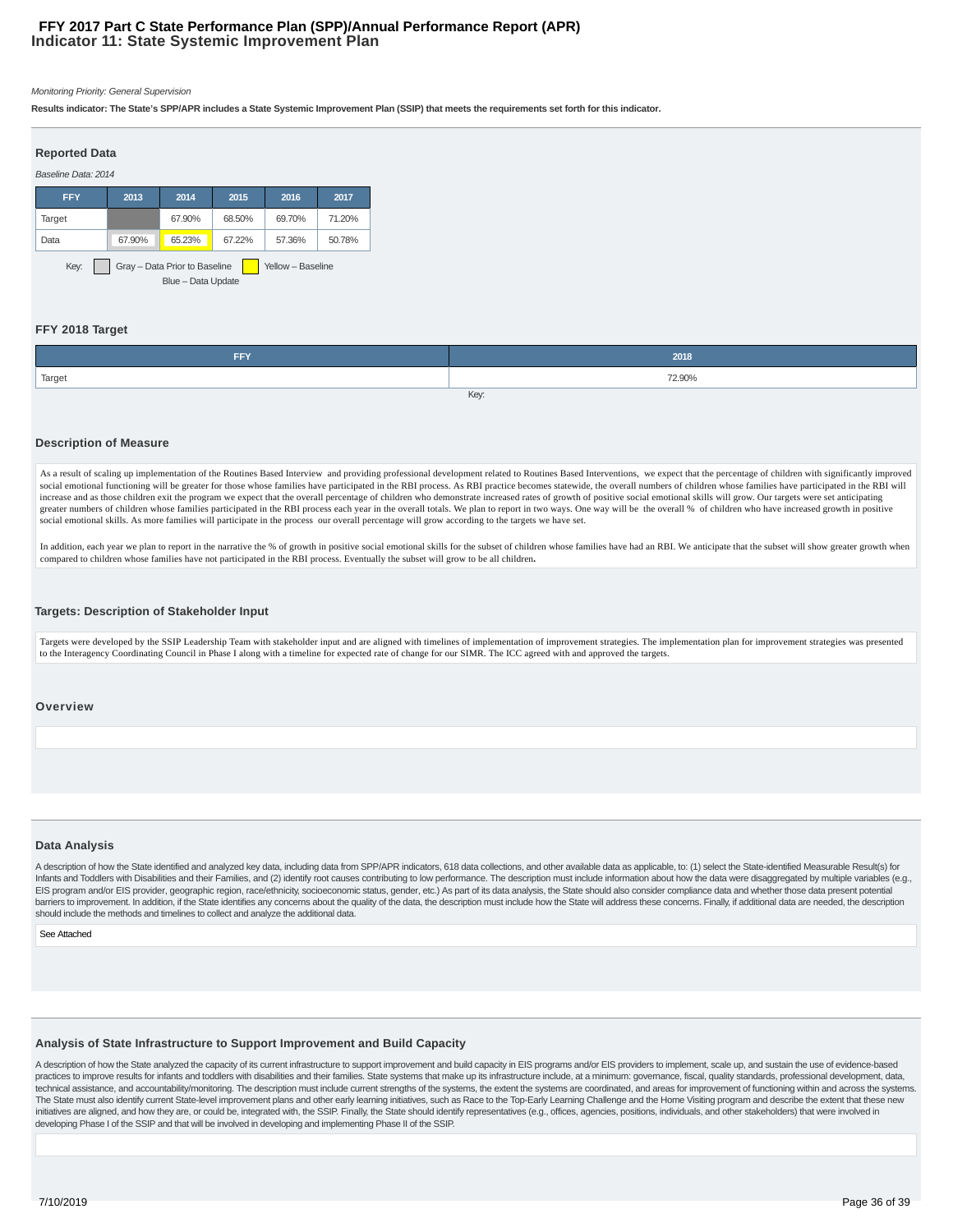#### **Indicator 11: State Systemic Improvement Plan FFY 2017 Part C State Performance Plan (SPP)/Annual Performance Report (APR)**

#### Monitoring Priority: General Supervision

**Results indicator: The State's SPP/APR includes a State Systemic Improvement Plan (SSIP) that meets the requirements set forth for this indicator.**

| <b>Reported Data</b>                                                             |        |        |        |        |        |
|----------------------------------------------------------------------------------|--------|--------|--------|--------|--------|
| Baseline Data: 2014                                                              |        |        |        |        |        |
| <b>FFY</b>                                                                       | 2013   | 2014   | 2015   | 2016   | 2017   |
| Target                                                                           |        | 67.90% | 68.50% | 69.70% | 71.20% |
| Data                                                                             | 67.90% | 65.23% | 67.22% | 57.36% | 50.78% |
| Gray - Data Prior to Baseline<br>Key:<br>Yellow - Baseline<br>Blue - Data Update |        |        |        |        |        |

#### **FFY 2018 Target**

| <b>EEV</b> | 2018   |  |
|------------|--------|--|
| Target     | 72.90% |  |
| Key:       |        |  |

#### **Description of Measure**

As a result of scaling up implementation of the Routines Based Interview and providing professional development related to Routines Based Interventions, we expect that the percentage of children with significantly improved social emotional functioning will be greater for those whose families have participated in the RBI process. As RBI practice becomes statewide, the overall numbers of children whose families have participated in the RBI wil increase and as those children exit the program we expect that the overall percentage of children who demonstrate increased rates of growth of positive social emotional skills will grow. Our targets were set anticipating greater numbers of children whose families participated in the RBI process each year in the overall totals. We plan to report in two ways. One way will be the overall % of children who have increased growth in positive social emotional skills. As more families will participate in the process our overall percentage will grow according to the targets we have set.

In addition, each year we plan to report in the narrative the % of growth in positive social emotional skills for the subset of children whose families have had an RBI. We anticipate that the subset will show greater growt compared to children whose families have not participated in the RBI process. Eventually the subset will grow to be all children**.**

#### **Targets: Description of Stakeholder Input**

Targets were developed by the SSIP Leadership Team with stakeholder input and are aligned with timelines of implementation of improvement strategies. The implementation plan for improvement strategies was presented to the Interagency Coordinating Council in Phase I along with a timeline for expected rate of change for our SIMR. The ICC agreed with and approved the targets.

#### **Overview**

#### **Data Analysis**

A description of how the State identified and analyzed key data, including data from SPP/APR indicators, 618 data collections, and other available data as applicable, to: (1) select the State-identified Measurable Result(s Infants and Toddlers with Disabilities and their Families, and (2) identify root causes contributing to low performance. The description must include information about how the data were disaggregated by multiple variables EIS program and/or EIS provider, geographic region, race/ethnicity, socioeconomic status, gender, etc.) As part of its data analysis, the State should also consider compliance data and whether those data present potential barriers to improvement. In addition, if the State identifies any concerns about the quality of the data, the description must include how the State will address these concerns. Finally, if additional data are needed, the should include the methods and timelines to collect and analyze the additional data.

#### See Attached

#### **Analysis of State Infrastructure to Support Improvement and Build Capacity**

A description of how the State analyzed the capacity of its current infrastructure to support improvement and build capacity in EIS programs and/or EIS providers to implement, scale up, and sustain the use of evidence-base practices to improve results for infants and toddlers with disabilities and their families. State systems that make up its infrastructure include, at a minimum: governance, fiscal, quality standards, professional developme technical assistance, and accountability/monitoring. The description must include current strengths of the systems, the extent the systems are coordinated, and areas for improvement of functioning within and across the sys The State must also identify current State-level improvement plans and other early learning initiatives, such as Race to the Top-Early Learning Challenge and the Home Visiting program and describe the extent that these new initiatives are aligned, and how they are, or could be, integrated with, the SSIP. Finally, the State should identify representatives (e.g., offices, agencies, positions, individuals, and other stakeholders) that were invo developing Phase I of the SSIP and that will be involved in developing and implementing Phase II of the SSIP.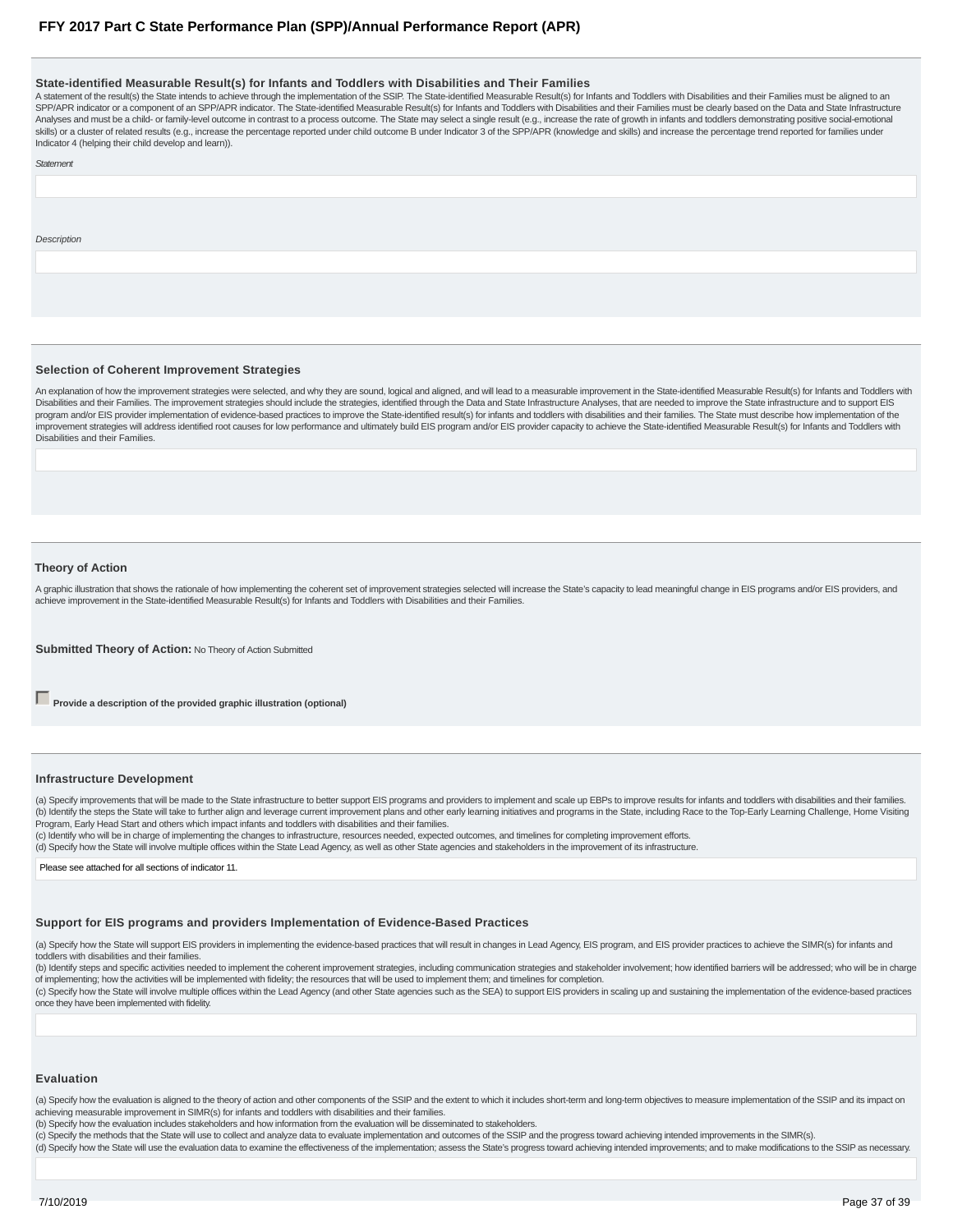#### **State-identified Measurable Result(s) for Infants and Toddlers with Disabilities and Their Families**

A statement of the result(s) the State intends to achieve through the implementation of the SSIP. The State-identified Measurable Result(s) for Infants and Toddlers with Disabilities and their Families must be aligned to an SPP/APR indicator or a component of an SPP/APR indicator. The State-identified Measurable Result(s) for Infants and Toddlers with Disabilities and their Families must be clearly based on the Data and State Infrastructure Analyses and must be a child- or family-level outcome in contrast to a process outcome. The State may select a single result (e.g., increase the rate of growth in infants and toddlers demonstrating positive social-emotiona skills) or a cluster of related results (e.g., increase the percentage reported under child outcome B under Indicator 3 of the SPP/APR (knowledge and skills) and increase the percentage trend reported for families under Indicator 4 (helping their child develop and learn)).

**Statement** 

**Description** 

#### **Selection of Coherent Improvement Strategies**

An explanation of how the improvement strategies were selected, and why they are sound, logical and aligned, and will lead to a measurable improvement in the State-identified Measurable Result(s) for Infants and Toddlers w Disabilities and their Families. The improvement strategies should include the strategies, identified through the Data and State Infrastructure Analyses, that are needed to improve the State infrastructure and to support EIS program and/or EIS provider implementation of evidence-based practices to improve the State-identified result(s) for infants and toddlers with disabilities and their families. The State must describe how implementation of improvement strategies will address identified root causes for low performance and ultimately build EIS program and/or EIS provider capacity to achieve the State-identified Measurable Result(s) for Infants and Toddlers with Disabilities and their Families.

#### **Theory of Action**

A graphic illustration that shows the rationale of how implementing the coherent set of improvement strategies selected will increase the State's capacity to lead meaningful change in EIS programs and/or EIS providers, and achieve improvement in the State-identified Measurable Result(s) for Infants and Toddlers with Disabilities and their Families.

**Submitted Theory of Action: No Theory of Action Submitted** 

**Provide a description of the provided graphic illustration (optional)** 

#### **Infrastructure Development**

(a) Specify improvements that will be made to the State infrastructure to better support EIS programs and providers to implement and scale up EBPs to improve results for infants and toddlers with disabilities and their fam (b) Identify the steps the State will take to further align and leverage current improvement plans and other early learning initiatives and programs in the State, including Race to the Top-Early Learning Challenge, Home Vi Program, Early Head Start and others which impact infants and toddlers with disabilities and their families.

(c) Identify who will be in charge of implementing the changes to infrastructure, resources needed, expected outcomes, and timelines for completing improvement efforts.

(d) Specify how the State will involve multiple offices within the State Lead Agency, as well as other State agencies and stakeholders in the improvement of its infrastructure.

Please see attached for all sections of indicator 11.

#### **Support for EIS programs and providers Implementation of Evidence-Based Practices**

(a) Specify how the State will support EIS providers in implementing the evidence-based practices that will result in changes in Lead Agency, EIS program, and EIS provider practices to achieve the SIMR(s) for infants and toddlers with disabilities and their families.

(b) Identify steps and specific activities needed to implement the coherent improvement strategies, including communication strategies and stakeholder involvement; how identified barriers will be addressed; who will be in of implementing; how the activities will be implemented with fidelity; the resources that will be used to implement them; and timelines for completion.

(c) Specify how the State will involve multiple offices within the Lead Agency (and other State agencies such as the SEA) to support EIS providers in scaling up and sustaining the implementation of the evidence-based pract once they have been implemented with fidelity.

#### **Evaluation**

(a) Specify how the evaluation is aligned to the theory of action and other components of the SSIP and the extent to which it includes short-term and long-term objectives to measure implementation of the SSIP and its impac achieving measurable improvement in SIMR(s) for infants and toddlers with disabilities and their families.

(b) Specify how the evaluation includes stakeholders and how information from the evaluation will be disseminated to stakeholders.

(c) Specify the methods that the State will use to collect and analyze data to evaluate implementation and outcomes of the SSIP and the progress toward achieving intended improvements in the SIMR(s).

#### (d) Specify how the State will use the evaluation data to examine the effectiveness of the implementation; assess the State's progress toward achieving intended improvements; and to make modifications to the SSIP as necess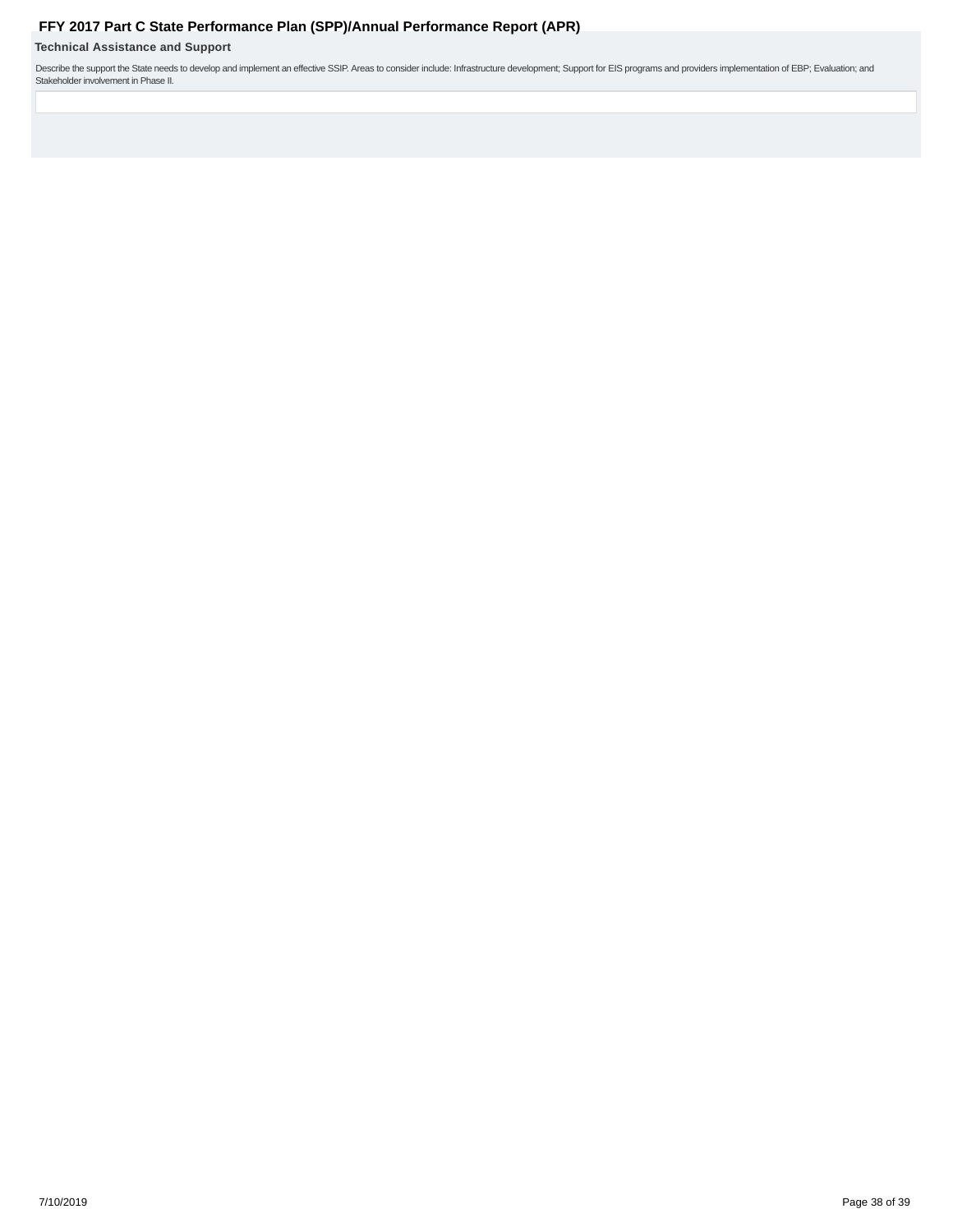<span id="page-37-0"></span>**Technical Assistance and Support**

Describe the support the State needs to develop and implement an effective SSIP. Areas to consider include: Infrastructure development; Support for EIS programs and providers implementation of EBP; Evaluation; and<br>Stakehol